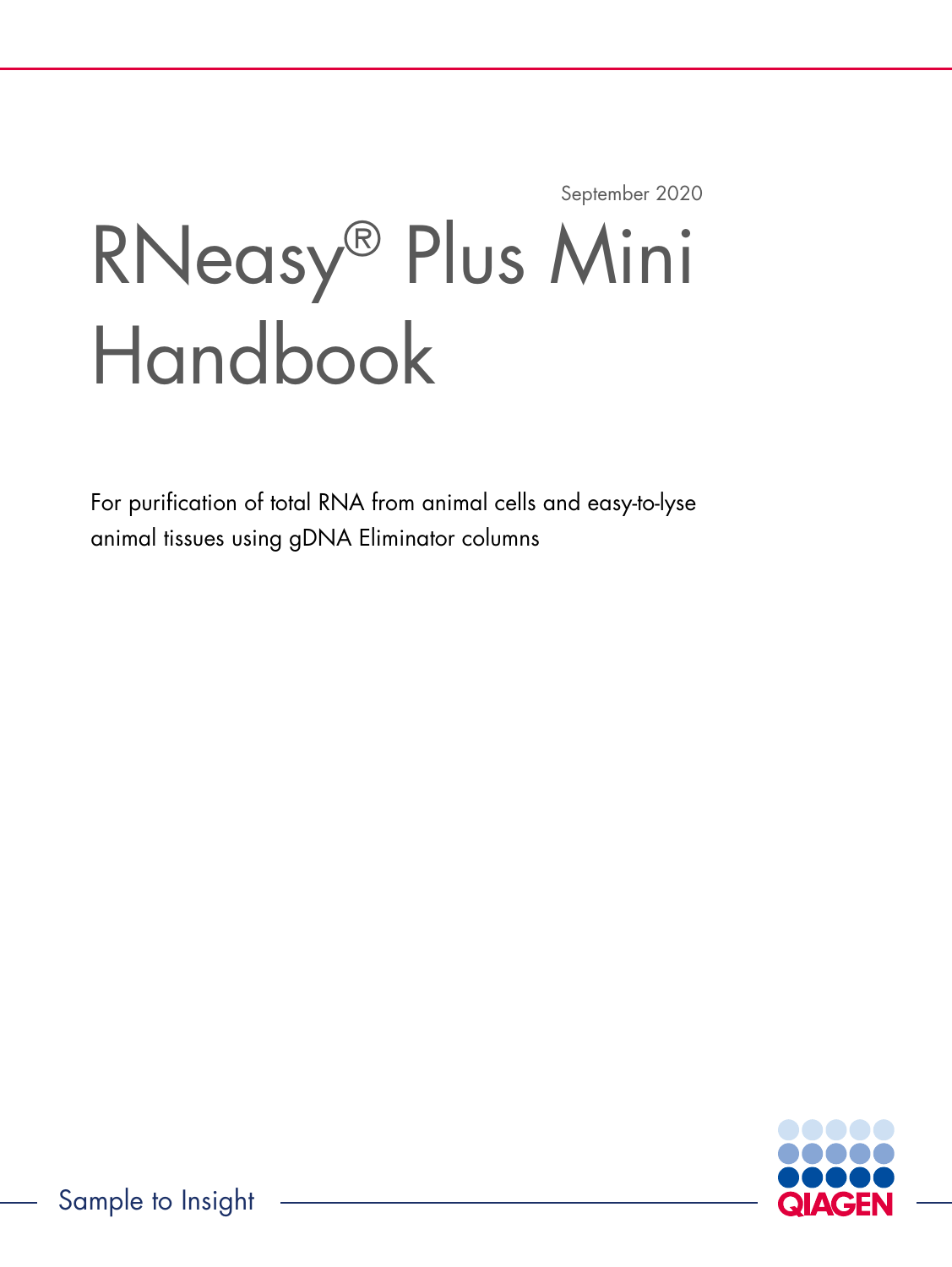September 2020

# RNeasy® Plus Mini Handbook

For purification of total RNA from animal cells and easy-to-lyse animal tissues using gDNA Eliminator columns

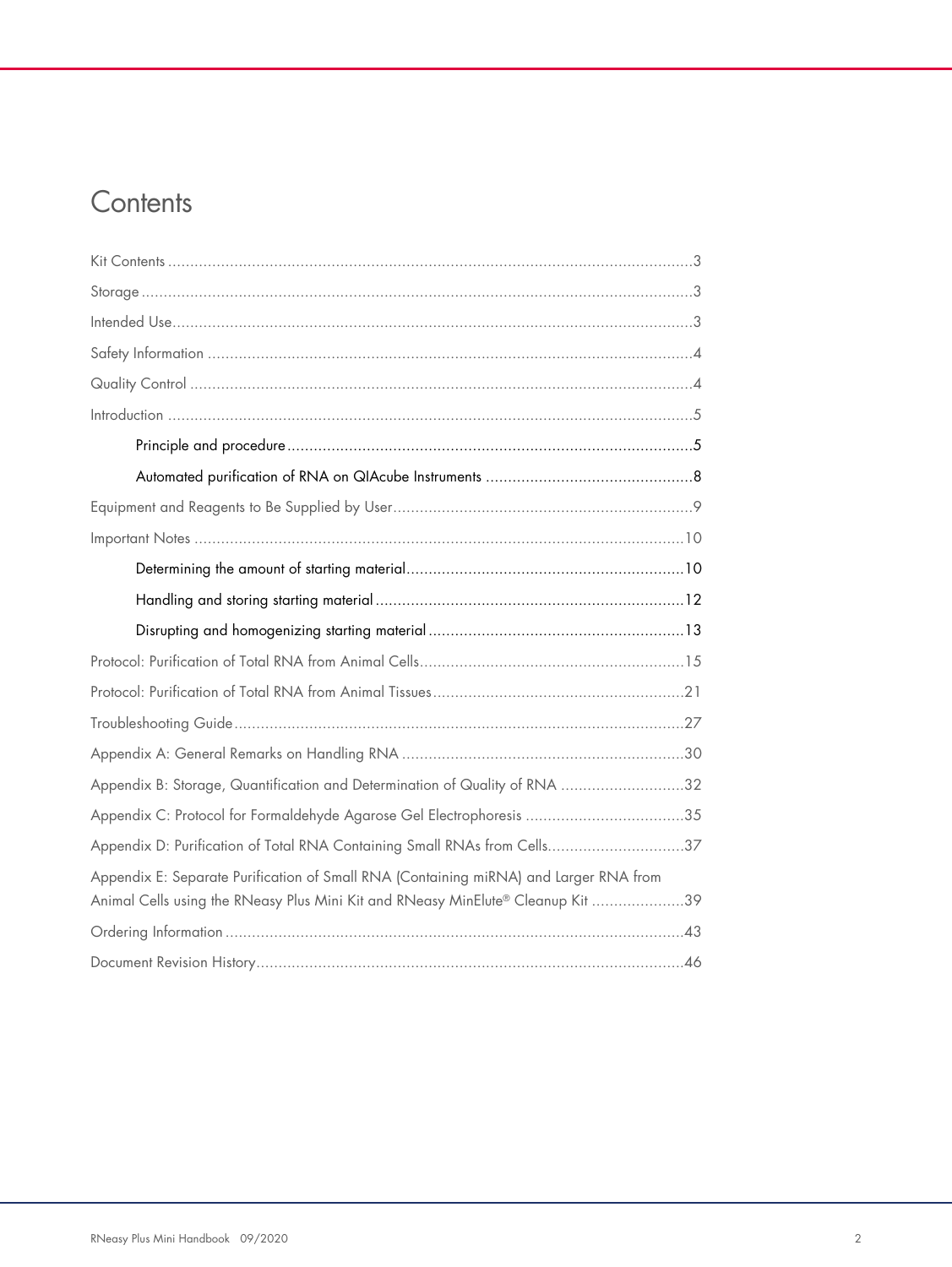# **Contents**

| Appendix B: Storage, Quantification and Determination of Quality of RNA 32                                                                                               |
|--------------------------------------------------------------------------------------------------------------------------------------------------------------------------|
| Appendix C: Protocol for Formaldehyde Agarose Gel Electrophoresis 35                                                                                                     |
| Appendix D: Purification of Total RNA Containing Small RNAs from Cells37                                                                                                 |
| Appendix E: Separate Purification of Small RNA (Containing miRNA) and Larger RNA from<br>Animal Cells using the RNeasy Plus Mini Kit and RNeasy MinElute® Cleanup Kit 39 |
|                                                                                                                                                                          |
|                                                                                                                                                                          |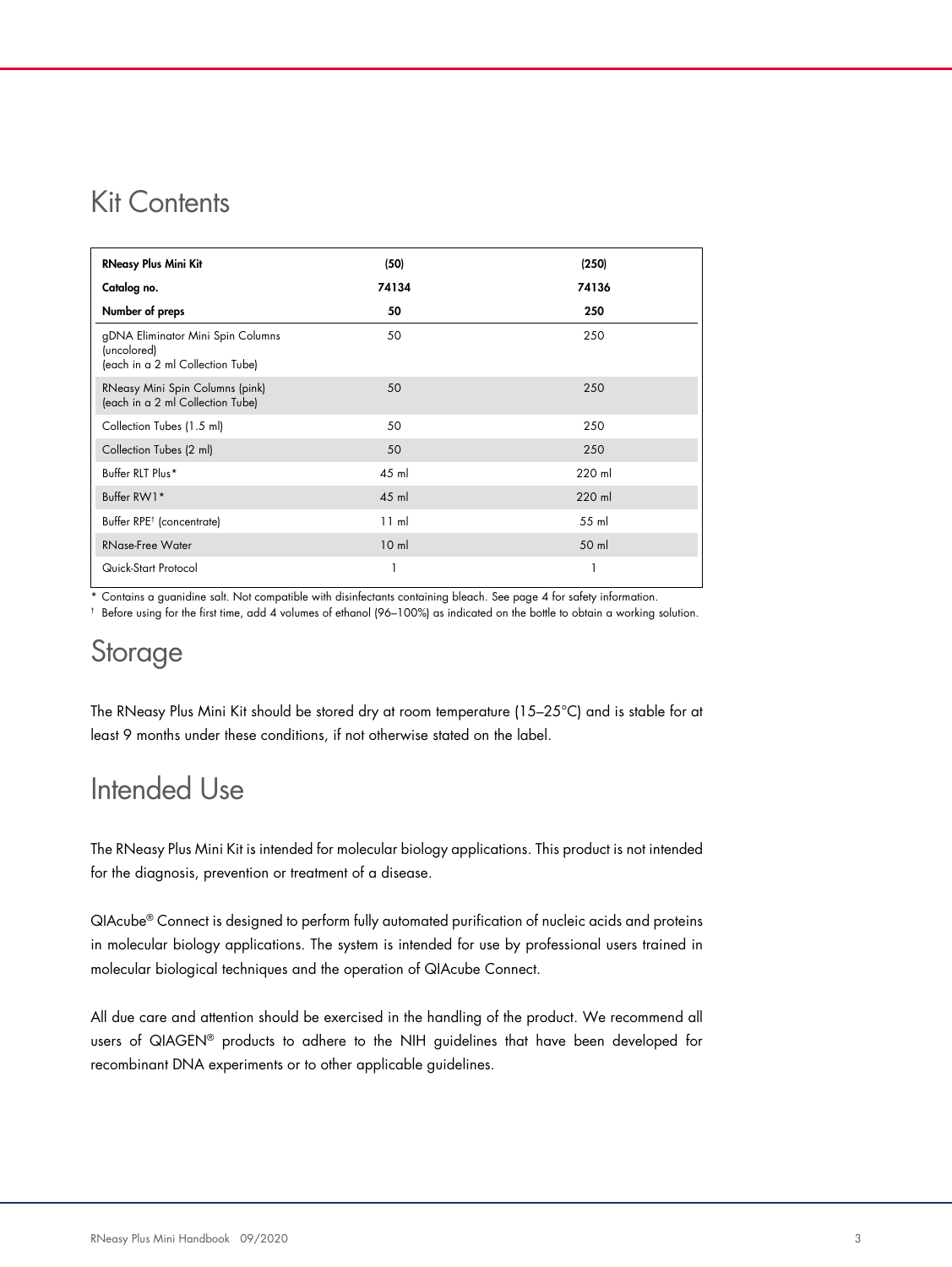### Kit Contents

| <b>RNeasy Plus Mini Kit</b>                                                          | (50)            | (250)  |
|--------------------------------------------------------------------------------------|-----------------|--------|
| Catalog no.                                                                          | 74134           | 74136  |
| Number of preps                                                                      | 50              | 250    |
| gDNA Eliminator Mini Spin Columns<br>(uncolored)<br>(each in a 2 ml Collection Tube) | 50              | 250    |
| RNeasy Mini Spin Columns (pink)<br>(each in a 2 ml Collection Tube)                  | 50              | 250    |
| Collection Tubes (1.5 ml)                                                            | 50              | 250    |
| Collection Tubes (2 ml)                                                              | 50              | 250    |
| Buffer RLT Plus*                                                                     | 45 ml           | 220 ml |
| Buffer RW1*                                                                          | $45$ m          | 220 ml |
| Buffer RPE <sup>†</sup> (concentrate)                                                | 11 ml           | 55 ml  |
| RNase-Free Water                                                                     | 10 <sub>m</sub> | 50 ml  |
| Quick-Start Protocol                                                                 |                 |        |

\* Contains a guanidine salt. Not compatible with disinfectants containing bleach. See page 4 for safety information.

† Before using for the first time, add 4 volumes of ethanol (96–100%) as indicated on the bottle to obtain a working solution.

### **Storage**

The RNeasy Plus Mini Kit should be stored dry at room temperature (15–25°C) and is stable for at least 9 months under these conditions, if not otherwise stated on the label.

## Intended Use

The RNeasy Plus Mini Kit is intended for molecular biology applications. This product is not intended for the diagnosis, prevention or treatment of a disease.

QIAcube® Connect is designed to perform fully automated purification of nucleic acids and proteins in molecular biology applications. The system is intended for use by professional users trained in molecular biological techniques and the operation of QIAcube Connect.

All due care and attention should be exercised in the handling of the product. We recommend all users of QIAGEN® products to adhere to the NIH guidelines that have been developed for recombinant DNA experiments or to other applicable guidelines.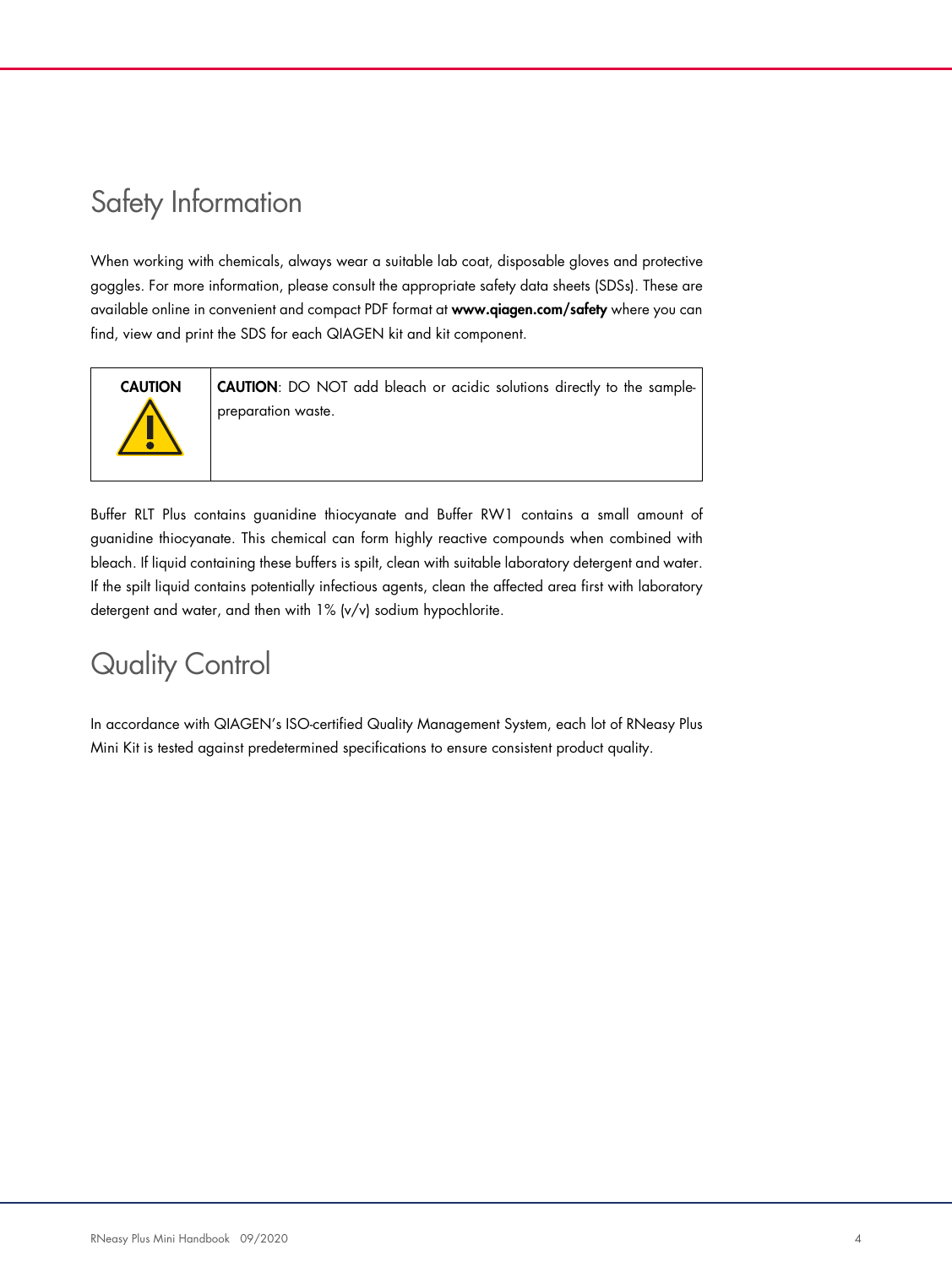# Safety Information

When working with chemicals, always wear a suitable lab coat, disposable gloves and protective goggles. For more information, please consult the appropriate safety data sheets (SDSs). These are available online in convenient and compact PDF format at www.qiagen.com/safety where you can find, view and print the SDS for each QIAGEN kit and kit component.



CAUTION CAUTION: DO NOT add bleach or acidic solutions directly to the samplepreparation waste.

Buffer RLT Plus contains guanidine thiocyanate and Buffer RW1 contains a small amount of guanidine thiocyanate. This chemical can form highly reactive compounds when combined with bleach. If liquid containing these buffers is spilt, clean with suitable laboratory detergent and water. If the spilt liquid contains potentially infectious agents, clean the affected area first with laboratory detergent and water, and then with 1% (v/v) sodium hypochlorite.

# Quality Control

In accordance with QIAGEN's ISO-certified Quality Management System, each lot of RNeasy Plus Mini Kit is tested against predetermined specifications to ensure consistent product quality.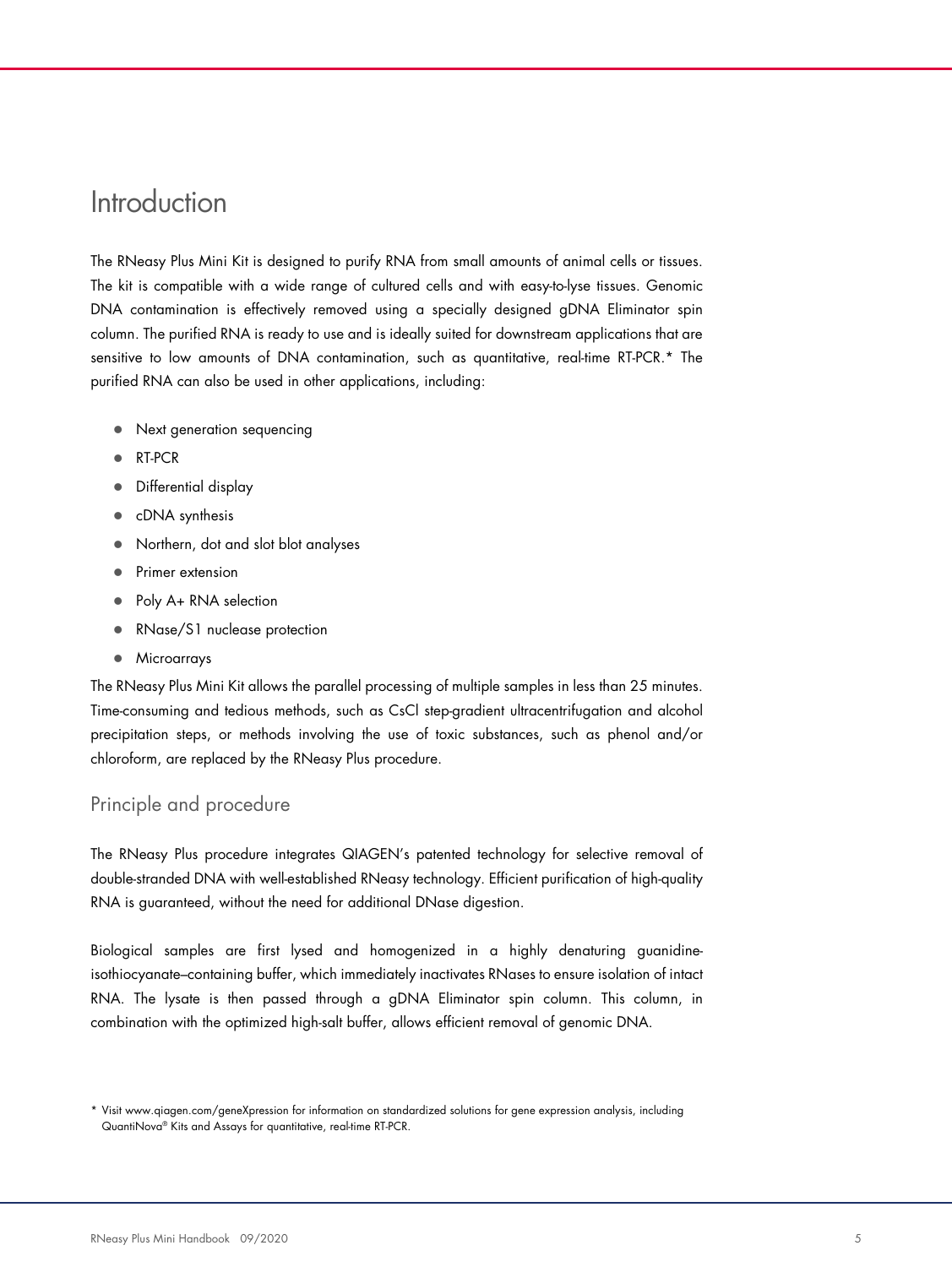### **Introduction**

The RNeasy Plus Mini Kit is designed to purify RNA from small amounts of animal cells or tissues. The kit is compatible with a wide range of cultured cells and with easy-to-lyse tissues. Genomic DNA contamination is effectively removed using a specially designed gDNA Eliminator spin column. The purified RNA is ready to use and is ideally suited for downstream applications that are sensitive to low amounts of DNA contamination, such as quantitative, real-time RT-PCR.\* The purified RNA can also be used in other applications, including:

- Next generation sequencing
- RT-PCR
- Differential display
- cDNA synthesis
- Northern, dot and slot blot analyses
- Primer extension
- Poly A+ RNA selection
- RNase/S1 nuclease protection
- **•** Microarrays

The RNeasy Plus Mini Kit allows the parallel processing of multiple samples in less than 25 minutes. Time-consuming and tedious methods, such as CsCl step-gradient ultracentrifugation and alcohol precipitation steps, or methods involving the use of toxic substances, such as phenol and/or chloroform, are replaced by the RNeasy Plus procedure.

#### Principle and procedure

The RNeasy Plus procedure integrates QIAGEN's patented technology for selective removal of double-stranded DNA with well-established RNeasy technology. Efficient purification of high-quality RNA is guaranteed, without the need for additional DNase digestion.

Biological samples are first lysed and homogenized in a highly denaturing guanidineisothiocyanate–containing buffer, which immediately inactivates RNases to ensure isolation of intact RNA. The lysate is then passed through a gDNA Eliminator spin column. This column, in combination with the optimized high-salt buffer, allows efficient removal of genomic DNA.

<sup>\*</sup> Visit www.qiagen.com/geneXpression for information on standardized solutions for gene expression analysis, including QuantiNova® Kits and Assays for quantitative, real-time RT-PCR.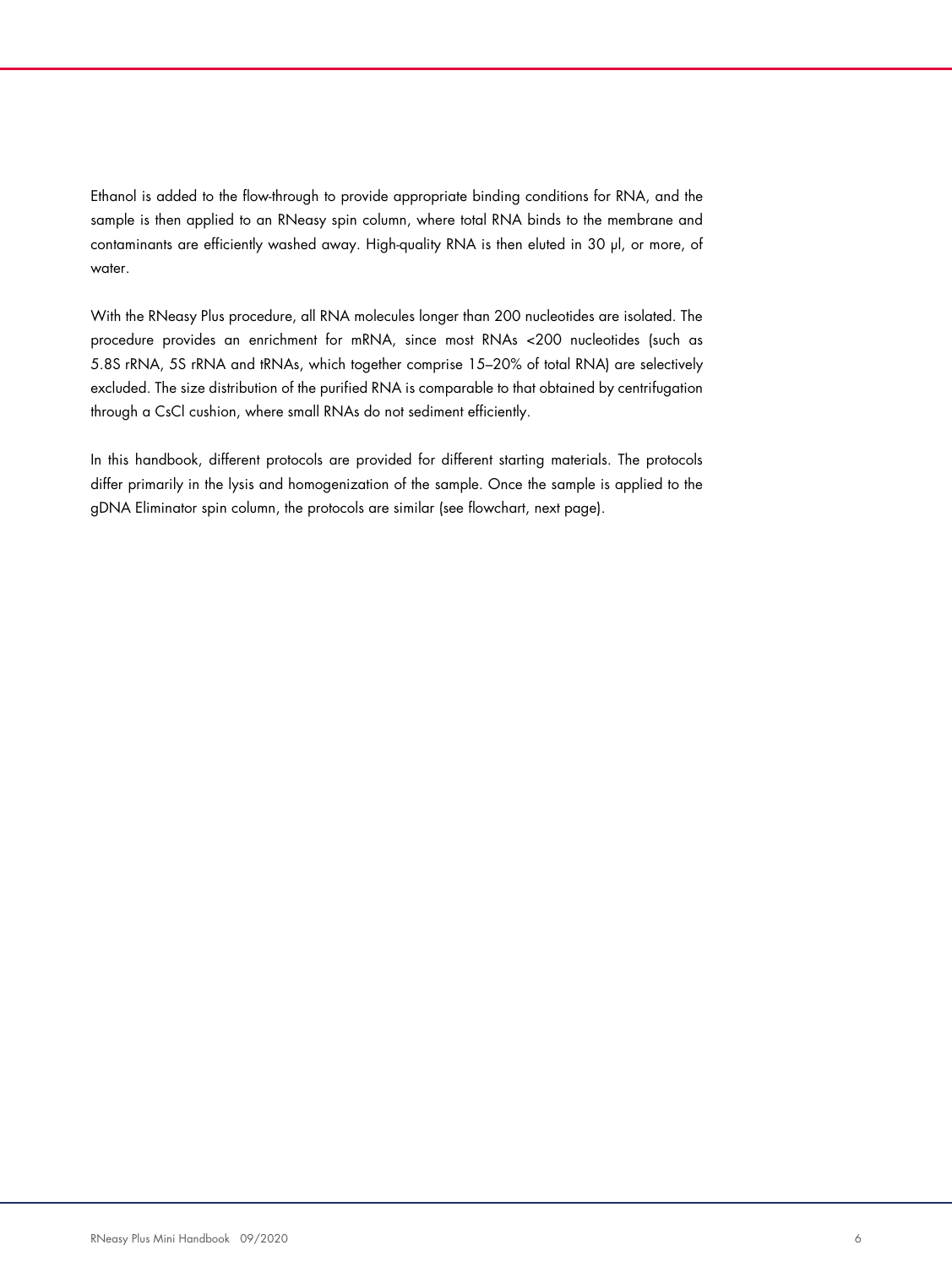Ethanol is added to the flow-through to provide appropriate binding conditions for RNA, and the sample is then applied to an RNeasy spin column, where total RNA binds to the membrane and contaminants are efficiently washed away. High-quality RNA is then eluted in 30 µl, or more, of water.

With the RNeasy Plus procedure, all RNA molecules longer than 200 nucleotides are isolated. The procedure provides an enrichment for mRNA, since most RNAs <200 nucleotides (such as 5.8S rRNA, 5S rRNA and tRNAs, which together comprise 15–20% of total RNA) are selectively excluded. The size distribution of the purified RNA is comparable to that obtained by centrifugation through a CsCl cushion, where small RNAs do not sediment efficiently.

In this handbook, different protocols are provided for different starting materials. The protocols differ primarily in the lysis and homogenization of the sample. Once the sample is applied to the gDNA Eliminator spin column, the protocols are similar (see flowchart, next page).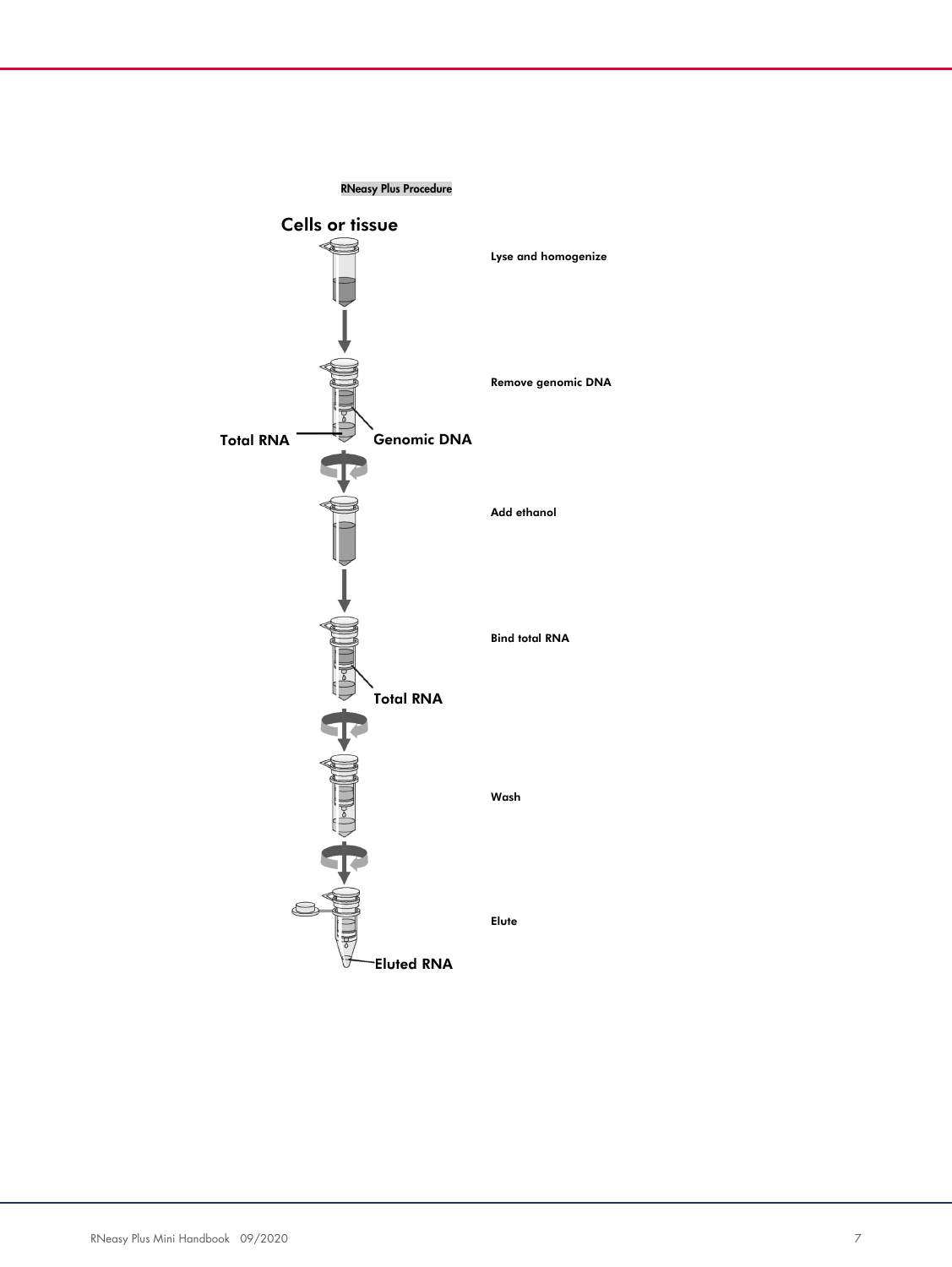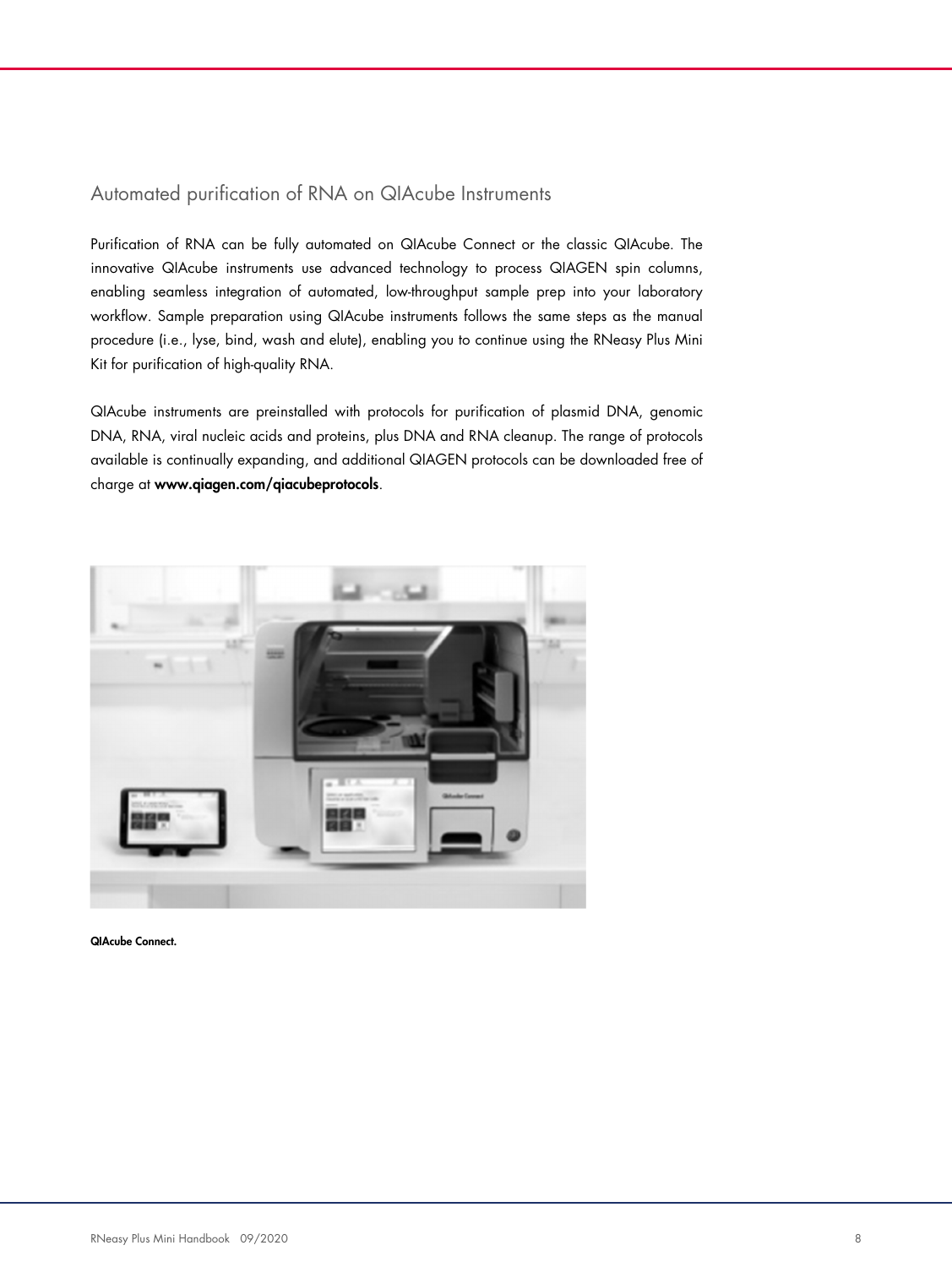#### Automated purification of RNA on QIAcube Instruments

Purification of RNA can be fully automated on QIAcube Connect or the classic QIAcube. The innovative QIAcube instruments use advanced technology to process QIAGEN spin columns, enabling seamless integration of automated, low-throughput sample prep into your laboratory workflow. Sample preparation using QIAcube instruments follows the same steps as the manual procedure (i.e., lyse, bind, wash and elute), enabling you to continue using the RNeasy Plus Mini Kit for purification of high-quality RNA.

QIAcube instruments are preinstalled with protocols for purification of plasmid DNA, genomic DNA, RNA, viral nucleic acids and proteins, plus DNA and RNA cleanup. The range of protocols available is continually expanding, and additional QIAGEN protocols can be downloaded free of charge at www.qiagen.com/qiacubeprotocols.



QIAcube Connect.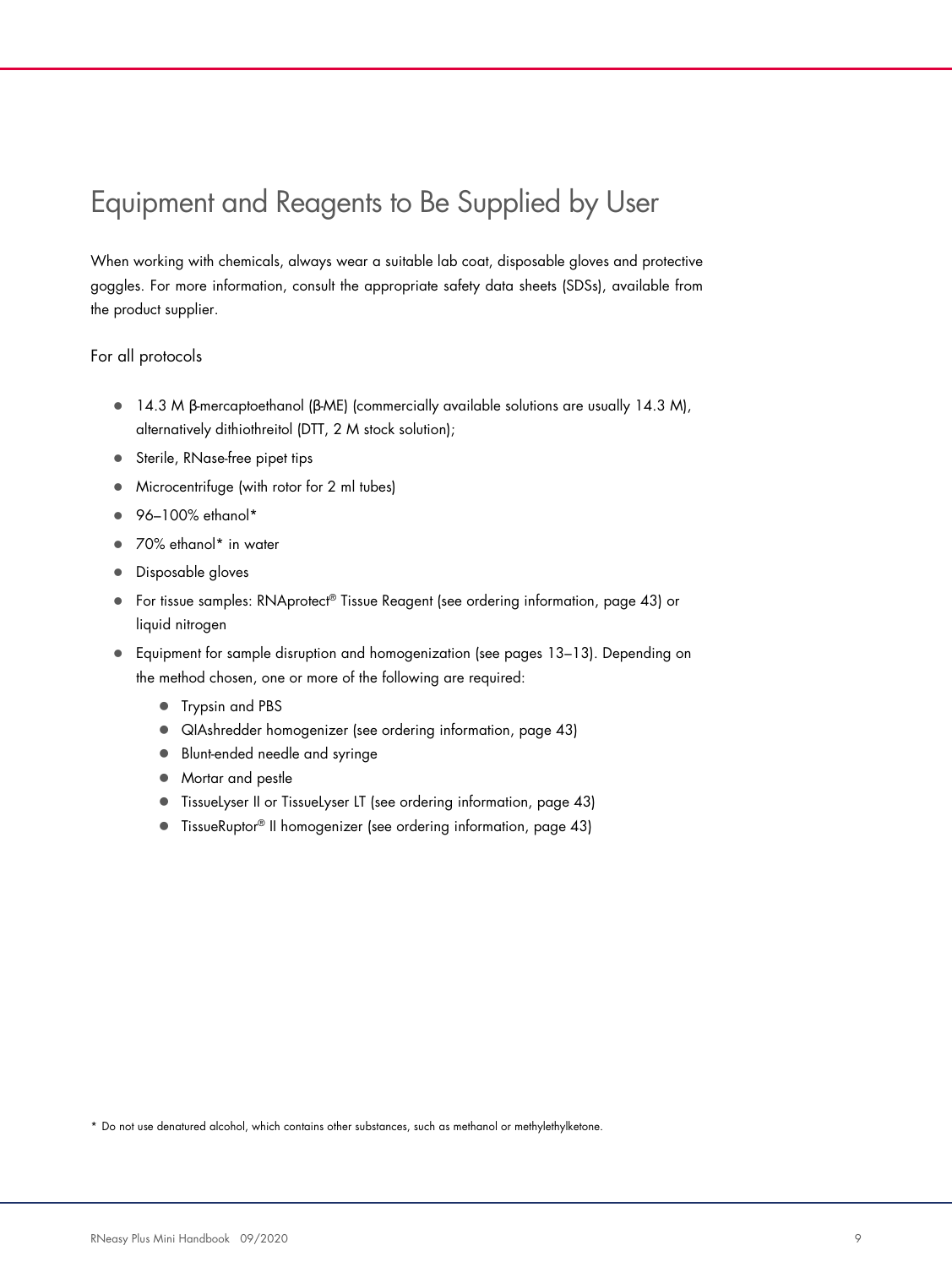# Equipment and Reagents to Be Supplied by User

When working with chemicals, always wear a suitable lab coat, disposable gloves and protective goggles. For more information, consult the appropriate safety data sheets (SDSs), available from the product supplier.

#### For all protocols

- 14.3 M β-mercaptoethanol (β-ME) (commercially available solutions are usually 14.3 M), alternatively dithiothreitol (DTT, 2 M stock solution);
- Sterile, RNase-free pipet tips
- Microcentrifuge (with rotor for 2 ml tubes)
- $\bullet$  96-100% ethanol\*
- 70% ethanol\* in water
- **•** Disposable gloves
- For tissue samples: RNAprotect® Tissue Reagent (see ordering information, page 43) or liquid nitrogen
- Equipment for sample disruption and homogenization (see pages 13–13). Depending on the method chosen, one or more of the following are required:
	- Trypsin and PBS
	- QIAshredder homogenizer (see ordering information, page 43)
	- **Blunt-ended needle and syringe**
	- Mortar and pestle
	- TissueLyser II or TissueLyser LT (see ordering information, page 43)
	- TissueRuptor<sup>®</sup> II homogenizer (see ordering information, page 43)

\* Do not use denatured alcohol, which contains other substances, such as methanol or methylethylketone.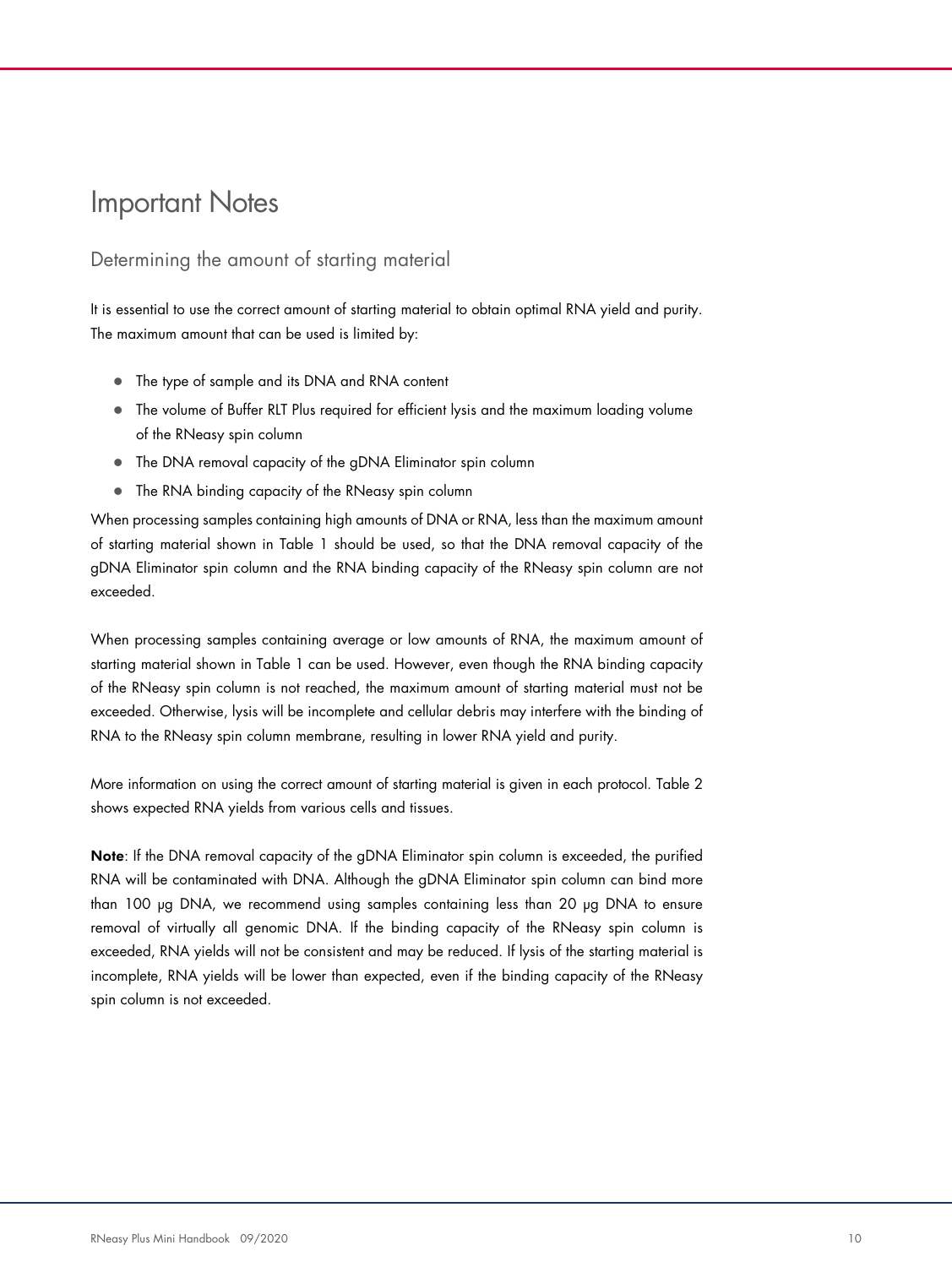### Important Notes

#### Determining the amount of starting material

It is essential to use the correct amount of starting material to obtain optimal RNA yield and purity. The maximum amount that can be used is limited by:

- The type of sample and its DNA and RNA content
- The volume of Buffer RLT Plus required for efficient lysis and the maximum loading volume of the RNeasy spin column
- The DNA removal capacity of the gDNA Eliminator spin column
- The RNA binding capacity of the RNeasy spin column

When processing samples containing high amounts of DNA or RNA, less than the maximum amount of starting material shown in Table 1 should be used, so that the DNA removal capacity of the gDNA Eliminator spin column and the RNA binding capacity of the RNeasy spin column are not exceeded.

When processing samples containing average or low amounts of RNA, the maximum amount of starting material shown in Table 1 can be used. However, even though the RNA binding capacity of the RNeasy spin column is not reached, the maximum amount of starting material must not be exceeded. Otherwise, lysis will be incomplete and cellular debris may interfere with the binding of RNA to the RNeasy spin column membrane, resulting in lower RNA yield and purity.

More information on using the correct amount of starting material is given in each protocol. Table 2 shows expected RNA yields from various cells and tissues.

Note: If the DNA removal capacity of the gDNA Eliminator spin column is exceeded, the purified RNA will be contaminated with DNA. Although the gDNA Eliminator spin column can bind more than 100 µg DNA, we recommend using samples containing less than 20 µg DNA to ensure removal of virtually all genomic DNA. If the binding capacity of the RNeasy spin column is exceeded, RNA yields will not be consistent and may be reduced. If lysis of the starting material is incomplete, RNA yields will be lower than expected, even if the binding capacity of the RNeasy spin column is not exceeded.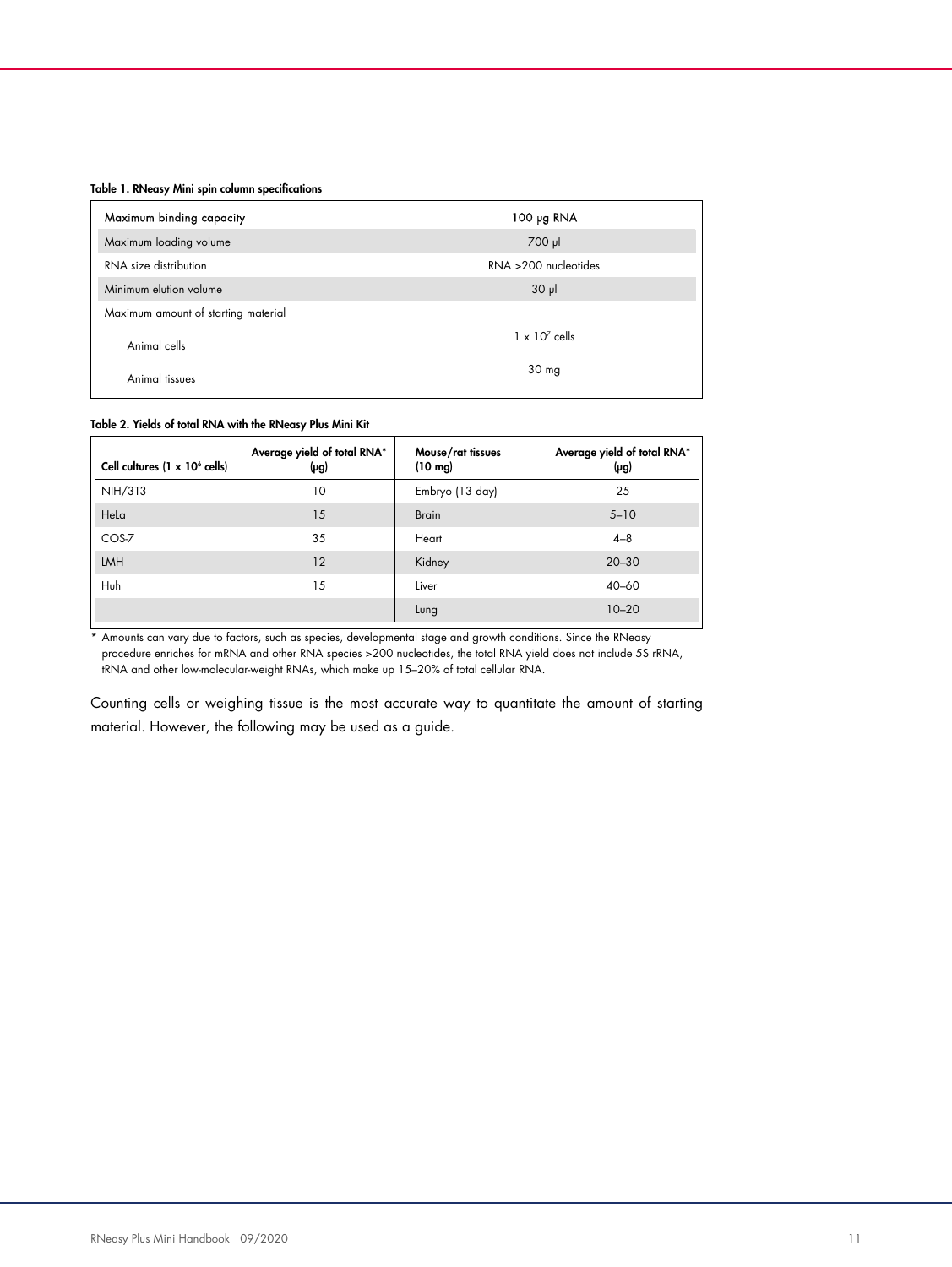#### Table 1. RNeasy Mini spin column specifications

| Maximum binding capacity            | 100 $\mu$ g RNA         |
|-------------------------------------|-------------------------|
| Maximum loading volume              | $700$ $\mu$             |
| RNA size distribution               | $RNA > 200$ nucleotides |
| Minimum elution volume              | $30 \mu$                |
| Maximum amount of starting material |                         |
| Animal cells                        | $1 \times 10^7$ cells   |
| Animal tissues                      | 30 <sub>mg</sub>        |

#### Table 2. Yields of total RNA with the RNeasy Plus Mini Kit

| Cell cultures $(1 \times 10^6 \text{ cells})$ | Average yield of total RNA*<br>(µg) | Mouse/rat tissues<br>$(10 \text{ mg})$ | Average yield of total RNA*<br>(µg) |
|-----------------------------------------------|-------------------------------------|----------------------------------------|-------------------------------------|
| <b>NIH/3T3</b>                                | 10                                  | Embryo (13 day)                        | 25                                  |
| Hela                                          | 15                                  | <b>Brain</b>                           | $5 - 10$                            |
| COS-7                                         | 35                                  | Heart                                  | $4 - 8$                             |
| LMH                                           | 12                                  | Kidney                                 | $20 - 30$                           |
| Huh                                           | 15                                  | Liver                                  | $40 - 60$                           |
|                                               |                                     | Lung                                   | $10 - 20$                           |

\* Amounts can vary due to factors, such as species, developmental stage and growth conditions. Since the RNeasy procedure enriches for mRNA and other RNA species >200 nucleotides, the total RNA yield does not include 5S rRNA, tRNA and other low-molecular-weight RNAs, which make up 15–20% of total cellular RNA.

Counting cells or weighing tissue is the most accurate way to quantitate the amount of starting material. However, the following may be used as a guide.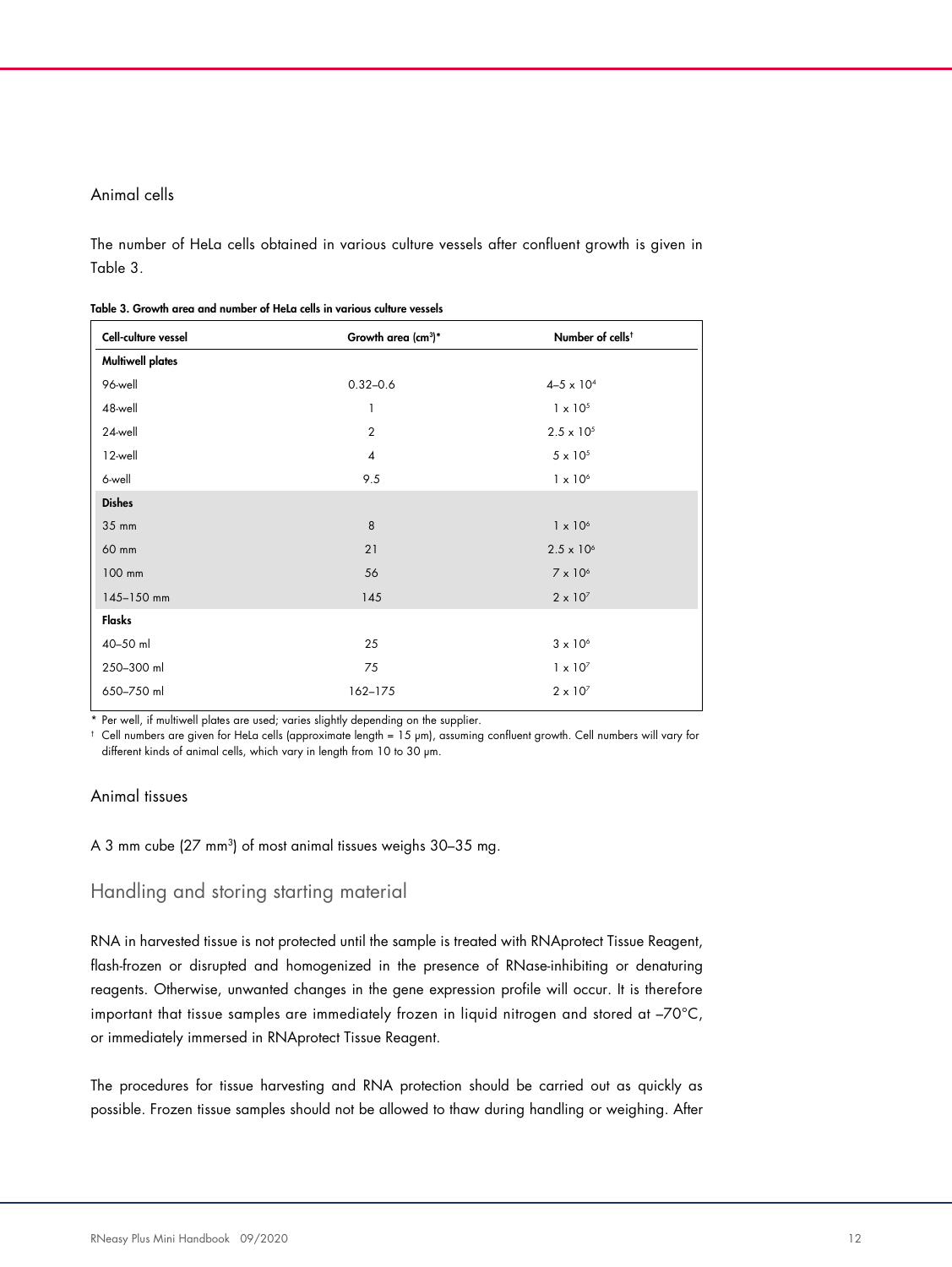#### Animal cells

The number of HeLa cells obtained in various culture vessels after confluent growth is given in Table 3.

| Cell-culture vessel     | Growth area (cm <sup>3</sup> )* | Number of cells <sup>t</sup> |
|-------------------------|---------------------------------|------------------------------|
| <b>Multiwell plates</b> |                                 |                              |
| 96-well                 | $0.32 - 0.6$                    | $4 - 5 \times 10^{4}$        |
| 48-well                 | 1                               | $1 \times 10^{5}$            |
| 24-well                 | $\overline{2}$                  | $2.5 \times 10^{5}$          |
| 12-well                 | $\pmb{4}$                       | $5 \times 10^5$              |
| 6-well                  | 9.5                             | $1 \times 10^6$              |
| <b>Dishes</b>           |                                 |                              |
| 35 mm                   | 8                               | $1 \times 10^6$              |
| 60 mm                   | 21                              | $2.5 \times 10^{6}$          |
| 100 mm                  | 56                              | $7 \times 10^6$              |
| 145-150 mm              | 145                             | $2 \times 10^{7}$            |
| Flasks                  |                                 |                              |
| 40-50 ml                | 25                              | $3 \times 10^6$              |
| 250-300 ml              | 75                              | $1 \times 10^{7}$            |
| 650-750 ml              | 162-175                         | $2 \times 10^{7}$            |

Table 3. Growth area and number of HeLa cells in various culture vessels

\* Per well, if multiwell plates are used; varies slightly depending on the supplier.

† Cell numbers are given for HeLa cells (approximate length = 15 µm), assuming confluent growth. Cell numbers will vary for different kinds of animal cells, which vary in length from 10 to 30 µm.

#### Animal tissues

A 3 mm cube (27 mm<sup>3</sup> ) of most animal tissues weighs 30–35 mg.

#### Handling and storing starting material

RNA in harvested tissue is not protected until the sample is treated with RNAprotect Tissue Reagent, flash-frozen or disrupted and homogenized in the presence of RNase-inhibiting or denaturing reagents. Otherwise, unwanted changes in the gene expression profile will occur. It is therefore important that tissue samples are immediately frozen in liquid nitrogen and stored at –70°C, or immediately immersed in RNAprotect Tissue Reagent.

The procedures for tissue harvesting and RNA protection should be carried out as quickly as possible. Frozen tissue samples should not be allowed to thaw during handling or weighing. After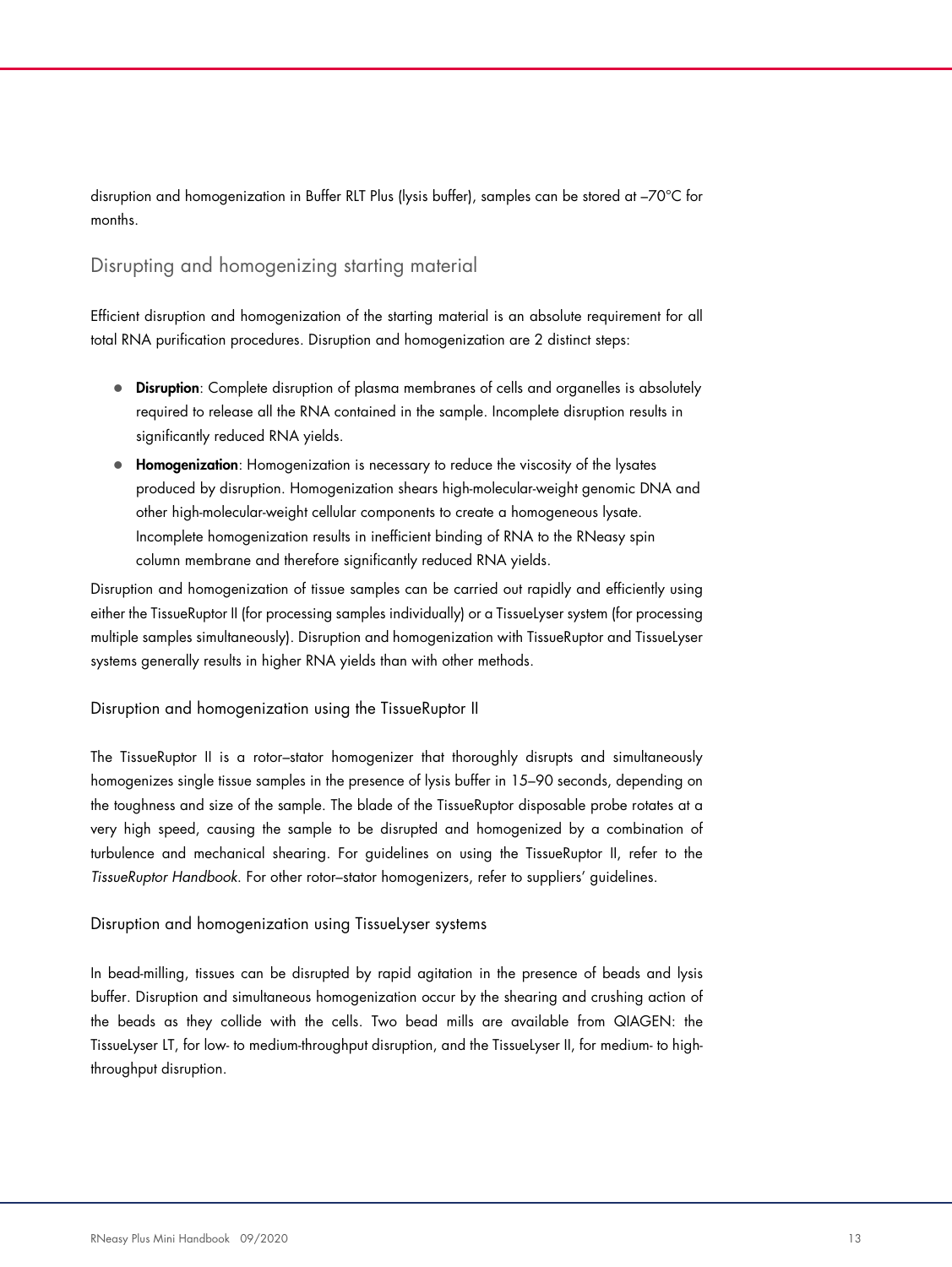disruption and homogenization in Buffer RLT Plus (lysis buffer), samples can be stored at –70°C for months.

#### Disrupting and homogenizing starting material

Efficient disruption and homogenization of the starting material is an absolute requirement for all total RNA purification procedures. Disruption and homogenization are 2 distinct steps:

- Disruption: Complete disruption of plasma membranes of cells and organelles is absolutely required to release all the RNA contained in the sample. Incomplete disruption results in significantly reduced RNA yields.
- **Homogenization**: Homogenization is necessary to reduce the viscosity of the lysates produced by disruption. Homogenization shears high-molecular-weight genomic DNA and other high-molecular-weight cellular components to create a homogeneous lysate. Incomplete homogenization results in inefficient binding of RNA to the RNeasy spin column membrane and therefore significantly reduced RNA yields.

Disruption and homogenization of tissue samples can be carried out rapidly and efficiently using either the TissueRuptor II (for processing samples individually) or a TissueLyser system (for processing multiple samples simultaneously). Disruption and homogenization with TissueRuptor and TissueLyser systems generally results in higher RNA yields than with other methods.

#### Disruption and homogenization using the TissueRuptor II

The TissueRuptor II is a rotor–stator homogenizer that thoroughly disrupts and simultaneously homogenizes single tissue samples in the presence of lysis buffer in 15–90 seconds, depending on the toughness and size of the sample. The blade of the TissueRuptor disposable probe rotates at a very high speed, causing the sample to be disrupted and homogenized by a combination of turbulence and mechanical shearing. For guidelines on using the TissueRuptor II, refer to the TissueRuptor Handbook. For other rotor–stator homogenizers, refer to suppliers' guidelines.

#### Disruption and homogenization using TissueLyser systems

In bead-milling, tissues can be disrupted by rapid agitation in the presence of beads and lysis buffer. Disruption and simultaneous homogenization occur by the shearing and crushing action of the beads as they collide with the cells. Two bead mills are available from QIAGEN: the TissueLyser LT, for low- to medium-throughput disruption, and the TissueLyser II, for medium- to highthroughput disruption.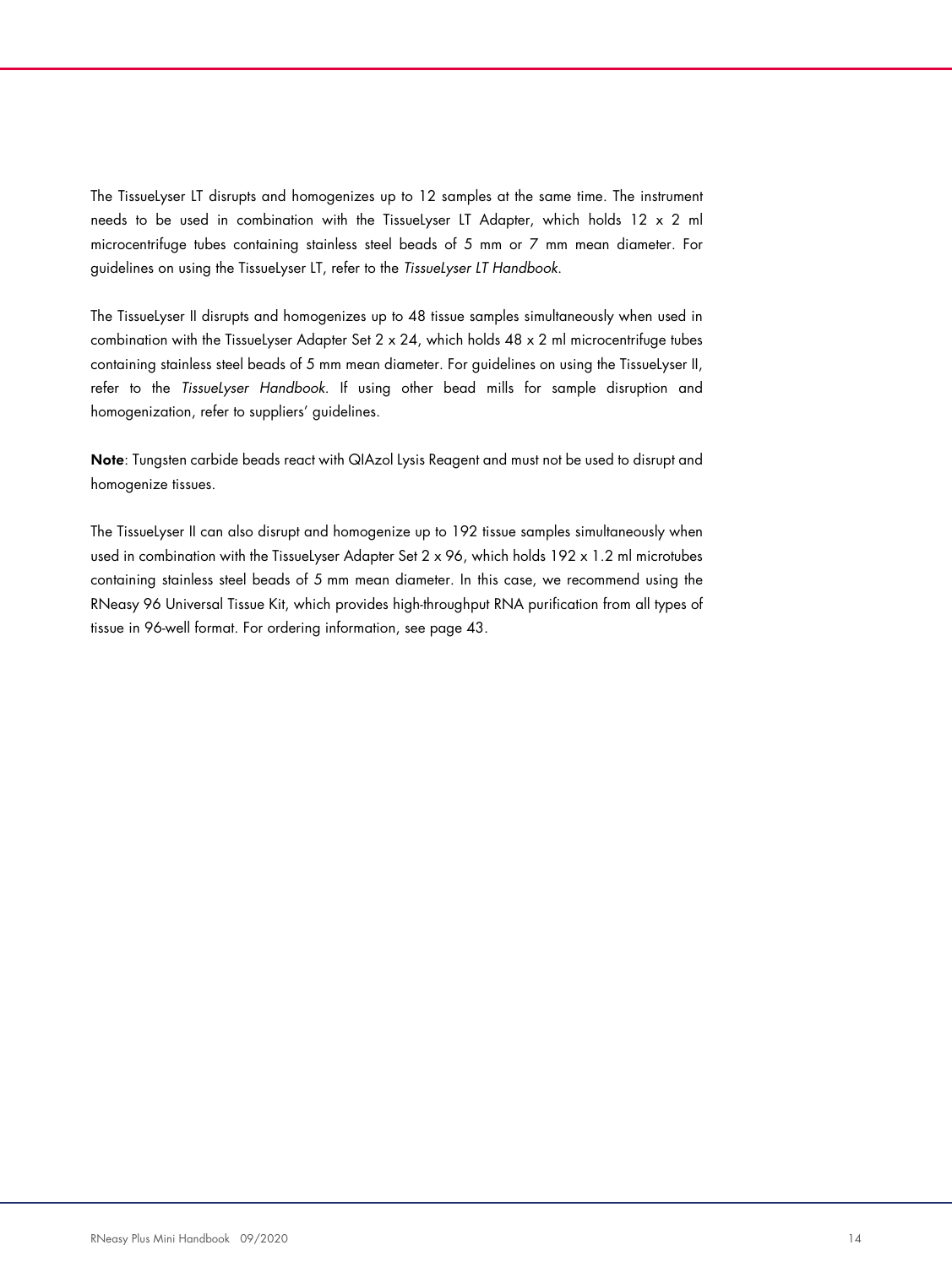The TissueLyser LT disrupts and homogenizes up to 12 samples at the same time. The instrument needs to be used in combination with the TissueLyser LT Adapter, which holds 12 x 2 ml microcentrifuge tubes containing stainless steel beads of 5 mm or 7 mm mean diameter. For guidelines on using the TissueLyser LT, refer to the TissueLyser LT Handbook.

The TissueLyser II disrupts and homogenizes up to 48 tissue samples simultaneously when used in combination with the TissueLyser Adapter Set  $2 \times 24$ , which holds  $48 \times 2$  ml microcentrifuge tubes containing stainless steel beads of 5 mm mean diameter. For guidelines on using the TissueLyser II, refer to the TissueLyser Handbook. If using other bead mills for sample disruption and homogenization, refer to suppliers' guidelines.

Note: Tungsten carbide beads react with QIAzol Lysis Reagent and must not be used to disrupt and homogenize tissues.

The TissueLyser II can also disrupt and homogenize up to 192 tissue samples simultaneously when used in combination with the TissueLyser Adapter Set  $2 \times 96$ , which holds  $192 \times 1.2$  ml microtubes containing stainless steel beads of 5 mm mean diameter. In this case, we recommend using the RNeasy 96 Universal Tissue Kit, which provides high-throughput RNA purification from all types of tissue in 96-well format. For ordering information, see page 43.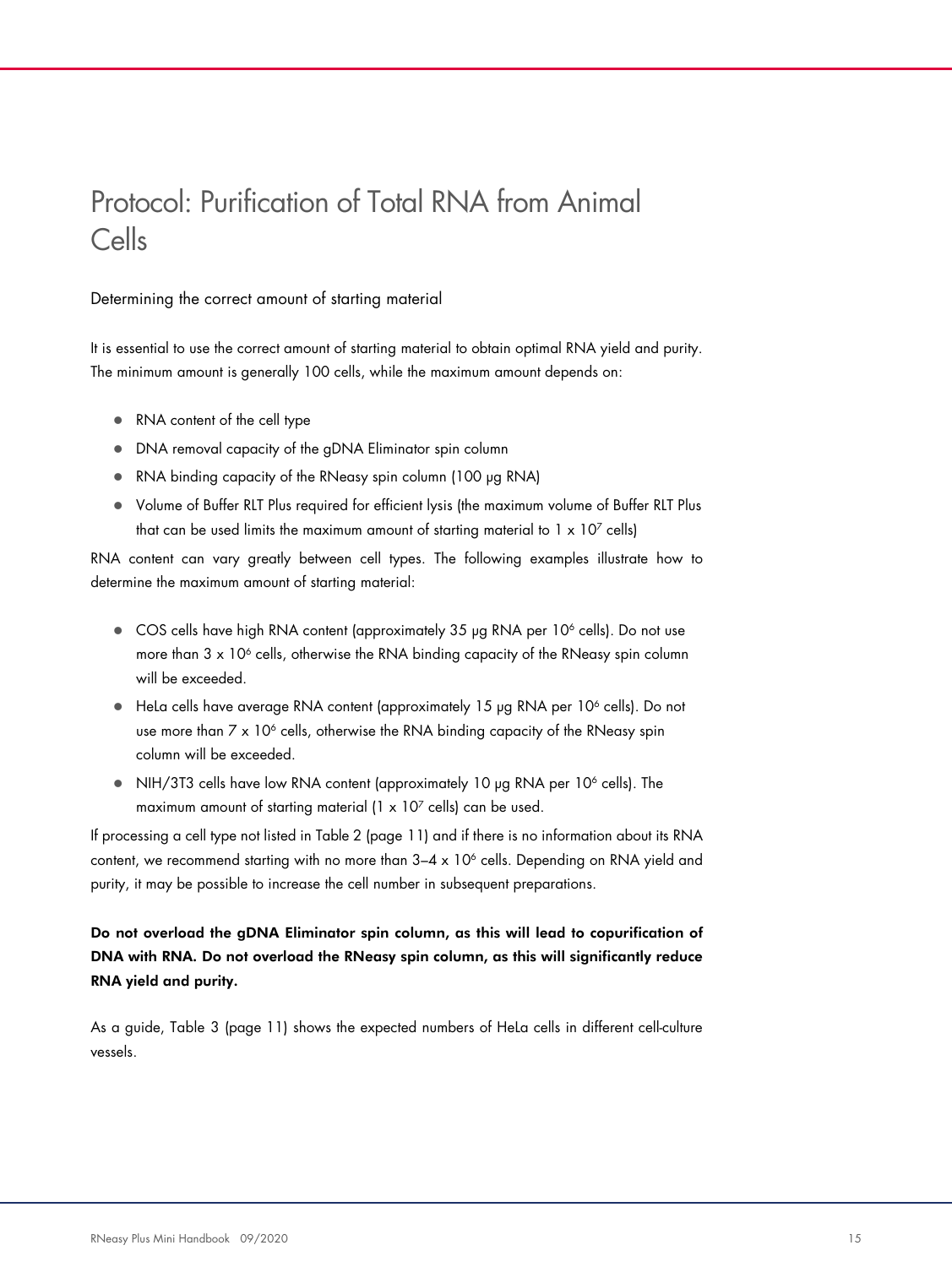# Protocol: Purification of Total RNA from Animal Cells

Determining the correct amount of starting material

It is essential to use the correct amount of starting material to obtain optimal RNA yield and purity. The minimum amount is generally 100 cells, while the maximum amount depends on:

- RNA content of the cell type
- DNA removal capacity of the gDNA Eliminator spin column
- RNA binding capacity of the RNeasy spin column (100 µg RNA)
- Volume of Buffer RLT Plus required for efficient lysis (the maximum volume of Buffer RLT Plus that can be used limits the maximum amount of starting material to 1  $\times$  10<sup>7</sup> cells)

RNA content can vary greatly between cell types. The following examples illustrate how to determine the maximum amount of starting material:

- COS cells have high RNA content (approximately 35 µg RNA per 10<sup>6</sup> cells). Do not use more than  $3 \times 10^6$  cells, otherwise the RNA binding capacity of the RNeasy spin column will be exceeded.
- HeLa cells have average RNA content (approximately 15 µg RNA per 10<sup>6</sup> cells). Do not use more than 7  $\times$  10<sup>6</sup> cells, otherwise the RNA binding capacity of the RNeasy spin column will be exceeded.
- NIH/3T3 cells have low RNA content (approximately 10 µg RNA per 10<sup>6</sup> cells). The maximum amount of starting material (1  $\times$  10<sup>7</sup> cells) can be used.

If processing a cell type not listed in Table 2 (page 11) and if there is no information about its RNA content, we recommend starting with no more than 3–4 x 10<sup>6</sup> cells. Depending on RNA yield and purity, it may be possible to increase the cell number in subsequent preparations.

Do not overload the gDNA Eliminator spin column, as this will lead to copurification of DNA with RNA. Do not overload the RNeasy spin column, as this will significantly reduce RNA yield and purity.

As a guide, Table 3 (page 11) shows the expected numbers of HeLa cells in different cell-culture vessels.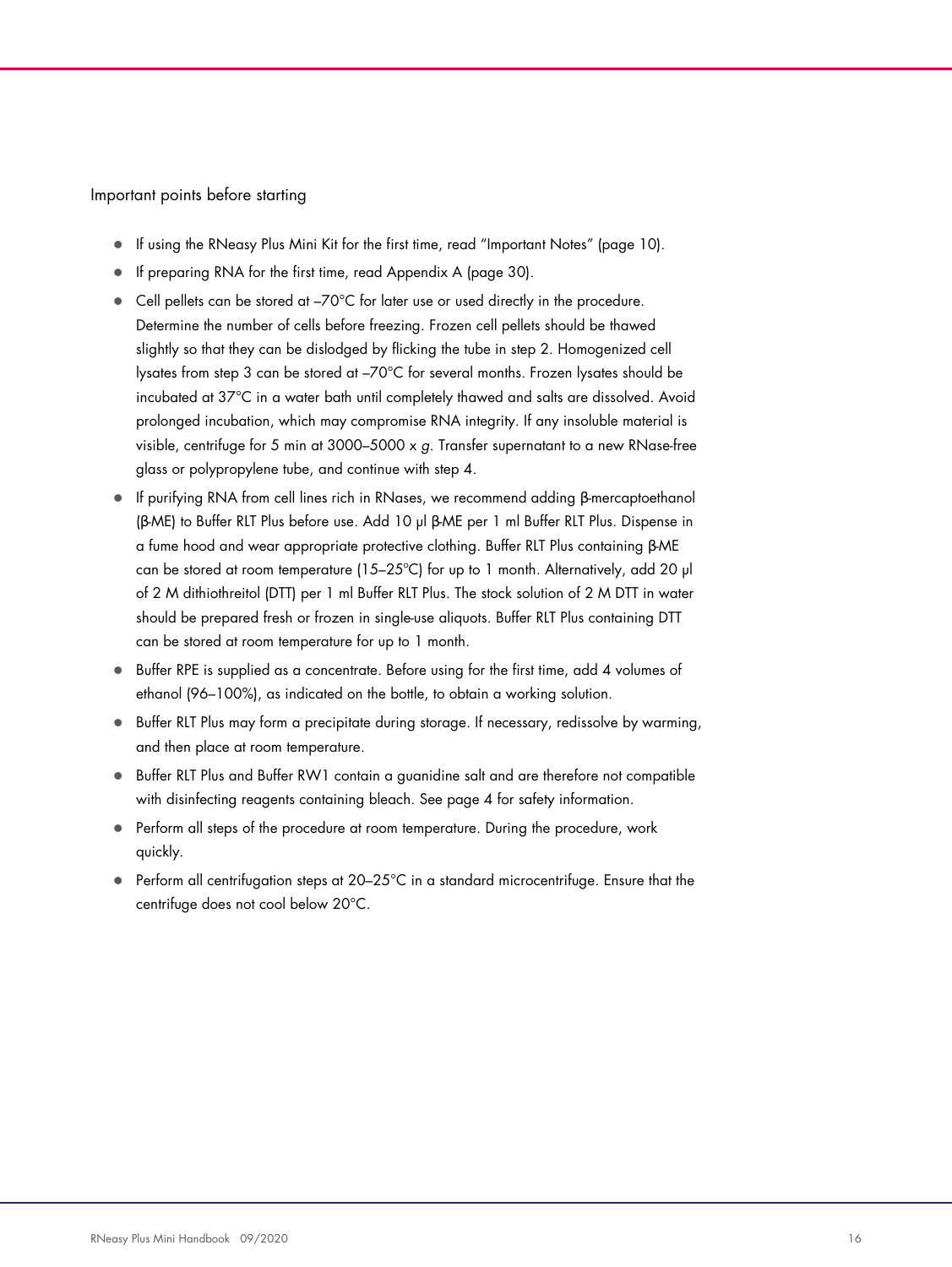Important points before starting

- If using the RNeasy Plus Mini Kit for the first time, read "Important Notes" (page 10).
- If preparing RNA for the first time, read Appendix A (page 30).
- Cell pellets can be stored at –70°C for later use or used directly in the procedure. Determine the number of cells before freezing. Frozen cell pellets should be thawed slightly so that they can be dislodged by flicking the tube in step 2. Homogenized cell lysates from step 3 can be stored at –70°C for several months. Frozen lysates should be incubated at 37°C in a water bath until completely thawed and salts are dissolved. Avoid prolonged incubation, which may compromise RNA integrity. If any insoluble material is visible, centrifuge for 5 min at 3000-5000 x  $g$ . Transfer supernatant to a new RNase-free glass or polypropylene tube, and continue with step 4.
- If purifying RNA from cell lines rich in RNases, we recommend adding β-mercaptoethanol (β-ME) to Buffer RLT Plus before use. Add 10 µl β-ME per 1 ml Buffer RLT Plus. Dispense in a fume hood and wear appropriate protective clothing. Buffer RLT Plus containing β-ME can be stored at room temperature (15–25°C) for up to 1 month. Alternatively, add 20  $\mu$ of 2 M dithiothreitol (DTT) per 1 ml Buffer RLT Plus. The stock solution of 2 M DTT in water should be prepared fresh or frozen in single-use aliquots. Buffer RLT Plus containing DTT can be stored at room temperature for up to 1 month.
- Buffer RPE is supplied as a concentrate. Before using for the first time, add 4 volumes of ethanol (96–100%), as indicated on the bottle, to obtain a working solution.
- **Buffer RLT Plus may form a precipitate during storage. If necessary, redissolve by warming,** and then place at room temperature.
- Buffer RLT Plus and Buffer RW1 contain a guanidine salt and are therefore not compatible with disinfecting reagents containing bleach. See page 4 for safety information.
- Perform all steps of the procedure at room temperature. During the procedure, work quickly.
- Perform all centrifugation steps at 20-25°C in a standard microcentrifuge. Ensure that the centrifuge does not cool below 20°C.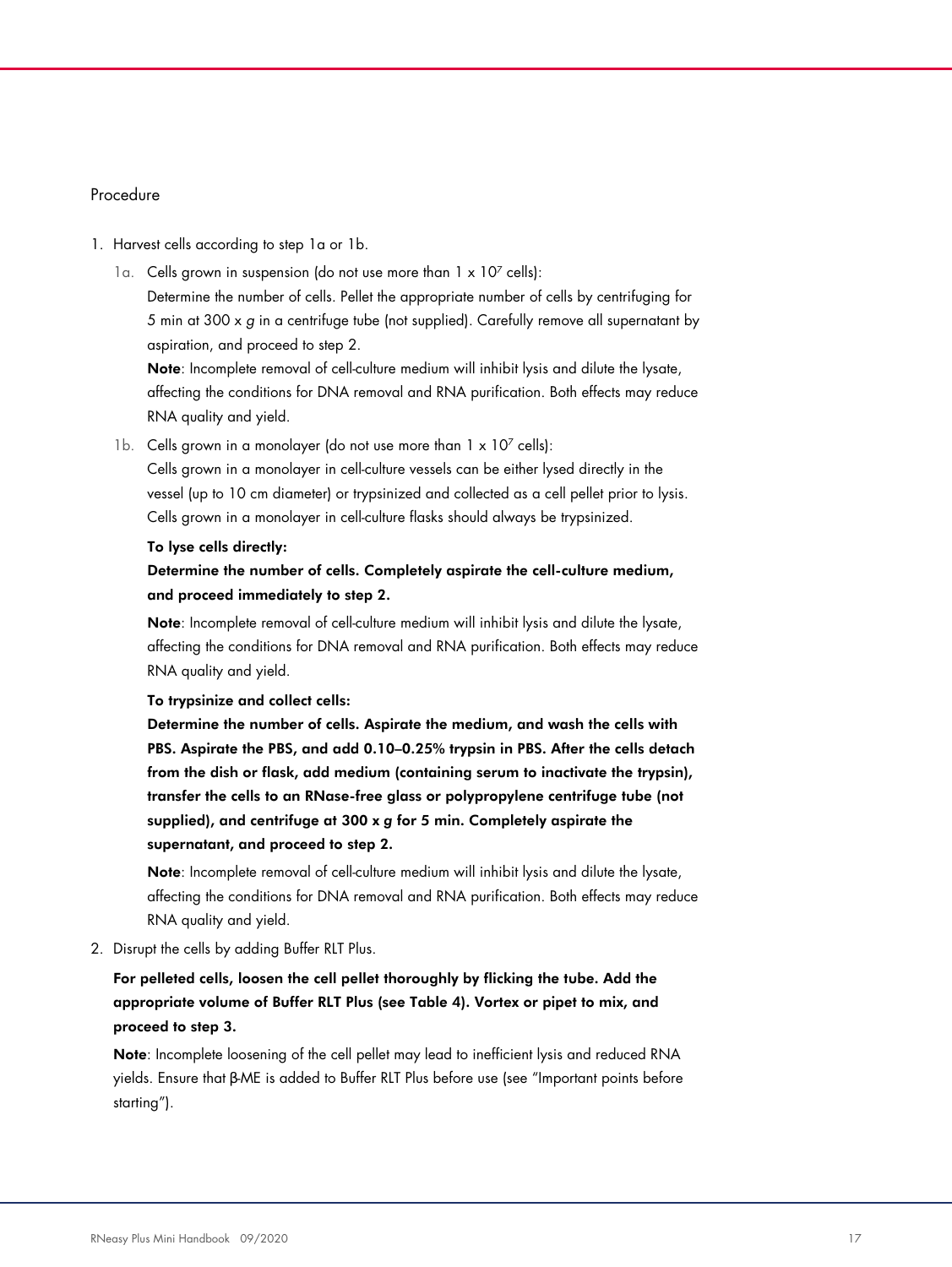#### Procedure

#### 1. Harvest cells according to step 1a or 1b.

1a. Cells grown in suspension (do not use more than  $1 \times 10^7$  cells): Determine the number of cells. Pellet the appropriate number of cells by centrifuging for 5 min at 300 x g in a centrifuge tube (not supplied). Carefully remove all supernatant by aspiration, and proceed to step 2.

Note: Incomplete removal of cell-culture medium will inhibit lysis and dilute the lysate, affecting the conditions for DNA removal and RNA purification. Both effects may reduce RNA quality and yield.

1b. Cells grown in a monolayer (do not use more than  $1 \times 10^7$  cells):

Cells grown in a monolayer in cell-culture vessels can be either lysed directly in the vessel (up to 10 cm diameter) or trypsinized and collected as a cell pellet prior to lysis. Cells grown in a monolayer in cell-culture flasks should always be trypsinized.

#### To lyse cells directly:

#### Determine the number of cells. Completely aspirate the cell-culture medium, and proceed immediately to step 2.

Note: Incomplete removal of cell-culture medium will inhibit lysis and dilute the lysate, affecting the conditions for DNA removal and RNA purification. Both effects may reduce RNA quality and yield.

#### To trypsinize and collect cells:

Determine the number of cells. Aspirate the medium, and wash the cells with PBS. Aspirate the PBS, and add 0.10–0.25% trypsin in PBS. After the cells detach from the dish or flask, add medium (containing serum to inactivate the trypsin), transfer the cells to an RNase-free glass or polypropylene centrifuge tube (not supplied), and centrifuge at 300 x *g* for 5 min. Completely aspirate the supernatant, and proceed to step 2.

Note: Incomplete removal of cell-culture medium will inhibit lysis and dilute the lysate, affecting the conditions for DNA removal and RNA purification. Both effects may reduce RNA quality and yield.

2. Disrupt the cells by adding Buffer RLT Plus.

#### For pelleted cells, loosen the cell pellet thoroughly by flicking the tube. Add the appropriate volume of Buffer RLT Plus (see Table 4). Vortex or pipet to mix, and proceed to step 3.

Note: Incomplete loosening of the cell pellet may lead to inefficient lysis and reduced RNA yields. Ensure that β-ME is added to Buffer RLT Plus before use (see "Important points before starting").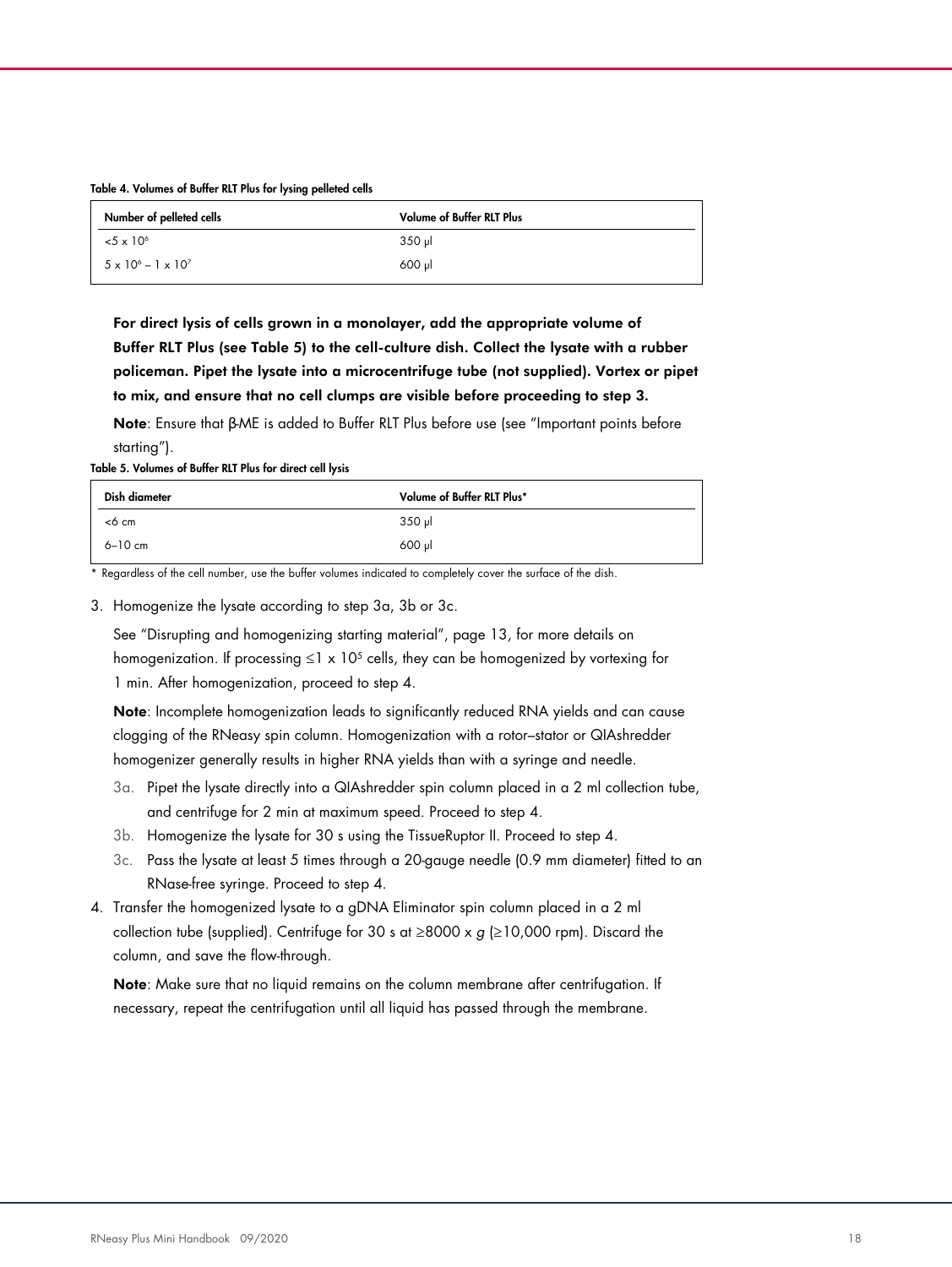#### Table 4. Volumes of Buffer RLT Plus for lysing pelleted cells

| Number of pelleted cells            | <b>Volume of Buffer RLT Plus</b> |
|-------------------------------------|----------------------------------|
| $5 \times 10^{6}$                   | $350$ pl                         |
| $5 \times 10^{6} - 1 \times 10^{7}$ | $600$ $\mu$                      |

For direct lysis of cells grown in a monolayer, add the appropriate volume of Buffer RLT Plus (see Table 5) to the cell-culture dish. Collect the lysate with a rubber policeman. Pipet the lysate into a microcentrifuge tube (not supplied). Vortex or pipet to mix, and ensure that no cell clumps are visible before proceeding to step 3.

Note: Ensure that β-ME is added to Buffer RLT Plus before use (see "Important points before starting").

Table 5. Volumes of Buffer RLT Plus for direct cell lysis

| Dish diameter | Volume of Buffer RLT Plus* |
|---------------|----------------------------|
| <6 cm         | 350 µl                     |
| 6-10 cm       | $600$ pl                   |

Regardless of the cell number, use the buffer volumes indicated to completely cover the surface of the dish.

3. Homogenize the lysate according to step 3a, 3b or 3c.

See "Disrupting and homogenizing starting material", page 13, for more details on homogenization. If processing ≤1 x 10<sup>5</sup> cells, they can be homogenized by vortexing for 1 min. After homogenization, proceed to step 4.

Note: Incomplete homogenization leads to significantly reduced RNA yields and can cause clogging of the RNeasy spin column. Homogenization with a rotor–stator or QIAshredder homogenizer generally results in higher RNA yields than with a syringe and needle.

- 3a. Pipet the lysate directly into a QIAshredder spin column placed in a 2 ml collection tube, and centrifuge for 2 min at maximum speed. Proceed to step 4.
- 3b. Homogenize the lysate for 30 s using the TissueRuptor II. Proceed to step 4.
- 3c. Pass the lysate at least 5 times through a 20-gauge needle (0.9 mm diameter) fitted to an RNase-free syringe. Proceed to step 4.
- 4. Transfer the homogenized lysate to a gDNA Eliminator spin column placed in a 2 ml collection tube (supplied). Centrifuge for 30 s at  $\geq$ 8000 x g ( $\geq$ 10,000 rpm). Discard the column, and save the flow-through.

Note: Make sure that no liquid remains on the column membrane after centrifugation. If necessary, repeat the centrifugation until all liquid has passed through the membrane.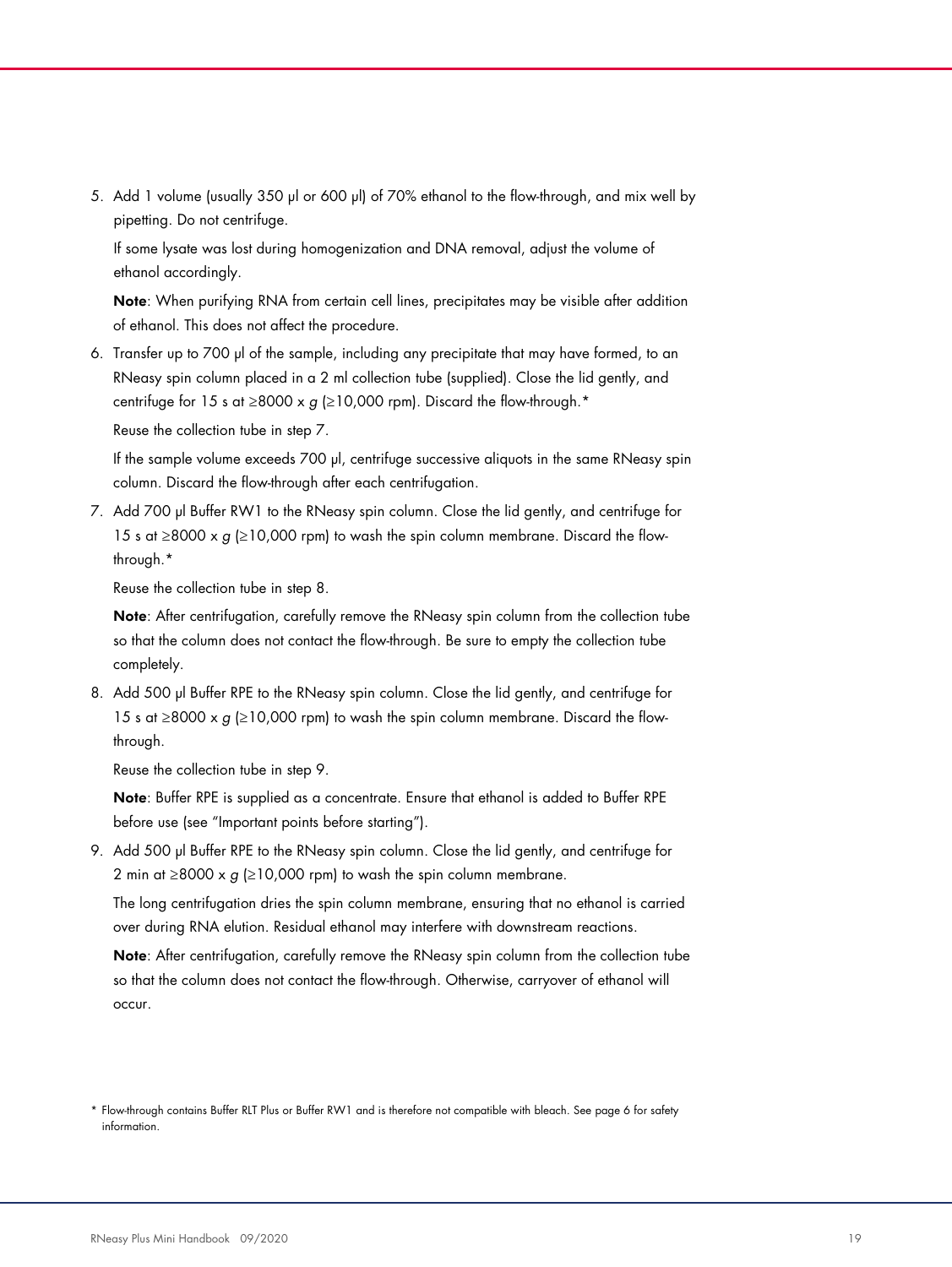5. Add 1 volume (usually 350 µl or 600 µl) of 70% ethanol to the flow-through, and mix well by pipetting. Do not centrifuge.

If some lysate was lost during homogenization and DNA removal, adjust the volume of ethanol accordingly.

Note: When purifying RNA from certain cell lines, precipitates may be visible after addition of ethanol. This does not affect the procedure.

6. Transfer up to 700 µl of the sample, including any precipitate that may have formed, to an RNeasy spin column placed in a 2 ml collection tube (supplied). Close the lid gently, and centrifuge for 15 s at ≥8000 x g (≥10,000 rpm). Discard the flow-through.\*

Reuse the collection tube in step 7.

If the sample volume exceeds 700 µl, centrifuge successive aliquots in the same RNeasy spin column. Discard the flow-through after each centrifugation.

7. Add 700 µl Buffer RW1 to the RNeasy spin column. Close the lid gently, and centrifuge for 15 s at ≥8000 x  $g$  (≥10,000 rpm) to wash the spin column membrane. Discard the flowthrough.\*

Reuse the collection tube in step 8.

Note: After centrifugation, carefully remove the RNeasy spin column from the collection tube so that the column does not contact the flow-through. Be sure to empty the collection tube completely.

8. Add 500 µl Buffer RPE to the RNeasy spin column. Close the lid gently, and centrifuge for 15 s at ≥8000 x  $g$  (≥10,000 rpm) to wash the spin column membrane. Discard the flowthrough.

Reuse the collection tube in step 9.

Note: Buffer RPE is supplied as a concentrate. Ensure that ethanol is added to Buffer RPE before use (see "Important points before starting").

9. Add 500 µl Buffer RPE to the RNeasy spin column. Close the lid gently, and centrifuge for 2 min at ≥8000 x  $g$  (≥10,000 rpm) to wash the spin column membrane.

The long centrifugation dries the spin column membrane, ensuring that no ethanol is carried over during RNA elution. Residual ethanol may interfere with downstream reactions.

Note: After centrifugation, carefully remove the RNeasy spin column from the collection tube so that the column does not contact the flow-through. Otherwise, carryover of ethanol will occur.

<sup>\*</sup> Flow-through contains Buffer RLT Plus or Buffer RW1 and is therefore not compatible with bleach. See page 6 for safety information.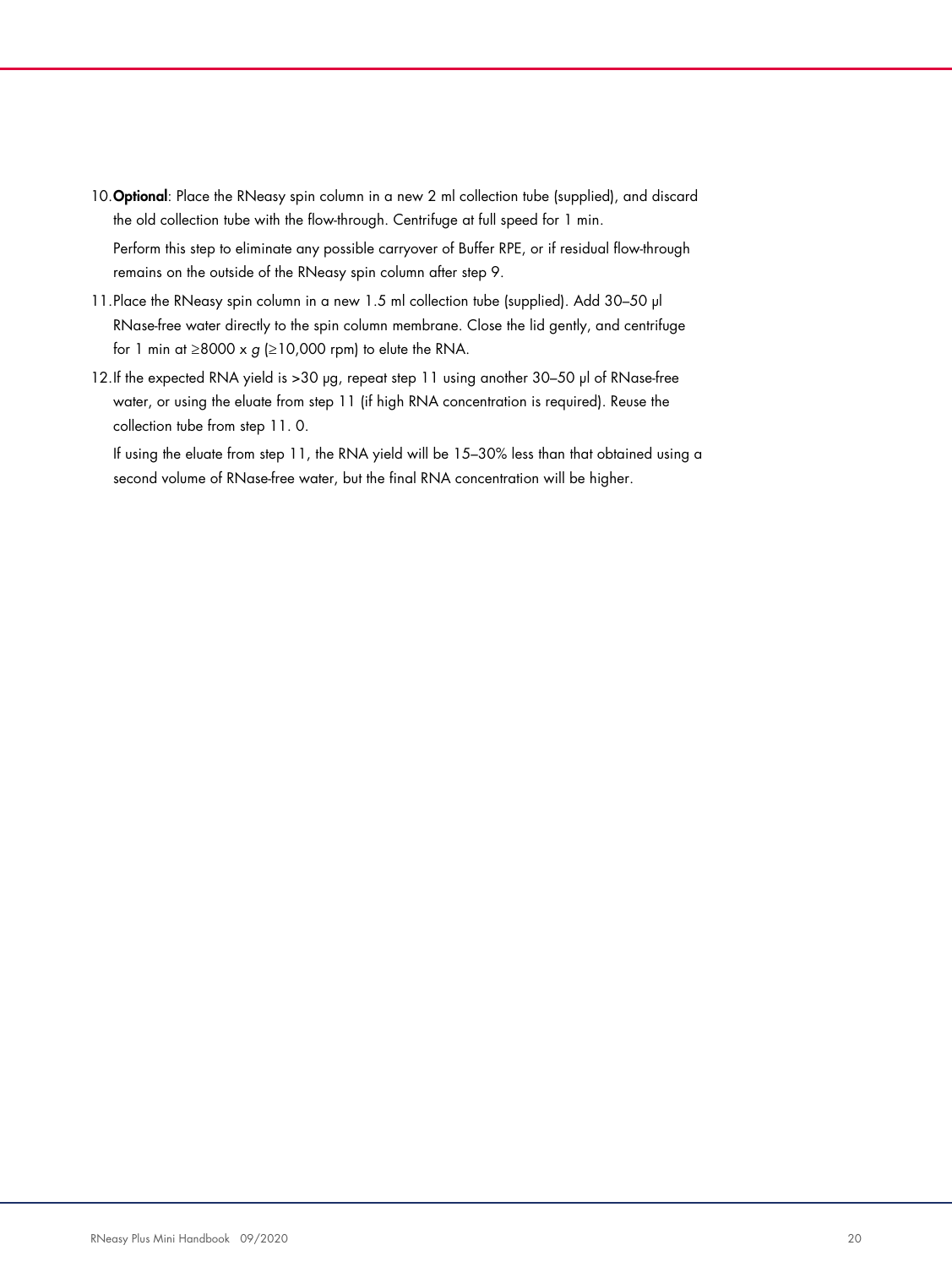10. Optional: Place the RNeasy spin column in a new 2 ml collection tube (supplied), and discard the old collection tube with the flow-through. Centrifuge at full speed for 1 min. Perform this step to eliminate any possible carryover of Buffer RPE, or if residual flow-through

11. Place the RNeasy spin column in a new 1.5 ml collection tube (supplied). Add 30-50 µl RNase-free water directly to the spin column membrane. Close the lid gently, and centrifuge for 1 min at ≥8000 x  $g$  (≥10,000 rpm) to elute the RNA.

remains on the outside of the RNeasy spin column after step 9.

12.If the expected RNA yield is >30 µg, repeat step 11 using another 30-50 µl of RNase-free water, or using the eluate from step 11 (if high RNA concentration is required). Reuse the collection tube from step 11. 0.

If using the eluate from step 11, the RNA yield will be 15–30% less than that obtained using a second volume of RNase-free water, but the final RNA concentration will be higher.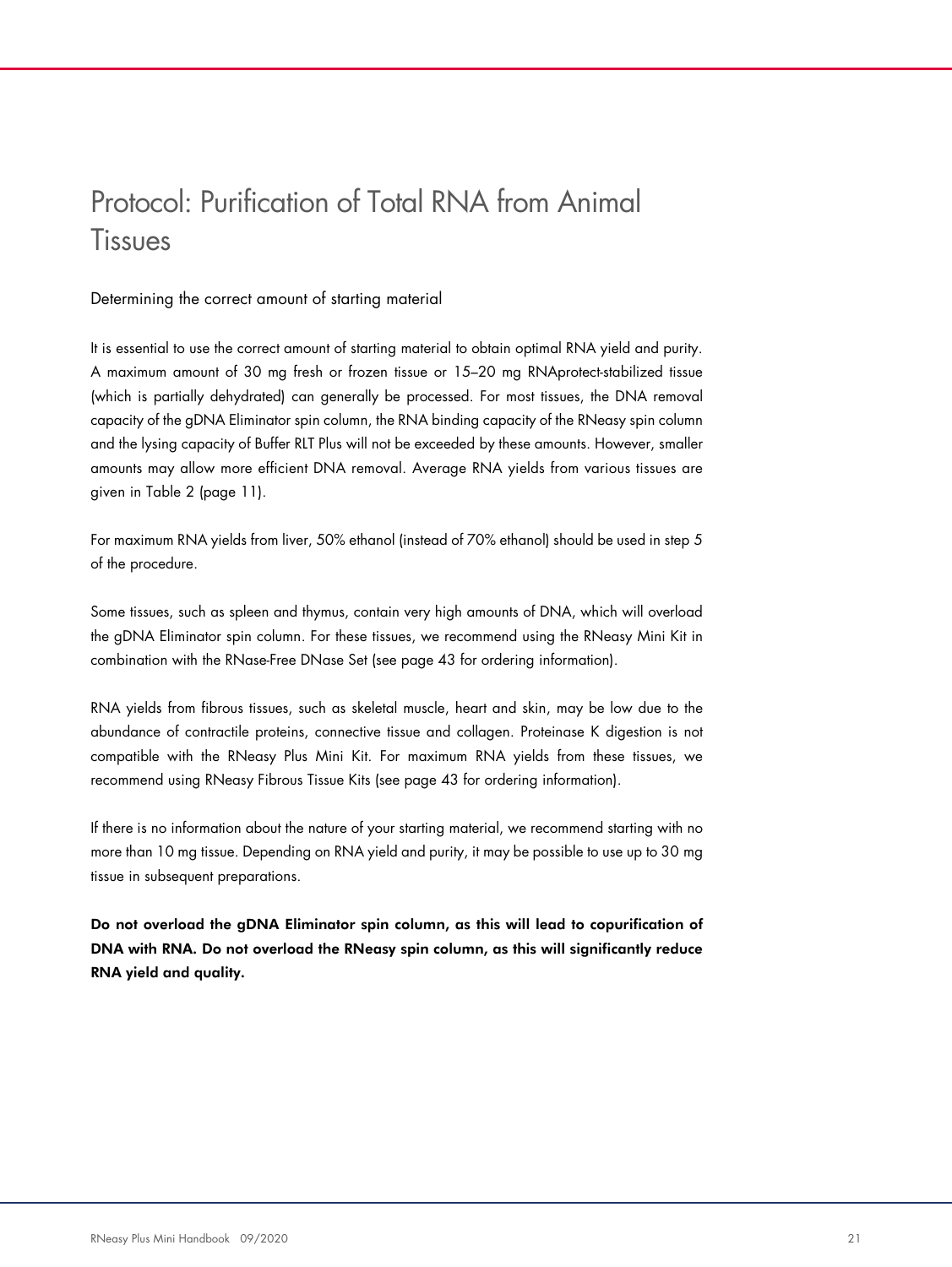# Protocol: Purification of Total RNA from Animal **Tissues**

Determining the correct amount of starting material

It is essential to use the correct amount of starting material to obtain optimal RNA yield and purity. A maximum amount of 30 mg fresh or frozen tissue or 15–20 mg RNAprotect-stabilized tissue (which is partially dehydrated) can generally be processed. For most tissues, the DNA removal capacity of the gDNA Eliminator spin column, the RNA binding capacity of the RNeasy spin column and the lysing capacity of Buffer RLT Plus will not be exceeded by these amounts. However, smaller amounts may allow more efficient DNA removal. Average RNA yields from various tissues are given in Table 2 (page 11).

For maximum RNA yields from liver, 50% ethanol (instead of 70% ethanol) should be used in step 5 of the procedure.

Some tissues, such as spleen and thymus, contain very high amounts of DNA, which will overload the gDNA Eliminator spin column. For these tissues, we recommend using the RNeasy Mini Kit in combination with the RNase-Free DNase Set (see page 43 for ordering information).

RNA yields from fibrous tissues, such as skeletal muscle, heart and skin, may be low due to the abundance of contractile proteins, connective tissue and collagen. Proteinase K digestion is not compatible with the RNeasy Plus Mini Kit. For maximum RNA yields from these tissues, we recommend using RNeasy Fibrous Tissue Kits (see page 43 for ordering information).

If there is no information about the nature of your starting material, we recommend starting with no more than 10 mg tissue. Depending on RNA yield and purity, it may be possible to use up to 30 mg tissue in subsequent preparations.

Do not overload the gDNA Eliminator spin column, as this will lead to copurification of DNA with RNA. Do not overload the RNeasy spin column, as this will significantly reduce RNA yield and quality.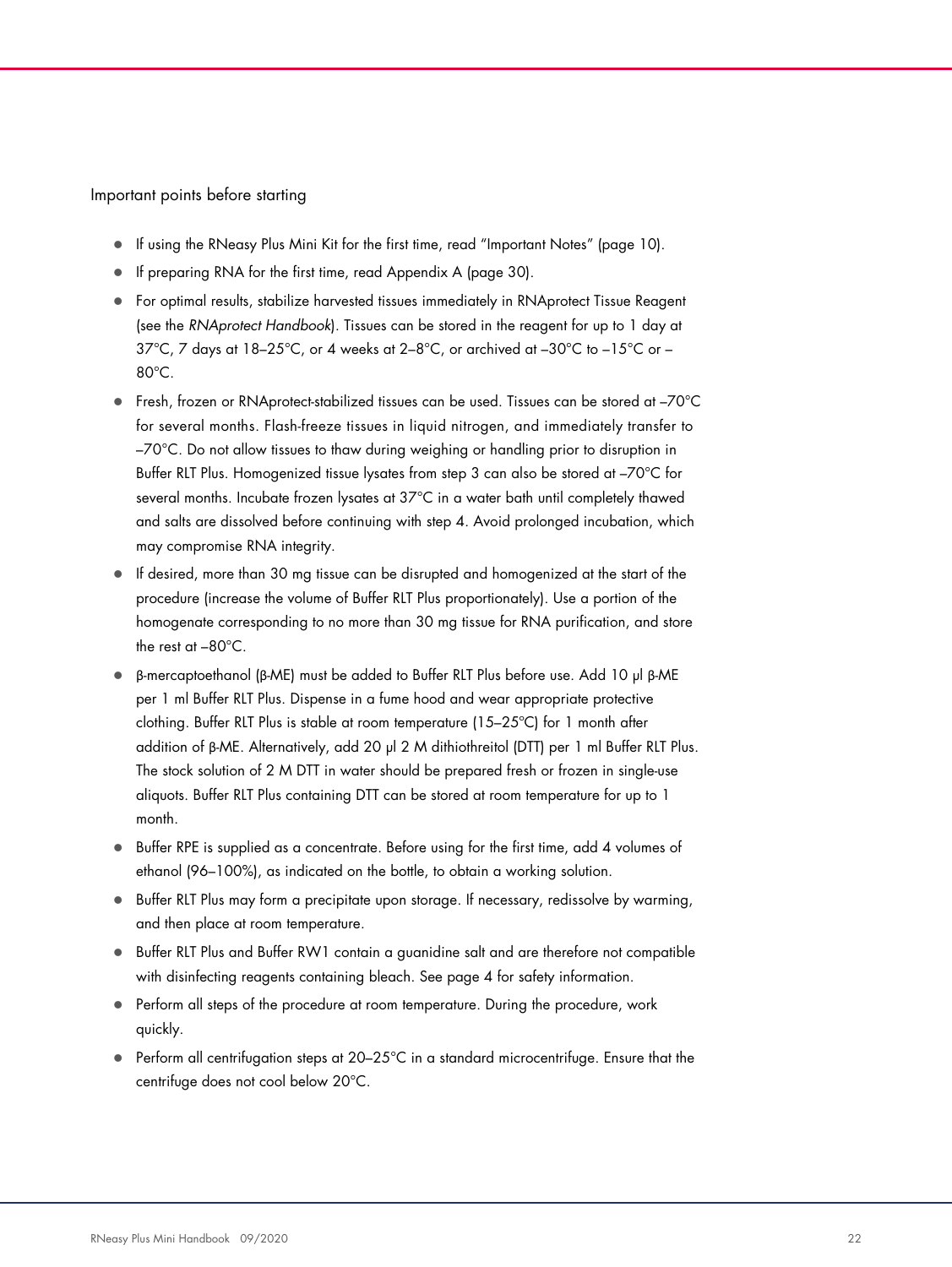Important points before starting

- If using the RNeasy Plus Mini Kit for the first time, read "Important Notes" (page 10).
- If preparing RNA for the first time, read Appendix A (page 30).
- For optimal results, stabilize harvested tissues immediately in RNAprotect Tissue Reagent (see the RNAprotect Handbook). Tissues can be stored in the reagent for up to 1 day at 37°C, 7 days at 18-25°C, or 4 weeks at 2-8°C, or archived at -30°C to -15°C or -80°C.
- Fresh, frozen or RNAprotect-stabilized tissues can be used. Tissues can be stored at –70°C for several months. Flash-freeze tissues in liquid nitrogen, and immediately transfer to –70°C. Do not allow tissues to thaw during weighing or handling prior to disruption in Buffer RLT Plus. Homogenized tissue lysates from step 3 can also be stored at –70°C for several months. Incubate frozen lysates at 37°C in a water bath until completely thawed and salts are dissolved before continuing with step 4. Avoid prolonged incubation, which may compromise RNA integrity.
- If desired, more than 30 mg tissue can be disrupted and homogenized at the start of the procedure (increase the volume of Buffer RLT Plus proportionately). Use a portion of the homogenate corresponding to no more than 30 mg tissue for RNA purification, and store the rest at –80°C.
- β-mercaptoethanol (β-ME) must be added to Buffer RLT Plus before use. Add 10 µl β-ME per 1 ml Buffer RLT Plus. Dispense in a fume hood and wear appropriate protective clothing. Buffer RLT Plus is stable at room temperature (15–25ºC) for 1 month after addition of β-ME. Alternatively, add 20 µl 2 M dithiothreitol (DTT) per 1 ml Buffer RLT Plus. The stock solution of 2 M DTT in water should be prepared fresh or frozen in single-use aliquots. Buffer RLT Plus containing DTT can be stored at room temperature for up to 1 month.
- Buffer RPE is supplied as a concentrate. Before using for the first time, add 4 volumes of ethanol (96–100%), as indicated on the bottle, to obtain a working solution.
- Buffer RLT Plus may form a precipitate upon storage. If necessary, redissolve by warming, and then place at room temperature.
- Buffer RLT Plus and Buffer RW1 contain a guanidine salt and are therefore not compatible with disinfecting reagents containing bleach. See page 4 for safety information.
- Perform all steps of the procedure at room temperature. During the procedure, work quickly.
- $\bullet$  Perform all centrifugation steps at 20–25°C in a standard microcentrifuge. Ensure that the centrifuge does not cool below 20°C.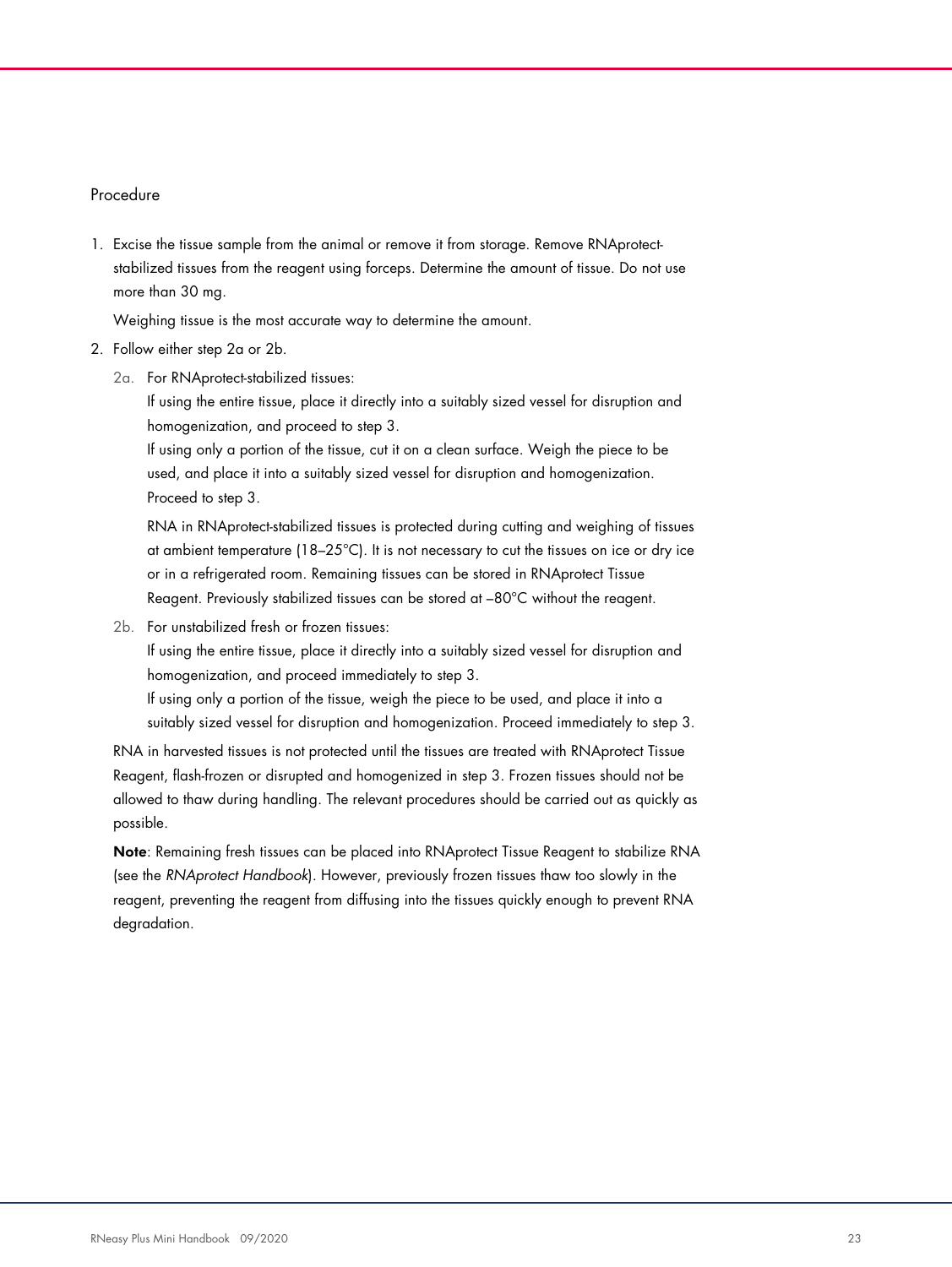#### Procedure

1. Excise the tissue sample from the animal or remove it from storage. Remove RNAprotectstabilized tissues from the reagent using forceps. Determine the amount of tissue. Do not use more than 30 mg.

Weighing tissue is the most accurate way to determine the amount.

- 2. Follow either step 2a or 2b.
	- 2a. For RNAprotect-stabilized tissues:

If using the entire tissue, place it directly into a suitably sized vessel for disruption and homogenization, and proceed to step 3.

If using only a portion of the tissue, cut it on a clean surface. Weigh the piece to be used, and place it into a suitably sized vessel for disruption and homogenization. Proceed to step 3.

RNA in RNAprotect-stabilized tissues is protected during cutting and weighing of tissues at ambient temperature (18–25°C). It is not necessary to cut the tissues on ice or dry ice or in a refrigerated room. Remaining tissues can be stored in RNAprotect Tissue Reagent. Previously stabilized tissues can be stored at –80°C without the reagent.

2b. For unstabilized fresh or frozen tissues:

If using the entire tissue, place it directly into a suitably sized vessel for disruption and homogenization, and proceed immediately to step 3.

If using only a portion of the tissue, weigh the piece to be used, and place it into a suitably sized vessel for disruption and homogenization. Proceed immediately to step 3.

RNA in harvested tissues is not protected until the tissues are treated with RNAprotect Tissue Reagent, flash-frozen or disrupted and homogenized in step 3. Frozen tissues should not be allowed to thaw during handling. The relevant procedures should be carried out as quickly as possible.

Note: Remaining fresh tissues can be placed into RNAprotect Tissue Reagent to stabilize RNA (see the RNAprotect Handbook). However, previously frozen tissues thaw too slowly in the reagent, preventing the reagent from diffusing into the tissues quickly enough to prevent RNA degradation.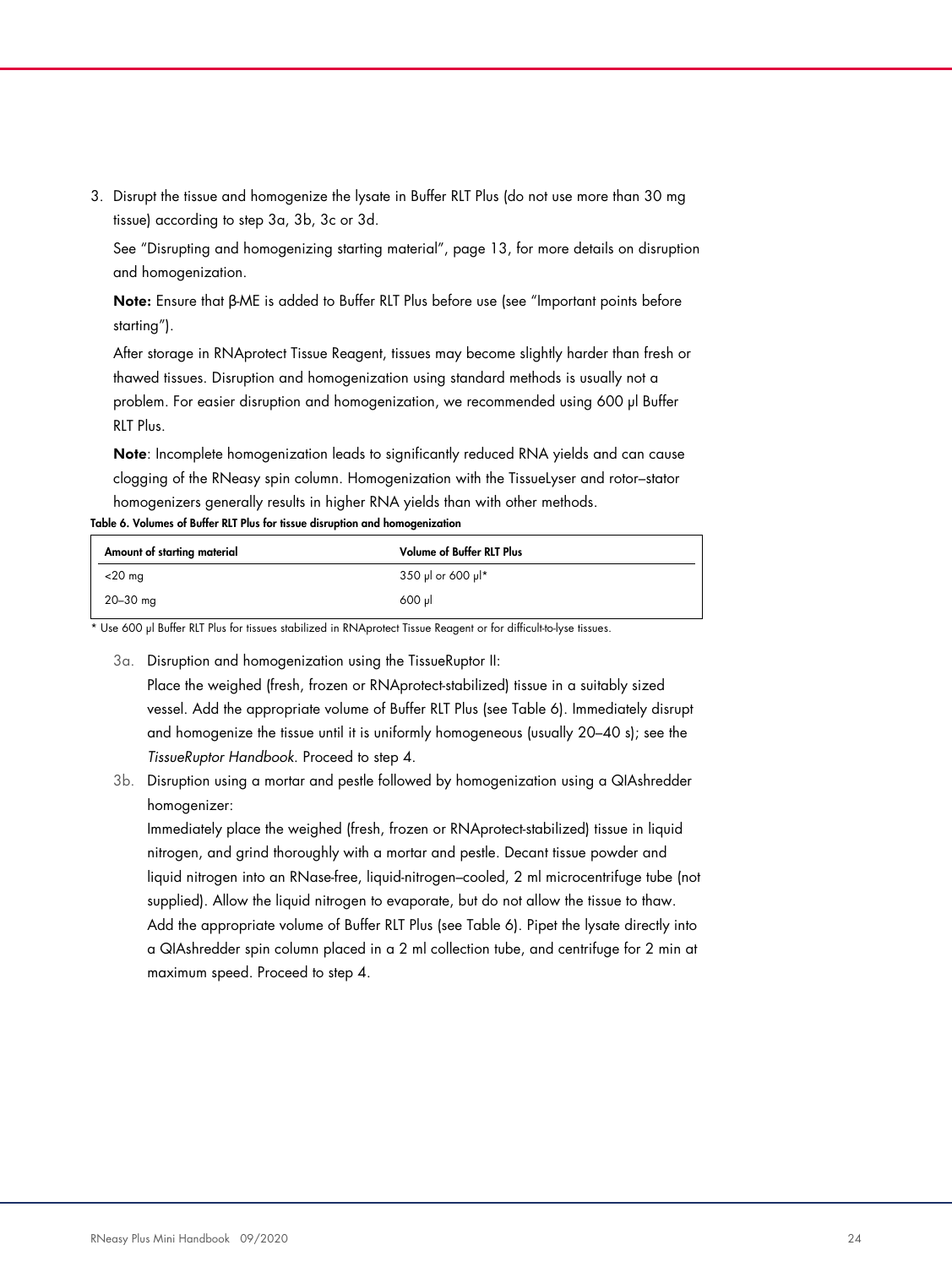3. Disrupt the tissue and homogenize the lysate in Buffer RLT Plus (do not use more than 30 mg tissue) according to step 3a, 3b, 3c or 3d.

See "Disrupting and homogenizing starting material", page 13, for more details on disruption and homogenization.

Note: Ensure that β-ME is added to Buffer RLT Plus before use (see "Important points before starting").

After storage in RNAprotect Tissue Reagent, tissues may become slightly harder than fresh or thawed tissues. Disruption and homogenization using standard methods is usually not a problem. For easier disruption and homogenization, we recommended using 600 µl Buffer RLT Plus.

Note: Incomplete homogenization leads to significantly reduced RNA yields and can cause clogging of the RNeasy spin column. Homogenization with the TissueLyser and rotor–stator homogenizers generally results in higher RNA yields than with other methods.

Table 6. Volumes of Buffer RLT Plus for tissue disruption and homogenization

| Amount of starting material | <b>Volume of Buffer RLT Plus</b> |
|-----------------------------|----------------------------------|
| $<$ 20 mg                   | 350 µl or 600 µl*                |
| $20 - 30$ mg                | 600 ul                           |

\* Use 600 µl Buffer RLT Plus for tissues stabilized in RNAprotect Tissue Reagent or for difficult-to-lyse tissues.

- 3a. Disruption and homogenization using the TissueRuptor II: Place the weighed (fresh, frozen or RNAprotect-stabilized) tissue in a suitably sized vessel. Add the appropriate volume of Buffer RLT Plus (see Table 6). Immediately disrupt and homogenize the tissue until it is uniformly homogeneous (usually 20–40 s); see the TissueRuptor Handbook. Proceed to step 4.
- 3b. Disruption using a mortar and pestle followed by homogenization using a QIAshredder homogenizer:

Immediately place the weighed (fresh, frozen or RNAprotect-stabilized) tissue in liquid nitrogen, and grind thoroughly with a mortar and pestle. Decant tissue powder and liquid nitrogen into an RNase-free, liquid-nitrogen–cooled, 2 ml microcentrifuge tube (not supplied). Allow the liquid nitrogen to evaporate, but do not allow the tissue to thaw. Add the appropriate volume of Buffer RLT Plus (see Table 6). Pipet the lysate directly into a QIAshredder spin column placed in a 2 ml collection tube, and centrifuge for 2 min at maximum speed. Proceed to step 4.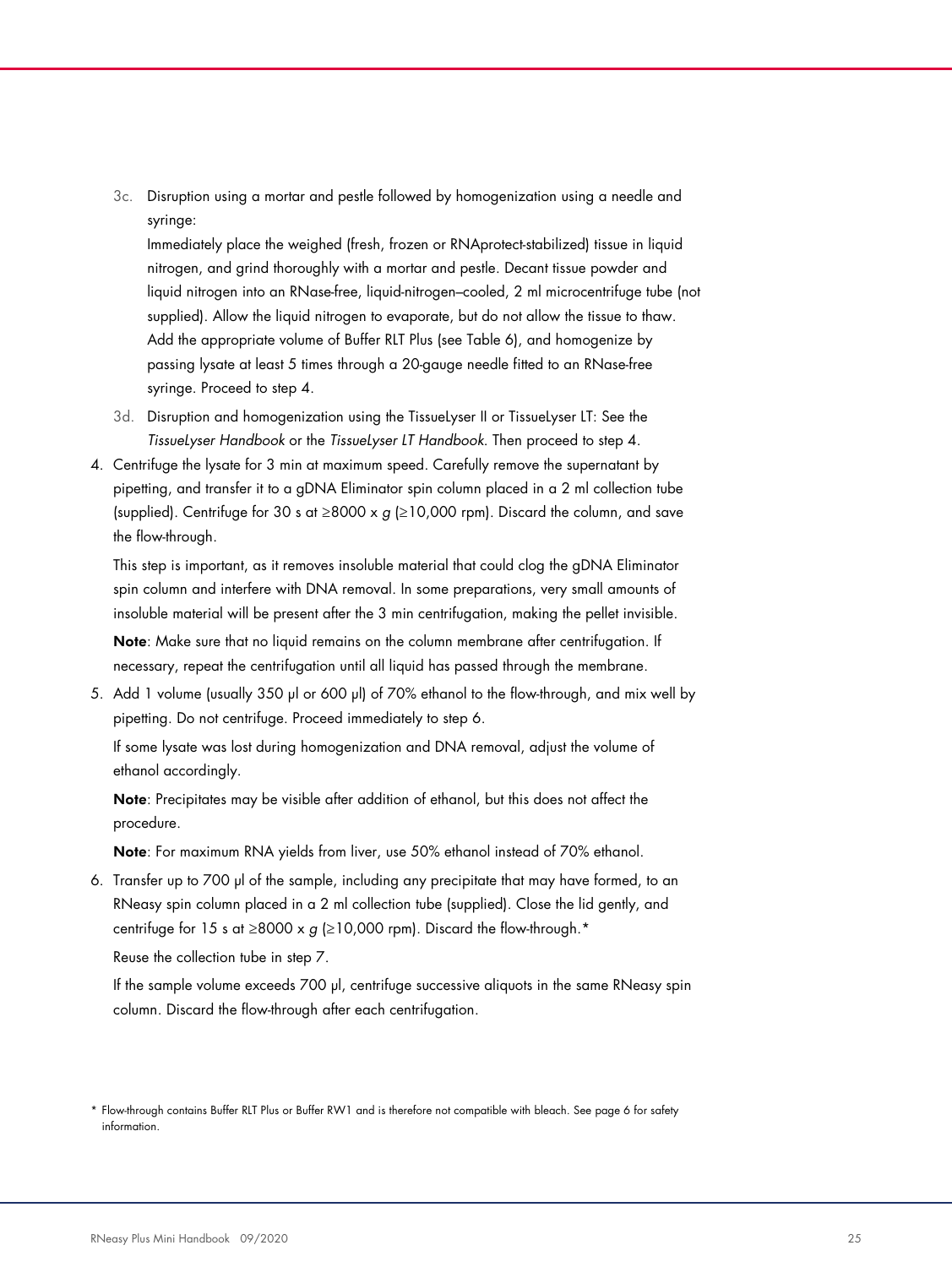3c. Disruption using a mortar and pestle followed by homogenization using a needle and syringe:

Immediately place the weighed (fresh, frozen or RNAprotect-stabilized) tissue in liquid nitrogen, and grind thoroughly with a mortar and pestle. Decant tissue powder and liquid nitrogen into an RNase-free, liquid-nitrogen–cooled, 2 ml microcentrifuge tube (not supplied). Allow the liquid nitrogen to evaporate, but do not allow the tissue to thaw. Add the appropriate volume of Buffer RLT Plus (see Table 6), and homogenize by passing lysate at least 5 times through a 20-gauge needle fitted to an RNase-free syringe. Proceed to step 4.

- 3d. Disruption and homogenization using the TissueLyser II or TissueLyser LT: See the TissueLyser Handbook or the TissueLyser LT Handbook. Then proceed to step 4.
- 4. Centrifuge the lysate for 3 min at maximum speed. Carefully remove the supernatant by pipetting, and transfer it to a gDNA Eliminator spin column placed in a 2 ml collection tube (supplied). Centrifuge for 30 s at ≥8000 x g (≥10,000 rpm). Discard the column, and save the flow-through.

This step is important, as it removes insoluble material that could clog the gDNA Eliminator spin column and interfere with DNA removal. In some preparations, very small amounts of insoluble material will be present after the 3 min centrifugation, making the pellet invisible.

Note: Make sure that no liquid remains on the column membrane after centrifugation. If necessary, repeat the centrifugation until all liquid has passed through the membrane.

5. Add 1 volume (usually 350 µl or 600 µl) of 70% ethanol to the flow-through, and mix well by pipetting. Do not centrifuge. Proceed immediately to step 6.

If some lysate was lost during homogenization and DNA removal, adjust the volume of ethanol accordingly.

Note: Precipitates may be visible after addition of ethanol, but this does not affect the procedure.

Note: For maximum RNA yields from liver, use 50% ethanol instead of 70% ethanol.

6. Transfer up to 700 µl of the sample, including any precipitate that may have formed, to an RNeasy spin column placed in a 2 ml collection tube (supplied). Close the lid gently, and centrifuge for 15 s at ≥8000 x g (≥10,000 rpm). Discard the flow-through.\*

Reuse the collection tube in step 7.

If the sample volume exceeds 700 µl, centrifuge successive aliquots in the same RNeasy spin column. Discard the flow-through after each centrifugation.

<sup>\*</sup> Flow-through contains Buffer RLT Plus or Buffer RW1 and is therefore not compatible with bleach. See page 6 for safety information.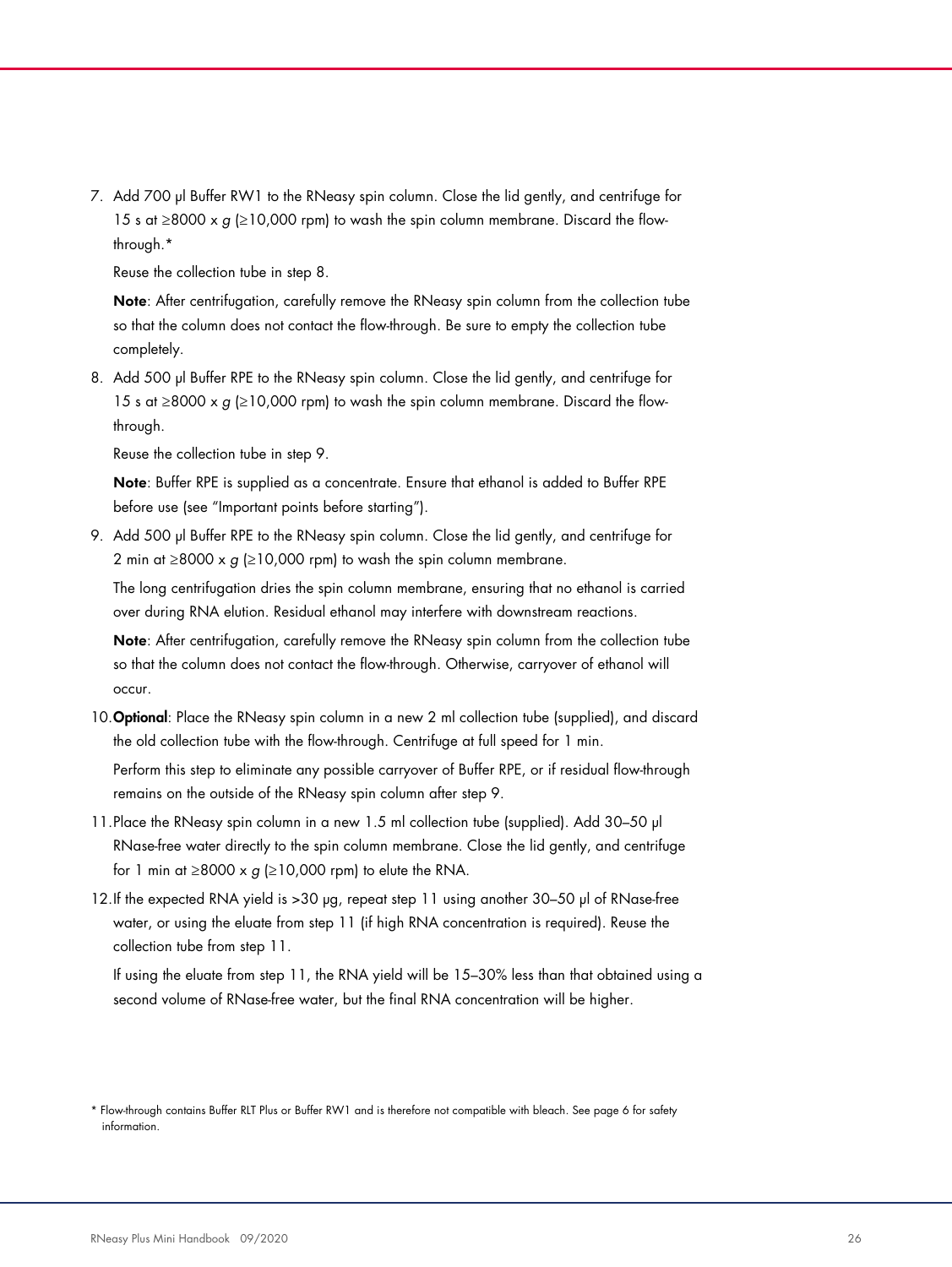7. Add 700 µl Buffer RW1 to the RNeasy spin column. Close the lid gently, and centrifuge for 15 s at ≥8000 x  $g$  (≥10,000 rpm) to wash the spin column membrane. Discard the flowthrough.\*

Reuse the collection tube in step 8.

Note: After centrifugation, carefully remove the RNeasy spin column from the collection tube so that the column does not contact the flow-through. Be sure to empty the collection tube completely.

8. Add 500 µl Buffer RPE to the RNeasy spin column. Close the lid gently, and centrifuge for 15 s at ≥8000 x g (≥10,000 rpm) to wash the spin column membrane. Discard the flowthrough.

Reuse the collection tube in step 9.

Note: Buffer RPE is supplied as a concentrate. Ensure that ethanol is added to Buffer RPE before use (see "Important points before starting").

9. Add 500 µl Buffer RPE to the RNeasy spin column. Close the lid gently, and centrifuge for 2 min at ≥8000 x  $g$  (≥10,000 rpm) to wash the spin column membrane.

The long centrifugation dries the spin column membrane, ensuring that no ethanol is carried over during RNA elution. Residual ethanol may interfere with downstream reactions.

Note: After centrifugation, carefully remove the RNeasy spin column from the collection tube so that the column does not contact the flow-through. Otherwise, carryover of ethanol will occur.

10. Optional: Place the RNeasy spin column in a new 2 ml collection tube (supplied), and discard the old collection tube with the flow-through. Centrifuge at full speed for 1 min.

Perform this step to eliminate any possible carryover of Buffer RPE, or if residual flow-through remains on the outside of the RNeasy spin column after step 9.

- 11.Place the RNeasy spin column in a new 1.5 ml collection tube (supplied). Add 30–50 µl RNase-free water directly to the spin column membrane. Close the lid gently, and centrifuge for 1 min at  $\geq$ 8000 x g ( $\geq$ 10,000 rpm) to elute the RNA.
- 12.If the expected RNA yield is >30 µg, repeat step 11 using another 30–50 µl of RNase-free water, or using the eluate from step 11 (if high RNA concentration is required). Reuse the collection tube from step 11.

If using the eluate from step 11, the RNA yield will be 15–30% less than that obtained using a second volume of RNase-free water, but the final RNA concentration will be higher.

<sup>\*</sup> Flow-through contains Buffer RLT Plus or Buffer RW1 and is therefore not compatible with bleach. See page 6 for safety information.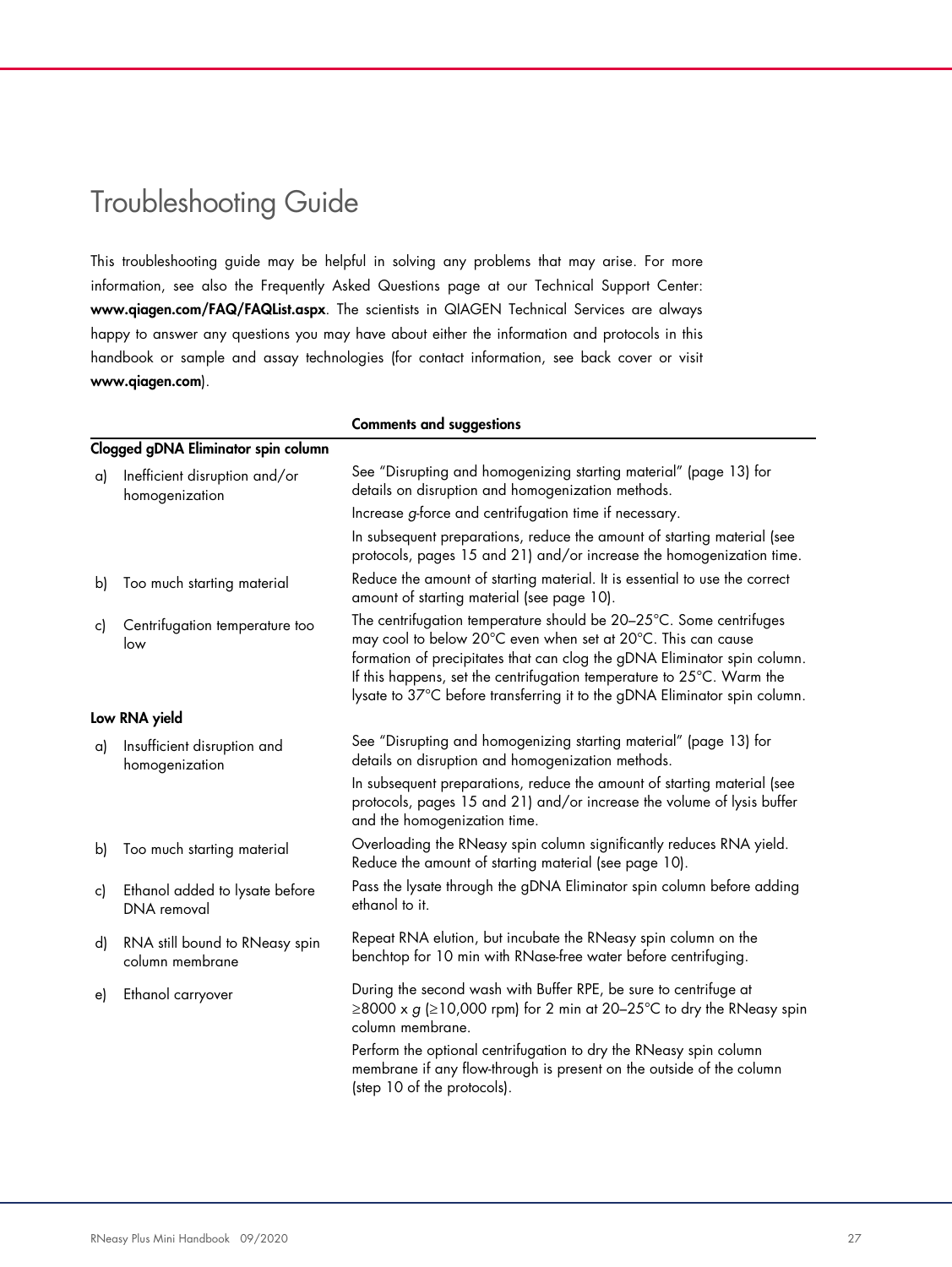# Troubleshooting Guide

This troubleshooting guide may be helpful in solving any problems that may arise. For more information, see also the Frequently Asked Questions page at our Technical Support Center: www.qiagen.com/FAQ/FAQList.aspx. The scientists in QIAGEN Technical Services are always happy to answer any questions you may have about either the information and protocols in this handbook or sample and assay technologies (for contact information, see back cover or visit www.qiagen.com).

|                                                   | <b>Comments and suggestions</b>                                                                                                                                                                                                                                                                                                                                      |
|---------------------------------------------------|----------------------------------------------------------------------------------------------------------------------------------------------------------------------------------------------------------------------------------------------------------------------------------------------------------------------------------------------------------------------|
| Clogged gDNA Eliminator spin column               |                                                                                                                                                                                                                                                                                                                                                                      |
| Inefficient disruption and/or                     | See "Disrupting and homogenizing starting material" (page 13) for<br>details on disruption and homogenization methods.                                                                                                                                                                                                                                               |
|                                                   | Increase g-force and centrifugation time if necessary.                                                                                                                                                                                                                                                                                                               |
|                                                   | In subsequent preparations, reduce the amount of starting material (see<br>protocols, pages 15 and 21) and/or increase the homogenization time.                                                                                                                                                                                                                      |
| Too much starting material                        | Reduce the amount of starting material. It is essential to use the correct<br>amount of starting material (see page 10).                                                                                                                                                                                                                                             |
| Centrifugation temperature too<br>low             | The centrifugation temperature should be 20-25°C. Some centrifuges<br>may cool to below 20°C even when set at 20°C. This can cause<br>formation of precipitates that can clog the gDNA Eliminator spin column.<br>If this happens, set the centrifugation temperature to 25°C. Warm the<br>lysate to 37°C before transferring it to the gDNA Eliminator spin column. |
| Low RNA yield                                     |                                                                                                                                                                                                                                                                                                                                                                      |
| Insufficient disruption and                       | See "Disrupting and homogenizing starting material" (page 13) for<br>details on disruption and homogenization methods.                                                                                                                                                                                                                                               |
|                                                   | In subsequent preparations, reduce the amount of starting material (see<br>protocols, pages 15 and 21) and/or increase the volume of lysis buffer<br>and the homogenization time.                                                                                                                                                                                    |
| Too much starting material                        | Overloading the RNeasy spin column significantly reduces RNA yield.<br>Reduce the amount of starting material (see page 10).                                                                                                                                                                                                                                         |
| Ethanol added to lysate before<br>DNA removal     | Pass the lysate through the gDNA Eliminator spin column before adding<br>ethanol to it.                                                                                                                                                                                                                                                                              |
| RNA still bound to RNeasy spin<br>column membrane | Repeat RNA elution, but incubate the RNeasy spin column on the<br>benchtop for 10 min with RNase-free water before centrifuging.                                                                                                                                                                                                                                     |
| Ethanol carryover                                 | During the second wash with Buffer RPE, be sure to centrifuge at<br>$\geq$ 8000 x g ( $\geq$ 10,000 rpm) for 2 min at 20-25°C to dry the RNeasy spin<br>column membrane.                                                                                                                                                                                             |
|                                                   | Perform the optional centrifugation to dry the RNeasy spin column<br>membrane if any flow-through is present on the outside of the column<br>(step 10 of the protocols).                                                                                                                                                                                             |
|                                                   | homogenization<br>homogenization                                                                                                                                                                                                                                                                                                                                     |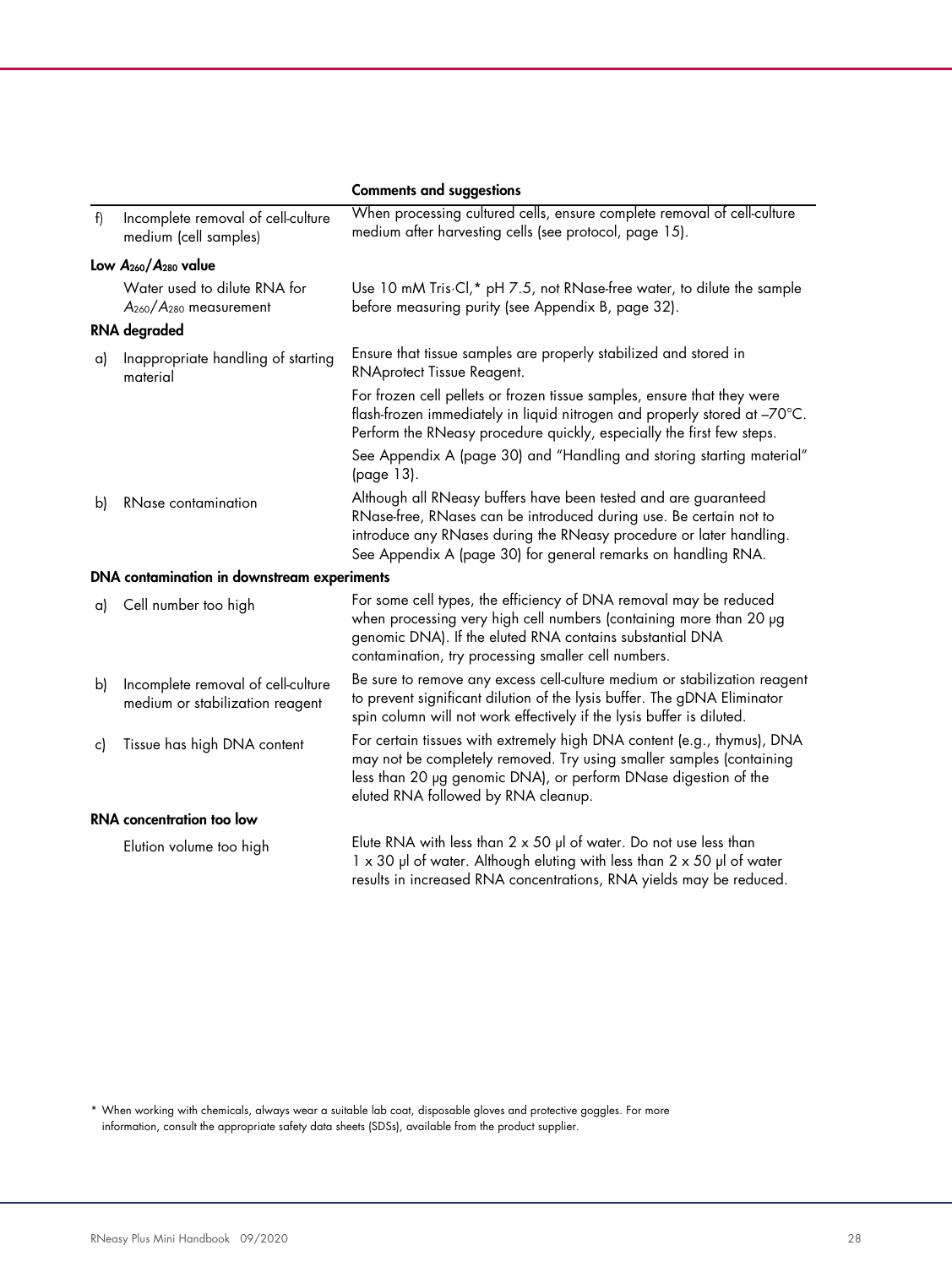|    |                                                                                | <b>Comments and suggestions</b>                                                                                                                                                                                                                                               |
|----|--------------------------------------------------------------------------------|-------------------------------------------------------------------------------------------------------------------------------------------------------------------------------------------------------------------------------------------------------------------------------|
| f  | Incomplete removal of cell-culture<br>medium (cell samples)                    | When processing cultured cells, ensure complete removal of cell-culture<br>medium after harvesting cells (see protocol, page 15).                                                                                                                                             |
|    | Low $A_{260}/A_{280}$ value                                                    |                                                                                                                                                                                                                                                                               |
|    | Water used to dilute RNA for<br>A <sub>260</sub> /A <sub>280</sub> measurement | Use 10 mM Tris Cl,* pH 7.5, not RNase-free water, to dilute the sample<br>before measuring purity (see Appendix B, page 32).                                                                                                                                                  |
|    | <b>RNA</b> degraded                                                            |                                                                                                                                                                                                                                                                               |
| a) | Inappropriate handling of starting<br>material                                 | Ensure that tissue samples are properly stabilized and stored in<br>RNAprotect Tissue Reagent.                                                                                                                                                                                |
|    |                                                                                | For frozen cell pellets or frozen tissue samples, ensure that they were<br>flash-frozen immediately in liquid nitrogen and properly stored at -70°C.<br>Perform the RNeasy procedure quickly, especially the first few steps.                                                 |
|    |                                                                                | See Appendix A (page 30) and "Handling and storing starting material"<br>(page 13).                                                                                                                                                                                           |
| b) | <b>RNase contamination</b>                                                     | Although all RNeasy buffers have been tested and are guaranteed<br>RNase-free, RNases can be introduced during use. Be certain not to<br>introduce any RNases during the RNeasy procedure or later handling.<br>See Appendix A (page 30) for general remarks on handling RNA. |
|    | DNA contamination in downstream experiments                                    |                                                                                                                                                                                                                                                                               |
| a) | Cell number too high                                                           | For some cell types, the efficiency of DNA removal may be reduced<br>when processing very high cell numbers (containing more than 20 µg<br>genomic DNA). If the eluted RNA contains substantial DNA<br>contamination, try processing smaller cell numbers.                    |
| b) | Incomplete removal of cell-culture<br>medium or stabilization reagent          | Be sure to remove any excess cell-culture medium or stabilization reagent<br>to prevent significant dilution of the lysis buffer. The gDNA Eliminator<br>spin column will not work effectively if the lysis buffer is diluted.                                                |
| c) | Tissue has high DNA content                                                    | For certain tissues with extremely high DNA content (e.g., thymus), DNA<br>may not be completely removed. Try using smaller samples (containing<br>less than 20 µg genomic DNA), or perform DNase digestion of the<br>eluted RNA followed by RNA cleanup.                     |
|    | RNA concentration too low                                                      |                                                                                                                                                                                                                                                                               |
|    | Elution volume too high                                                        | Elute RNA with less than $2 \times 50$ µl of water. Do not use less than<br>1 x 30 µl of water. Although eluting with less than 2 x 50 µl of water<br>results in increased RNA concentrations, RNA yields may be reduced.                                                     |

\* When working with chemicals, always wear a suitable lab coat, disposable gloves and protective goggles. For more information, consult the appropriate safety data sheets (SDSs), available from the product supplier.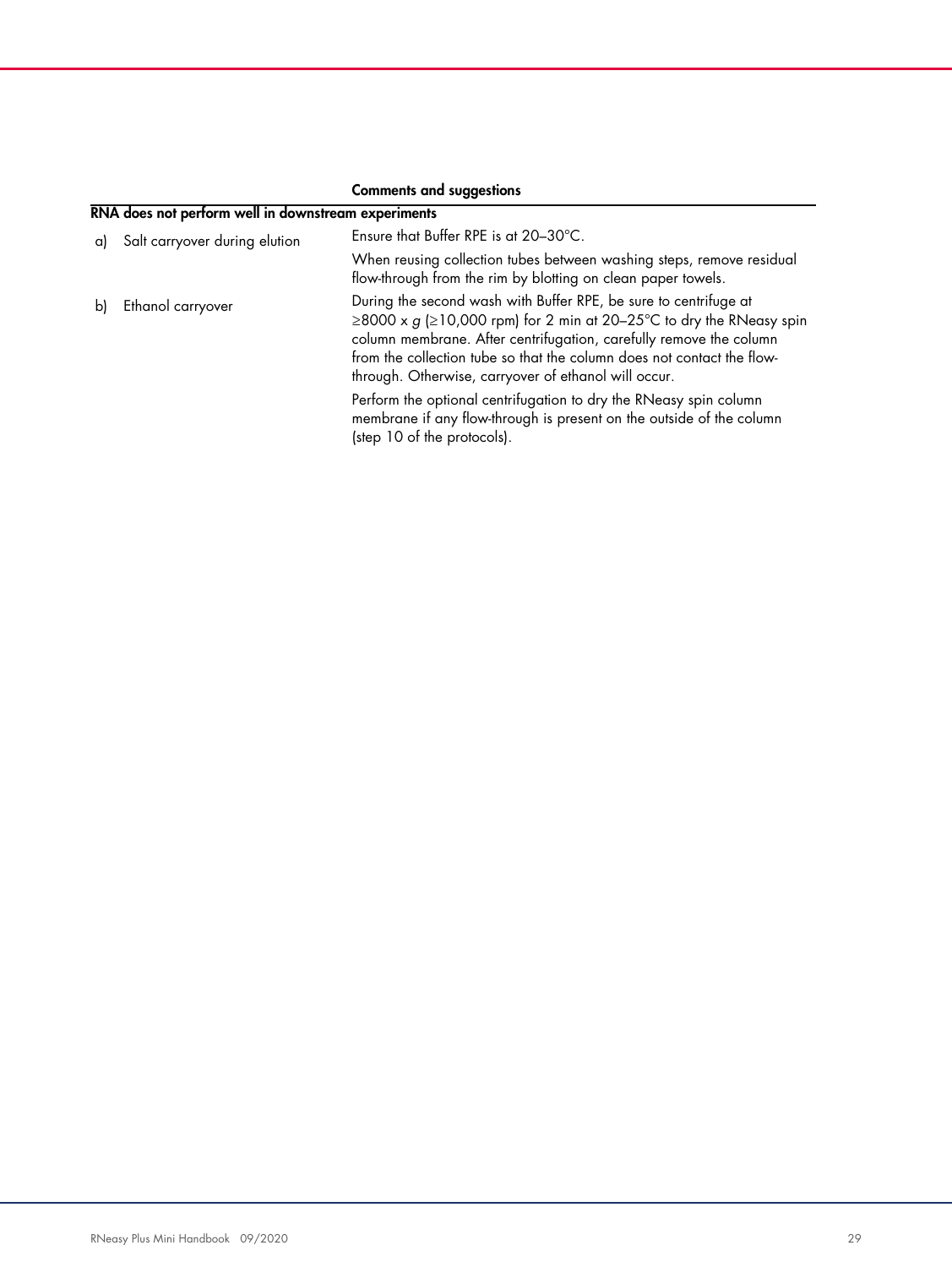|    | RNA does not perform well in downstream experiments |                                                                                                                                                                                                                                                                                                                                                   |  |
|----|-----------------------------------------------------|---------------------------------------------------------------------------------------------------------------------------------------------------------------------------------------------------------------------------------------------------------------------------------------------------------------------------------------------------|--|
| αI | Salt carryover during elution                       | Ensure that Buffer RPE is at 20-30°C.                                                                                                                                                                                                                                                                                                             |  |
|    |                                                     | When reusing collection tubes between washing steps, remove residual<br>flow-through from the rim by blotting on clean paper towels.                                                                                                                                                                                                              |  |
| bl | Ethanol carryover                                   | During the second wash with Buffer RPE, be sure to centrifuge at<br>≥8000 x $g$ (≥10,000 rpm) for 2 min at 20–25°C to dry the RNeasy spin<br>column membrane. After centrifugation, carefully remove the column<br>from the collection tube so that the column does not contact the flow-<br>through. Otherwise, carryover of ethanol will occur. |  |
|    |                                                     | Perform the optional centrifugation to dry the RNeasy spin column<br>membrane if any flow-through is present on the outside of the column<br>(step 10 of the protocols).                                                                                                                                                                          |  |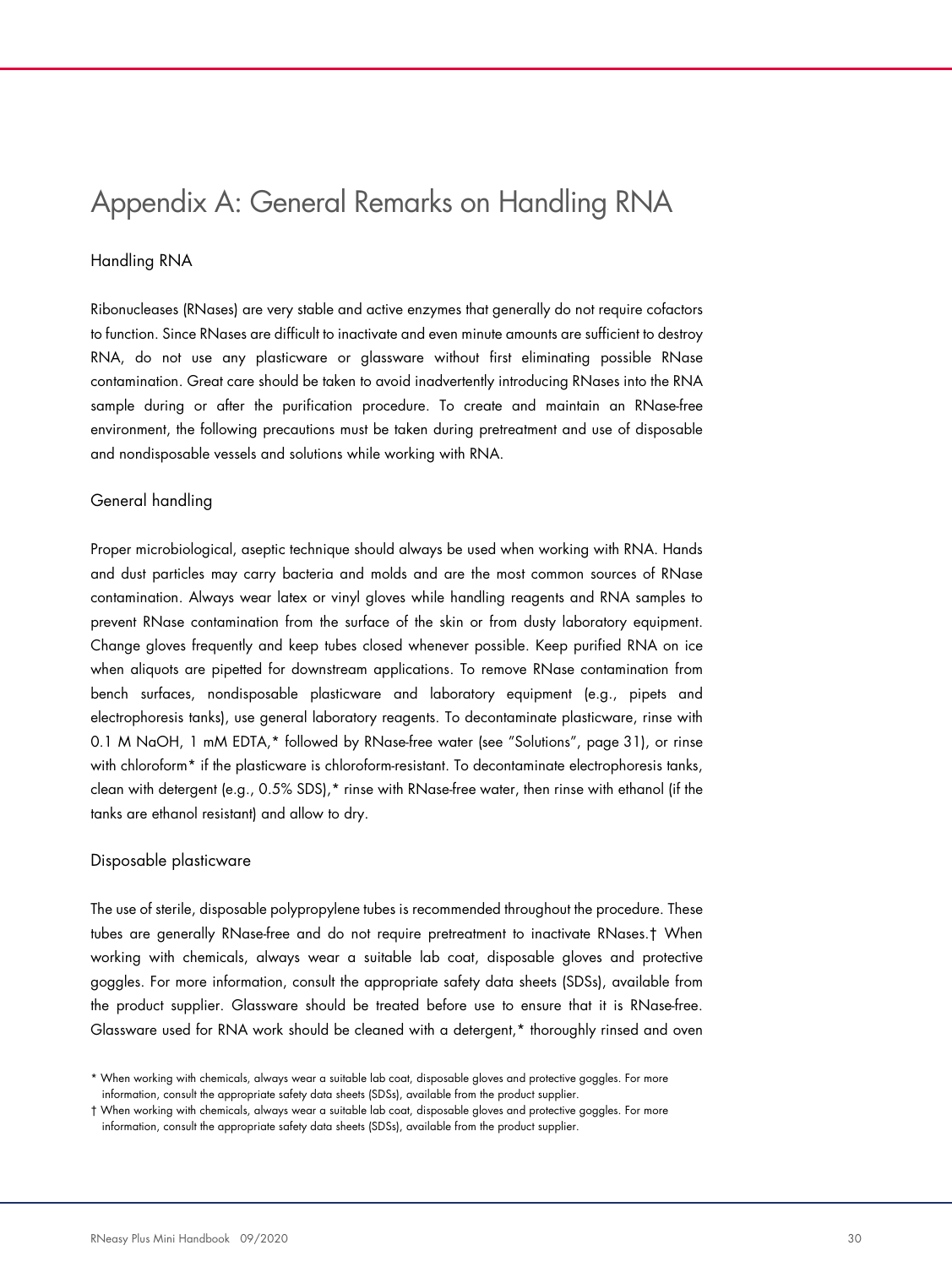## Appendix A: General Remarks on Handling RNA

#### Handling RNA

Ribonucleases (RNases) are very stable and active enzymes that generally do not require cofactors to function. Since RNases are difficult to inactivate and even minute amounts are sufficient to destroy RNA, do not use any plasticware or glassware without first eliminating possible RNase contamination. Great care should be taken to avoid inadvertently introducing RNases into the RNA sample during or after the purification procedure. To create and maintain an RNase-free environment, the following precautions must be taken during pretreatment and use of disposable and nondisposable vessels and solutions while working with RNA.

#### General handling

Proper microbiological, aseptic technique should always be used when working with RNA. Hands and dust particles may carry bacteria and molds and are the most common sources of RNase contamination. Always wear latex or vinyl gloves while handling reagents and RNA samples to prevent RNase contamination from the surface of the skin or from dusty laboratory equipment. Change gloves frequently and keep tubes closed whenever possible. Keep purified RNA on ice when aliquots are pipetted for downstream applications. To remove RNase contamination from bench surfaces, nondisposable plasticware and laboratory equipment (e.g., pipets and electrophoresis tanks), use general laboratory reagents. To decontaminate plasticware, rinse with 0.1 M NaOH, 1 mM EDTA,\* followed by RNase-free water (see "Solutions", page 31), or rinse with chloroform<sup>\*</sup> if the plasticware is chloroform-resistant. To decontaminate electrophoresis tanks, clean with detergent (e.g., 0.5% SDS),\* rinse with RNase-free water, then rinse with ethanol (if the tanks are ethanol resistant) and allow to dry.

#### Disposable plasticware

The use of sterile, disposable polypropylene tubes is recommended throughout the procedure. These tubes are generally RNase-free and do not require pretreatment to inactivate RNases.† When working with chemicals, always wear a suitable lab coat, disposable gloves and protective goggles. For more information, consult the appropriate safety data sheets (SDSs), available from the product supplier. Glassware should be treated before use to ensure that it is RNase-free. Glassware used for RNA work should be cleaned with a detergent,\* thoroughly rinsed and oven

<sup>\*</sup> When working with chemicals, always wear a suitable lab coat, disposable gloves and protective goggles. For more information, consult the appropriate safety data sheets (SDSs), available from the product supplier.

<sup>†</sup> When working with chemicals, always wear a suitable lab coat, disposable gloves and protective goggles. For more information, consult the appropriate safety data sheets (SDSs), available from the product supplier.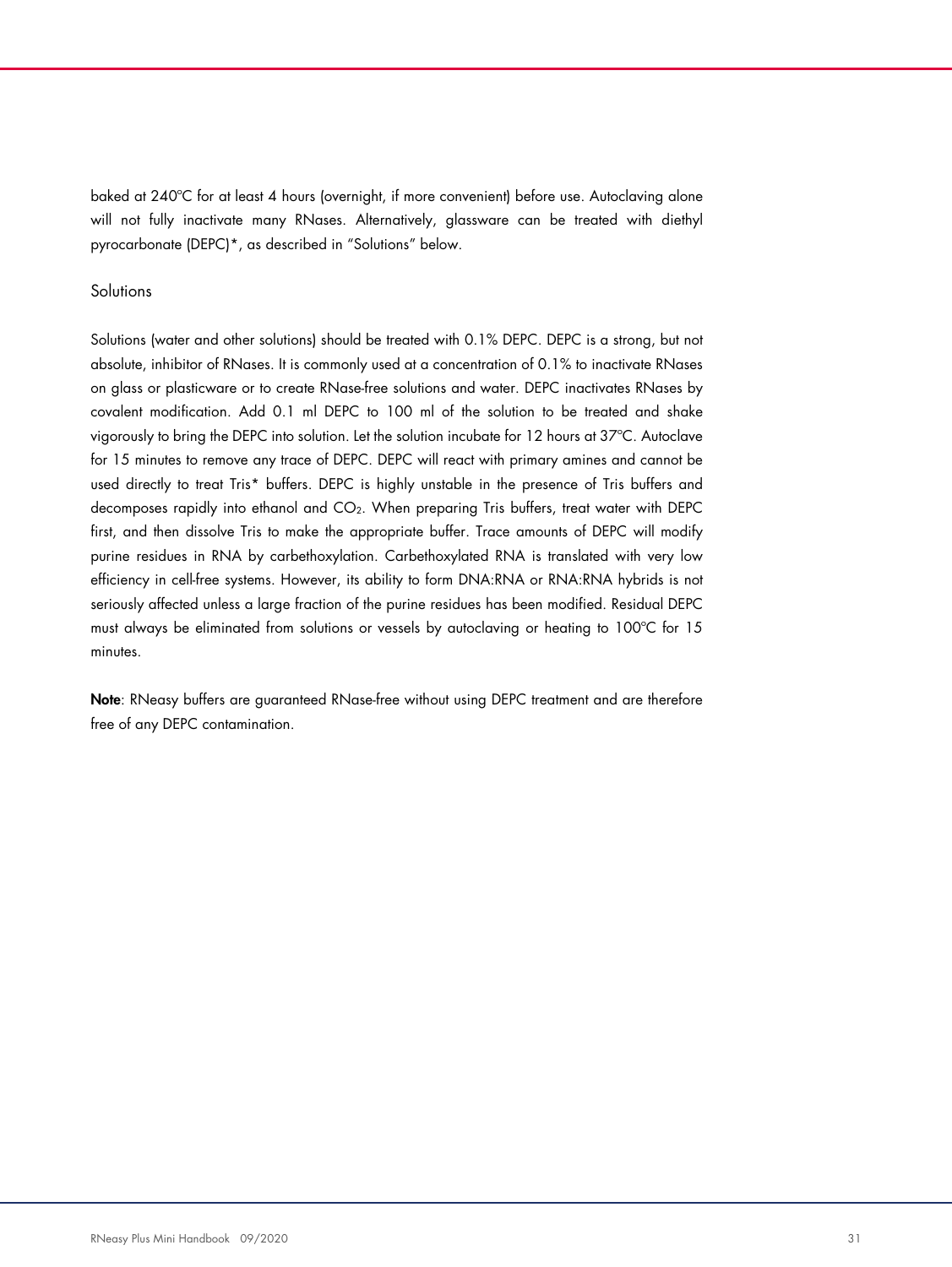baked at 240ºC for at least 4 hours (overnight, if more convenient) before use. Autoclaving alone will not fully inactivate many RNases. Alternatively, glassware can be treated with diethyl pyrocarbonate (DEPC)\*, as described in "Solutions" below.

#### **Solutions**

Solutions (water and other solutions) should be treated with 0.1% DEPC. DEPC is a strong, but not absolute, inhibitor of RNases. It is commonly used at a concentration of 0.1% to inactivate RNases on glass or plasticware or to create RNase-free solutions and water. DEPC inactivates RNases by covalent modification. Add 0.1 ml DEPC to 100 ml of the solution to be treated and shake vigorously to bring the DEPC into solution. Let the solution incubate for 12 hours at 37ºC. Autoclave for 15 minutes to remove any trace of DEPC. DEPC will react with primary amines and cannot be used directly to treat Tris\* buffers. DEPC is highly unstable in the presence of Tris buffers and decomposes rapidly into ethanol and CO2. When preparing Tris buffers, treat water with DEPC first, and then dissolve Tris to make the appropriate buffer. Trace amounts of DEPC will modify purine residues in RNA by carbethoxylation. Carbethoxylated RNA is translated with very low efficiency in cell-free systems. However, its ability to form DNA:RNA or RNA:RNA hybrids is not seriously affected unless a large fraction of the purine residues has been modified. Residual DEPC must always be eliminated from solutions or vessels by autoclaving or heating to 100ºC for 15 minutes.

Note: RNeasy buffers are guaranteed RNase-free without using DEPC treatment and are therefore free of any DEPC contamination.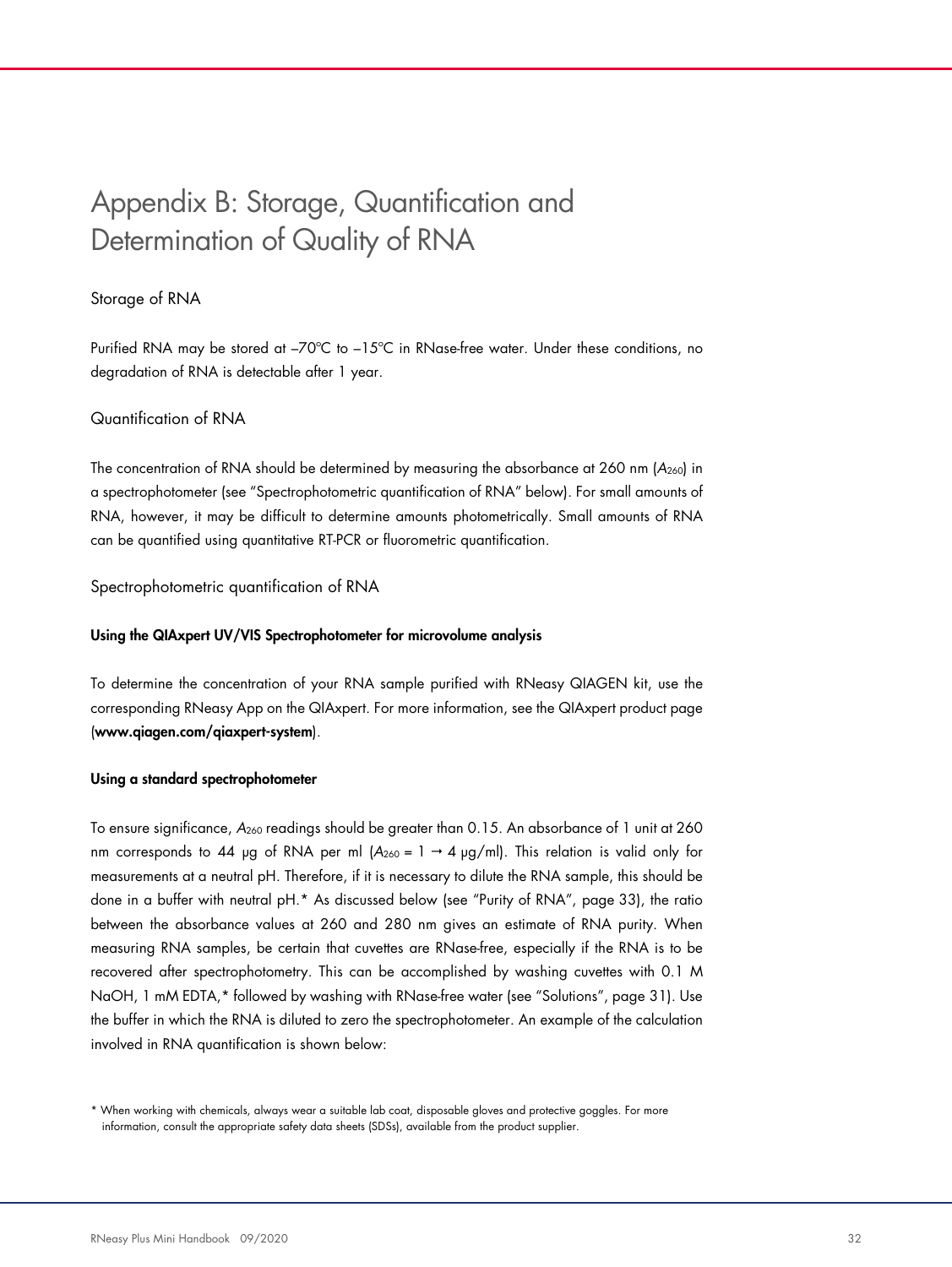# Appendix B: Storage, Quantification and Determination of Quality of RNA

#### Storage of RNA

Purified RNA may be stored at –70ºC to –15ºC in RNase-free water. Under these conditions, no degradation of RNA is detectable after 1 year.

#### Quantification of RNA

The concentration of RNA should be determined by measuring the absorbance at 260 nm  $(A_{260})$  in a spectrophotometer (see "Spectrophotometric quantification of RNA" below). For small amounts of RNA, however, it may be difficult to determine amounts photometrically. Small amounts of RNA can be quantified using quantitative RT-PCR or fluorometric quantification.

#### Spectrophotometric quantification of RNA

#### Using the QIAxpert UV/VIS Spectrophotometer for microvolume analysis

To determine the concentration of your RNA sample purified with RNeasy QIAGEN kit, use the corresponding RNeasy App on the QIAxpert. For more information, see the QIAxpert product page (www.qiagen.com/qiaxpert-system).

#### Using a standard spectrophotometer

To ensure significance, A260 readings should be greater than 0.15. An absorbance of 1 unit at 260 nm corresponds to 44 µg of RNA per ml  $(A_{260} = 1 \rightarrow 4 \text{ µg/ml})$ . This relation is valid only for measurements at a neutral pH. Therefore, if it is necessary to dilute the RNA sample, this should be done in a buffer with neutral pH.\* As discussed below (see "Purity of RNA", page 33), the ratio between the absorbance values at 260 and 280 nm gives an estimate of RNA purity. When measuring RNA samples, be certain that cuvettes are RNase-free, especially if the RNA is to be recovered after spectrophotometry. This can be accomplished by washing cuvettes with 0.1 M NaOH, 1 mM EDTA,\* followed by washing with RNase-free water (see "Solutions", page 31). Use the buffer in which the RNA is diluted to zero the spectrophotometer. An example of the calculation involved in RNA quantification is shown below:

<sup>\*</sup> When working with chemicals, always wear a suitable lab coat, disposable gloves and protective goggles. For more information, consult the appropriate safety data sheets (SDSs), available from the product supplier.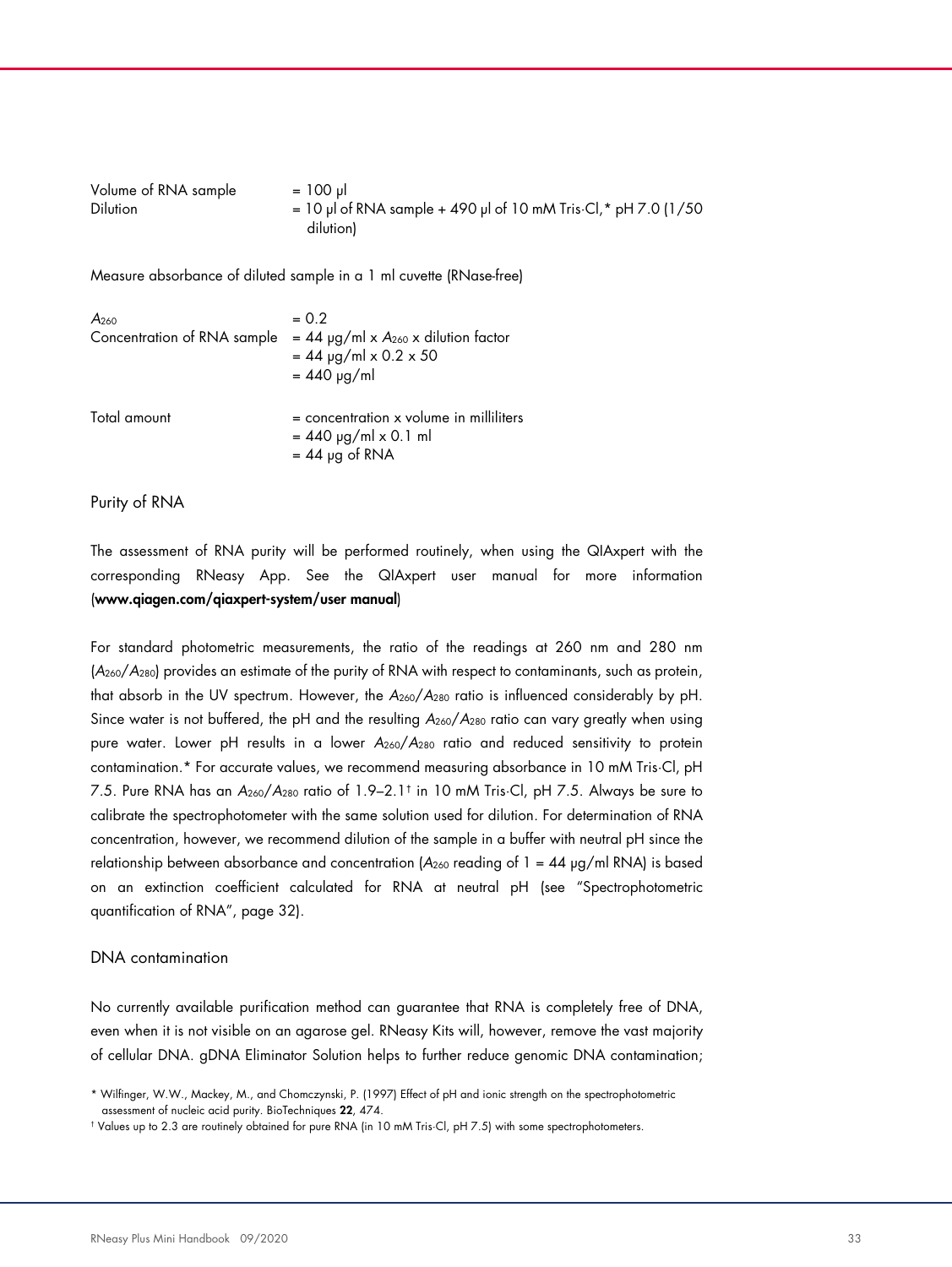| Volume of RNA sample | $= 100$ µ                                                                 |
|----------------------|---------------------------------------------------------------------------|
| <b>Dilution</b>      | $= 10$ µ of RNA sample + 490 µ of 10 mM Tris $\cdot$ Cl, $*$ pH 7.0 (1/50 |
|                      | dilution                                                                  |

Measure absorbance of diluted sample in a 1 ml cuvette (RNase-free)

| A <sub>260</sub>            | $= 0.2$                                                                                       |
|-----------------------------|-----------------------------------------------------------------------------------------------|
| Concentration of RNA sample | $= 44$ µg/ml x A <sub>260</sub> x dilution factor<br>$= 44$ µg/ml x 0.2 x 50<br>$= 440$ µg/ml |
| Total amount                | $=$ concentration x volume in milliliters<br>$= 440$ µg/ml x 0.1 ml<br>$= 44$ µg of RNA       |

Purity of RNA

The assessment of RNA purity will be performed routinely, when using the QIAxpert with the corresponding RNeasy App. See the QIAxpert user manual for more information (www.qiagen.com/qiaxpert-system/user manual)

For standard photometric measurements, the ratio of the readings at 260 nm and 280 nm  $(A<sub>260</sub>/A<sub>280</sub>)$  provides an estimate of the purity of RNA with respect to contaminants, such as protein, that absorb in the UV spectrum. However, the  $A_{260}/A_{280}$  ratio is influenced considerably by pH. Since water is not buffered, the pH and the resulting  $A_{260}/A_{280}$  ratio can vary greatly when using pure water. Lower pH results in a lower  $A_{260}/A_{280}$  ratio and reduced sensitivity to protein contamination.\* For accurate values, we recommend measuring absorbance in 10 mM Tris·Cl, pH 7.5. Pure RNA has an A260/A280 ratio of 1.9–2.1† in 10 mM Tris·Cl, pH 7.5. Always be sure to calibrate the spectrophotometer with the same solution used for dilution. For determination of RNA concentration, however, we recommend dilution of the sample in a buffer with neutral pH since the relationship between absorbance and concentration ( $A_{260}$  reading of 1 = 44  $\mu$ g/ml RNA) is based on an extinction coefficient calculated for RNA at neutral pH (see "Spectrophotometric quantification of RNA", page 32).

#### DNA contamination

No currently available purification method can guarantee that RNA is completely free of DNA, even when it is not visible on an agarose gel. RNeasy Kits will, however, remove the vast majority of cellular DNA. gDNA Eliminator Solution helps to further reduce genomic DNA contamination;

<sup>\*</sup> Wilfinger, W.W., Mackey, M., and Chomczynski, P. (1997) Effect of pH and ionic strength on the spectrophotometric assessment of nucleic acid purity. BioTechniques 22, 474.

<sup>†</sup> Values up to 2.3 are routinely obtained for pure RNA (in 10 mM Tris·Cl, pH 7.5) with some spectrophotometers.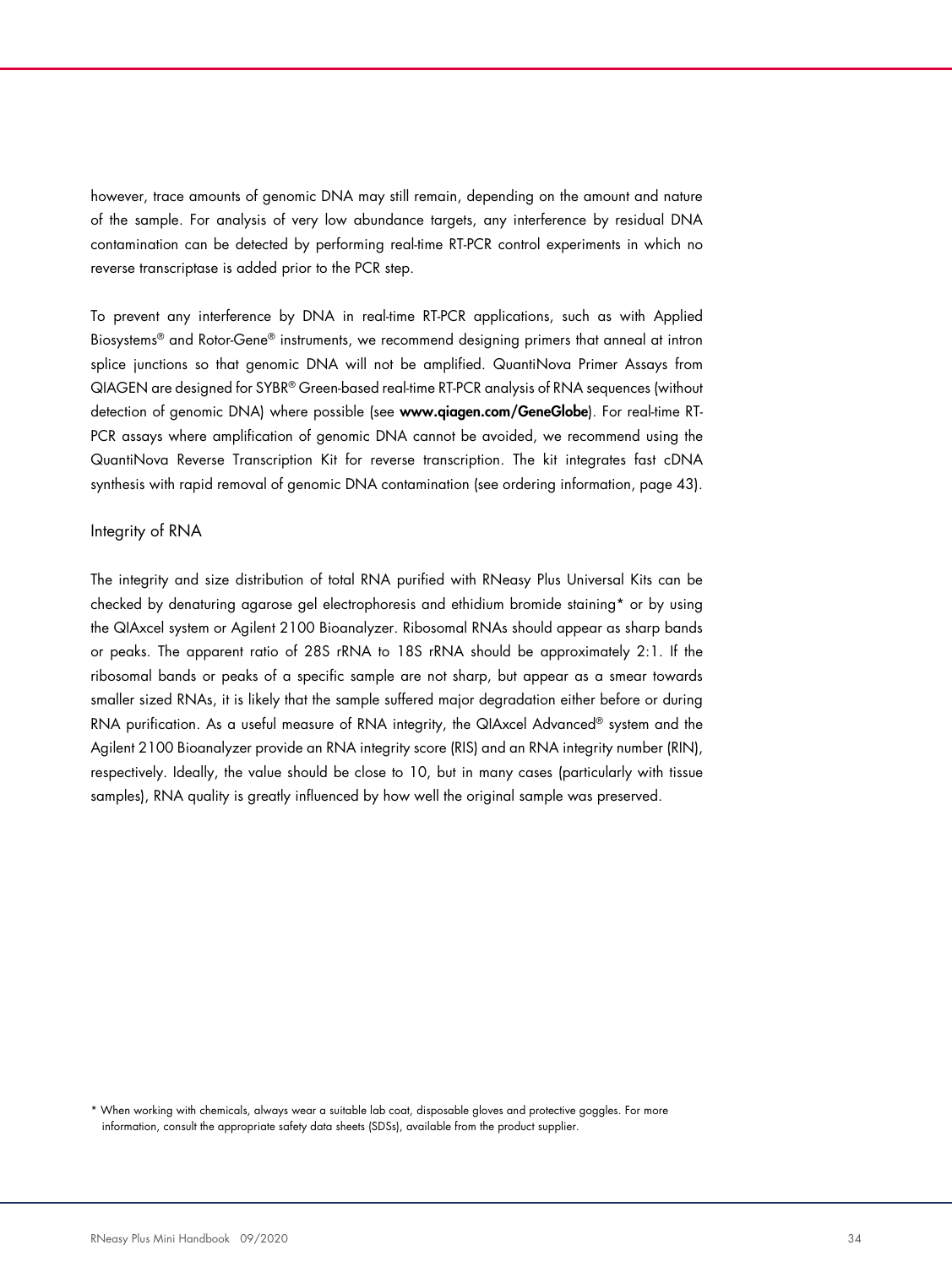however, trace amounts of genomic DNA may still remain, depending on the amount and nature of the sample. For analysis of very low abundance targets, any interference by residual DNA contamination can be detected by performing real-time RT-PCR control experiments in which no reverse transcriptase is added prior to the PCR step.

To prevent any interference by DNA in real-time RT-PCR applications, such as with Applied Biosystems® and Rotor-Gene® instruments, we recommend designing primers that anneal at intron splice junctions so that genomic DNA will not be amplified. QuantiNova Primer Assays from QIAGEN are designed for SYBR® Green-based real-time RT-PCR analysis of RNA sequences (without detection of genomic DNA) where possible (see www.qiagen.com/GeneGlobe). For real-time RT-PCR assays where amplification of genomic DNA cannot be avoided, we recommend using the QuantiNova Reverse Transcription Kit for reverse transcription. The kit integrates fast cDNA synthesis with rapid removal of genomic DNA contamination (see ordering information, page 43).

#### Integrity of RNA

The integrity and size distribution of total RNA purified with RNeasy Plus Universal Kits can be checked by denaturing agarose gel electrophoresis and ethidium bromide staining\* or by using the QIAxcel system or Agilent 2100 Bioanalyzer. Ribosomal RNAs should appear as sharp bands or peaks. The apparent ratio of 28S rRNA to 18S rRNA should be approximately 2:1. If the ribosomal bands or peaks of a specific sample are not sharp, but appear as a smear towards smaller sized RNAs, it is likely that the sample suffered major degradation either before or during RNA purification. As a useful measure of RNA integrity, the QIAxcel Advanced® system and the Agilent 2100 Bioanalyzer provide an RNA integrity score (RIS) and an RNA integrity number (RIN), respectively. Ideally, the value should be close to 10, but in many cases (particularly with tissue samples), RNA quality is greatly influenced by how well the original sample was preserved.

\* When working with chemicals, always wear a suitable lab coat, disposable gloves and protective goggles. For more information, consult the appropriate safety data sheets (SDSs), available from the product supplier.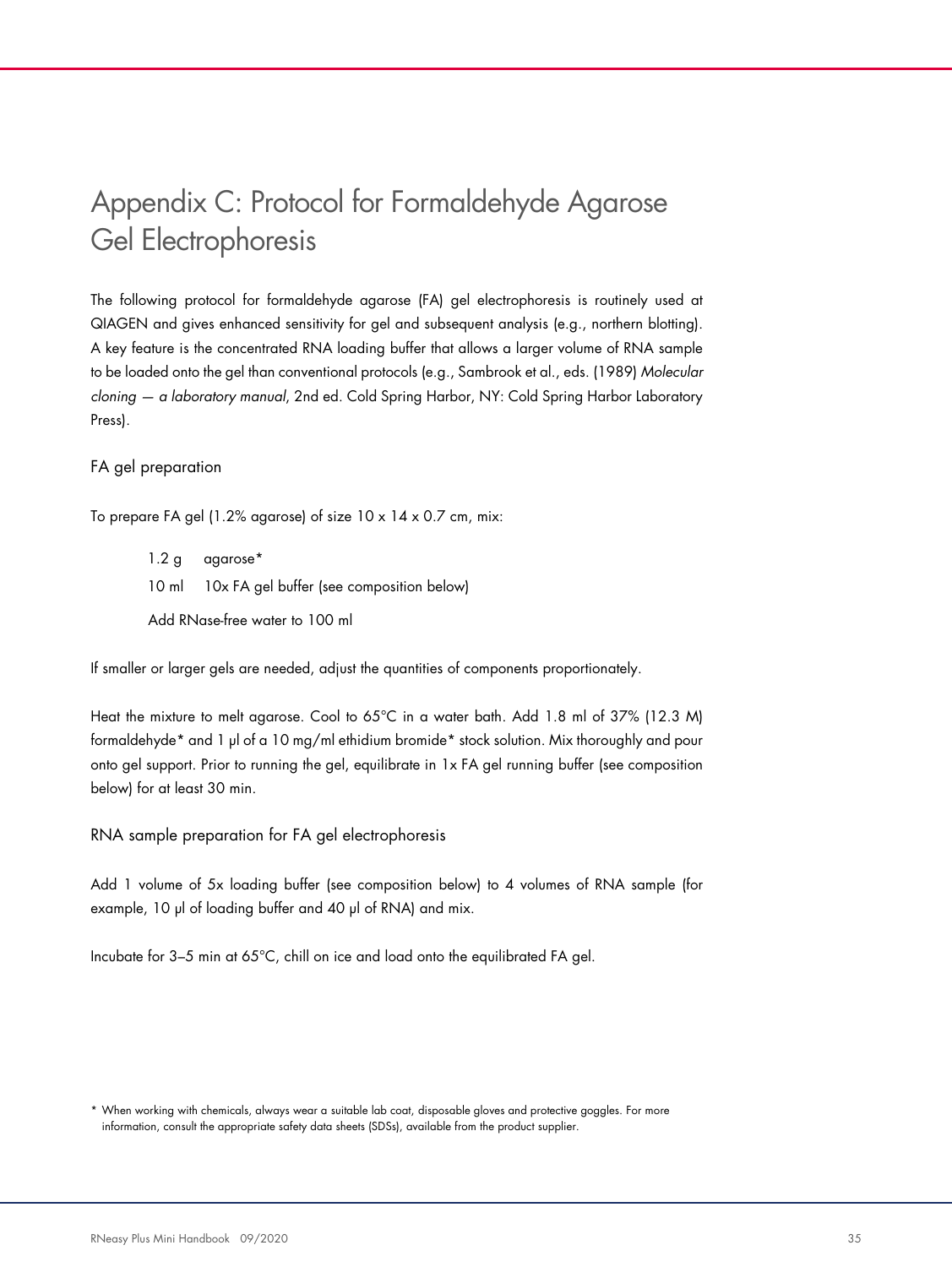# Appendix C: Protocol for Formaldehyde Agarose Gel Electrophoresis

The following protocol for formaldehyde agarose (FA) gel electrophoresis is routinely used at QIAGEN and gives enhanced sensitivity for gel and subsequent analysis (e.g., northern blotting). A key feature is the concentrated RNA loading buffer that allows a larger volume of RNA sample to be loaded onto the gel than conventional protocols (e.g., Sambrook et al., eds. (1989) Molecular cloning — a laboratory manual, 2nd ed. Cold Spring Harbor, NY: Cold Spring Harbor Laboratory Press).

#### FA gel preparation

To prepare FA gel (1.2% agarose) of size 10 x 14 x 0.7 cm, mix:

1.2 g agarose\* 10 ml 10x FA gel buffer (see composition below) Add RNase-free water to 100 ml

If smaller or larger gels are needed, adjust the quantities of components proportionately.

Heat the mixture to melt agarose. Cool to 65°C in a water bath. Add 1.8 ml of 37% (12.3 M) formaldehyde\* and 1 µl of a 10 mg/ml ethidium bromide\* stock solution. Mix thoroughly and pour onto gel support. Prior to running the gel, equilibrate in 1x FA gel running buffer (see composition below) for at least 30 min.

RNA sample preparation for FA gel electrophoresis

Add 1 volume of 5x loading buffer (see composition below) to 4 volumes of RNA sample (for example, 10 µl of loading buffer and 40 µl of RNA) and mix.

Incubate for 3–5 min at 65°C, chill on ice and load onto the equilibrated FA gel.

<sup>\*</sup> When working with chemicals, always wear a suitable lab coat, disposable gloves and protective goggles. For more information, consult the appropriate safety data sheets (SDSs), available from the product supplier.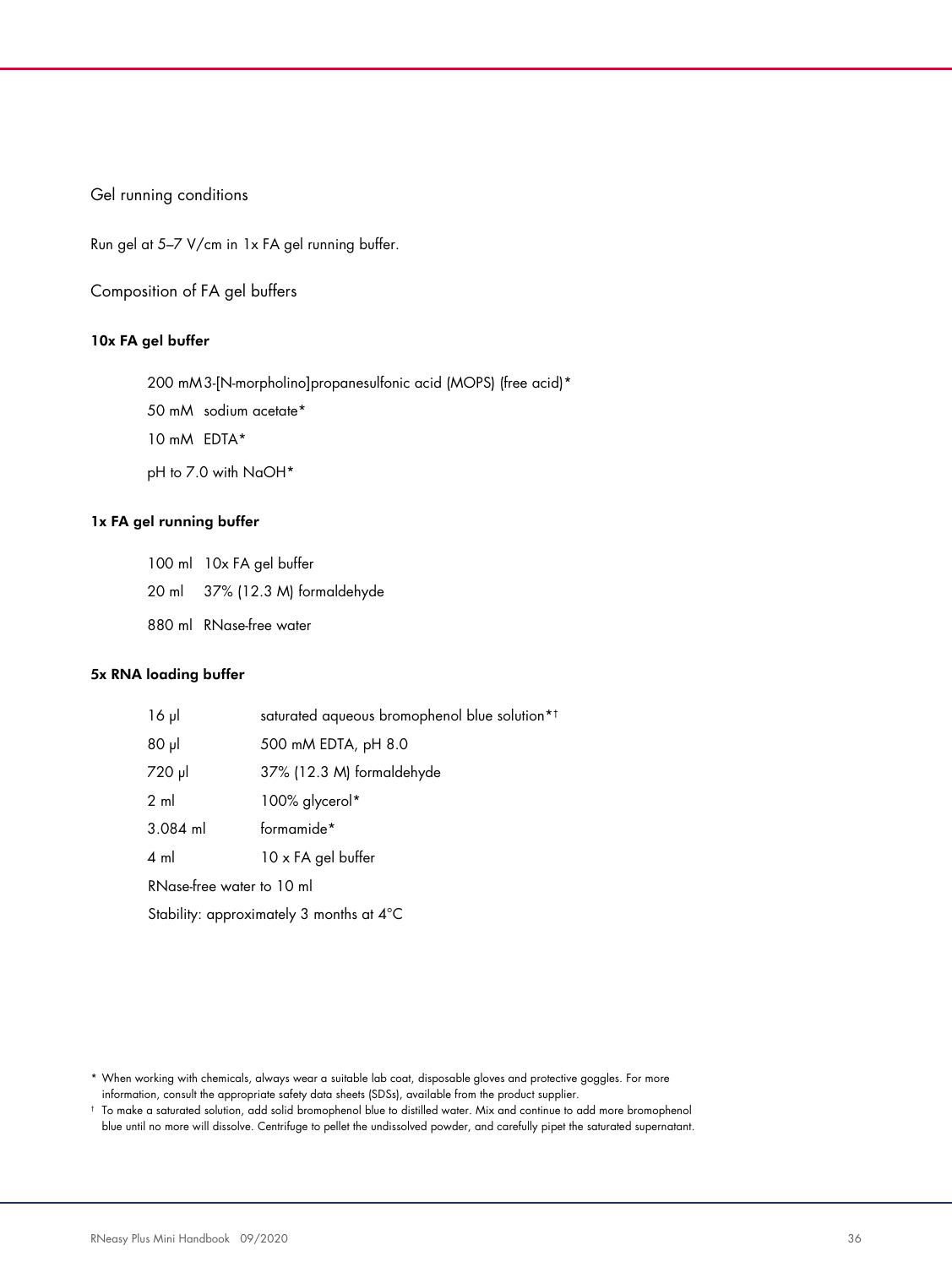#### Gel running conditions

Run gel at 5–7 V/cm in 1x FA gel running buffer.

Composition of FA gel buffers

#### 10x FA gel buffer

- 200 mM 3-[N-morpholino]propanesulfonic acid (MOPS) (free acid)\*
- 50 mM sodium acetate\*
- 10 mM EDTA\*
- pH to 7.0 with NaOH\*

#### 1x FA gel running buffer

- 100 ml 10x FA gel buffer
- 20 ml 37% (12.3 M) formaldehyde
- 880 ml RNase-free water

#### 5x RNA loading buffer

| $16 \mu$                  | saturated aqueous bromophenol blue solution* <sup>†</sup> |
|---------------------------|-----------------------------------------------------------|
| $80$ µ                    | 500 mM EDTA, pH 8.0                                       |
| 720 µl                    | 37% (12.3 M) formaldehyde                                 |
| $2 \text{ ml}$            | 100% glycerol*                                            |
| $3.084$ ml                | formamide*                                                |
| $4 \text{ ml}$            | 10 x FA gel buffer                                        |
| RNase-free water to 10 ml |                                                           |
|                           | Stability: approximately 3 months at 4°C                  |

<sup>\*</sup> When working with chemicals, always wear a suitable lab coat, disposable gloves and protective goggles. For more information, consult the appropriate safety data sheets (SDSs), available from the product supplier.

<sup>†</sup> To make a saturated solution, add solid bromophenol blue to distilled water. Mix and continue to add more bromophenol blue until no more will dissolve. Centrifuge to pellet the undissolved powder, and carefully pipet the saturated supernatant.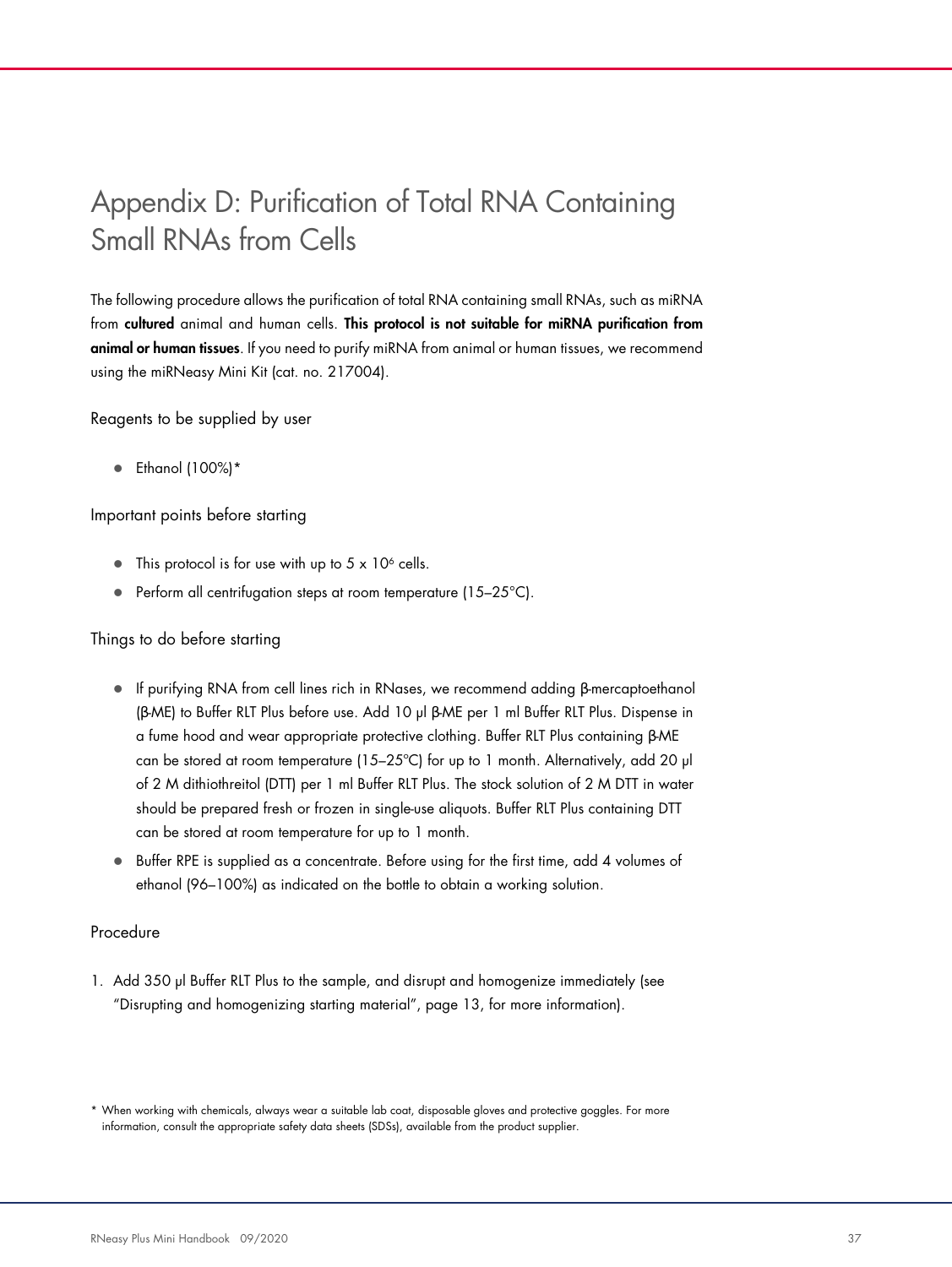# Appendix D: Purification of Total RNA Containing Small RNAs from Cells

The following procedure allows the purification of total RNA containing small RNAs, such as miRNA from cultured animal and human cells. This protocol is not suitable for miRNA purification from animal or human tissues. If you need to purify miRNA from animal or human tissues, we recommend using the miRNeasy Mini Kit (cat. no. 217004).

Reagents to be supplied by user

 $\bullet$  Ethanol (100%)\*

Important points before starting

- This protocol is for use with up to  $5 \times 10^6$  cells.
- Perform all centrifugation steps at room temperature (15–25°C).

#### Things to do before starting

- If purifying RNA from cell lines rich in RNases, we recommend adding β-mercaptoethanol (β-ME) to Buffer RLT Plus before use. Add 10 µl β-ME per 1 ml Buffer RLT Plus. Dispense in a fume hood and wear appropriate protective clothing. Buffer RLT Plus containing β-ME can be stored at room temperature (15–25°C) for up to 1 month. Alternatively, add 20  $\mu$ of 2 M dithiothreitol (DTT) per 1 ml Buffer RLT Plus. The stock solution of 2 M DTT in water should be prepared fresh or frozen in single-use aliquots. Buffer RLT Plus containing DTT can be stored at room temperature for up to 1 month.
- Buffer RPE is supplied as a concentrate. Before using for the first time, add 4 volumes of ethanol (96–100%) as indicated on the bottle to obtain a working solution.

#### Procedure

1. Add 350 µl Buffer RLT Plus to the sample, and disrupt and homogenize immediately (see "Disrupting and homogenizing starting material", page 13, for more information).

<sup>\*</sup> When working with chemicals, always wear a suitable lab coat, disposable gloves and protective goggles. For more information, consult the appropriate safety data sheets (SDSs), available from the product supplier.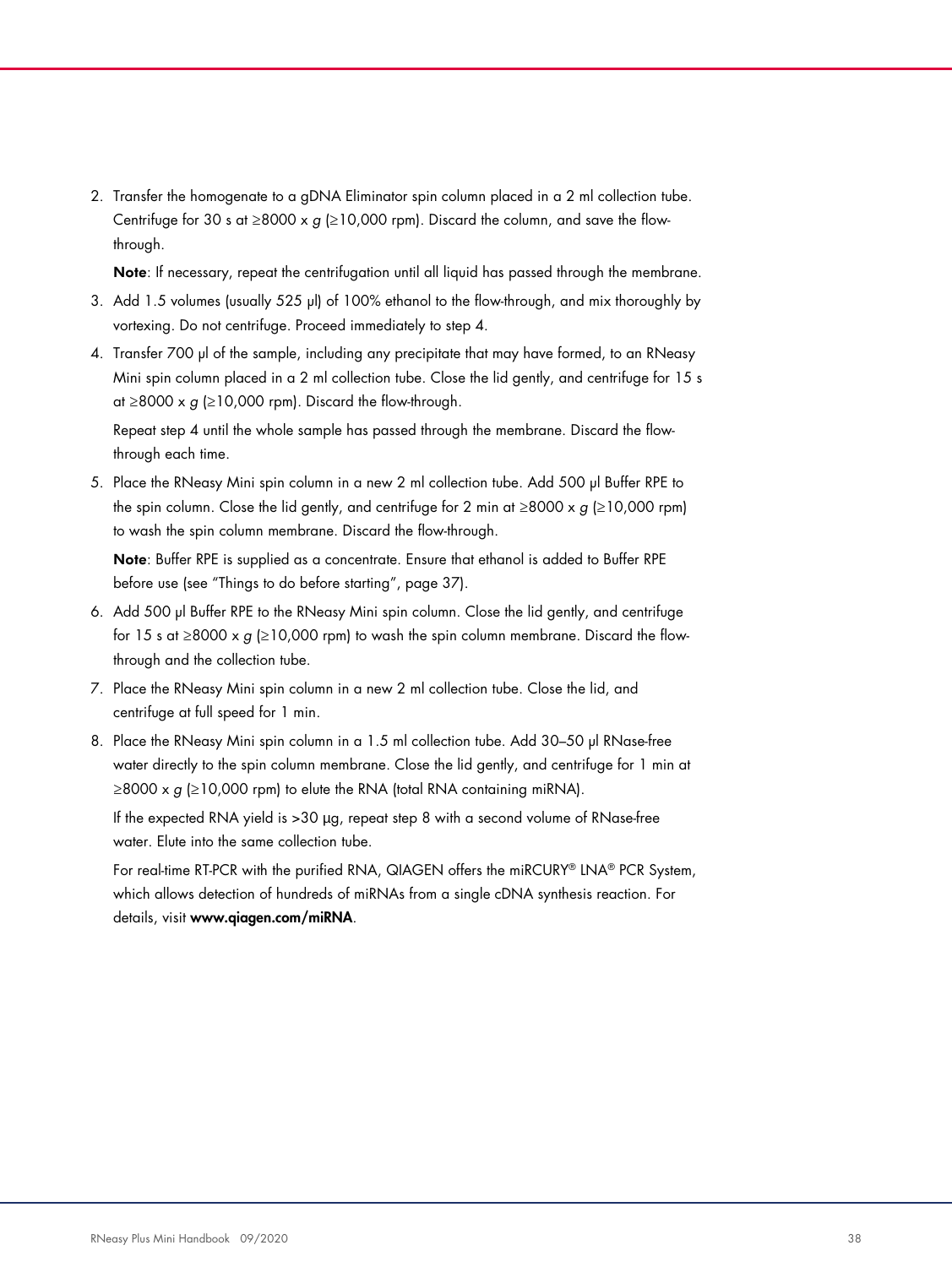2. Transfer the homogenate to a gDNA Eliminator spin column placed in a 2 ml collection tube. Centrifuge for 30 s at ≥8000 x  $g$  (≥10,000 rpm). Discard the column, and save the flowthrough.

Note: If necessary, repeat the centrifugation until all liquid has passed through the membrane.

- 3. Add 1.5 volumes (usually 525 µl) of 100% ethanol to the flow-through, and mix thoroughly by vortexing. Do not centrifuge. Proceed immediately to step 4.
- 4. Transfer 700 µl of the sample, including any precipitate that may have formed, to an RNeasy Mini spin column placed in a 2 ml collection tube. Close the lid gently, and centrifuge for 15 s at  $\geq$ 8000 x g ( $\geq$ 10,000 rpm). Discard the flow-through.

Repeat step 4 until the whole sample has passed through the membrane. Discard the flowthrough each time.

5. Place the RNeasy Mini spin column in a new 2 ml collection tube. Add 500 µl Buffer RPE to the spin column. Close the lid gently, and centrifuge for 2 min at ≥8000 x g (≥10,000 rpm) to wash the spin column membrane. Discard the flow-through.

Note: Buffer RPE is supplied as a concentrate. Ensure that ethanol is added to Buffer RPE before use (see "Things to do before starting", page 37).

- 6. Add 500 µl Buffer RPE to the RNeasy Mini spin column. Close the lid gently, and centrifuge for 15 s at ≥8000 x  $g$  (≥10,000 rpm) to wash the spin column membrane. Discard the flowthrough and the collection tube.
- 7. Place the RNeasy Mini spin column in a new 2 ml collection tube. Close the lid, and centrifuge at full speed for 1 min.
- 8. Place the RNeasy Mini spin column in a 1.5 ml collection tube. Add 30-50 µl RNase-free water directly to the spin column membrane. Close the lid gently, and centrifuge for 1 min at  $\geq$ 8000 x g ( $\geq$ 10,000 rpm) to elute the RNA (total RNA containing miRNA).

If the expected RNA yield is >30 µg, repeat step 8 with a second volume of RNase-free water. Elute into the same collection tube.

For real-time RT-PCR with the purified RNA, QIAGEN offers the miRCURY® LNA® PCR System, which allows detection of hundreds of miRNAs from a single cDNA synthesis reaction. For details, visit www.qiagen.com/miRNA.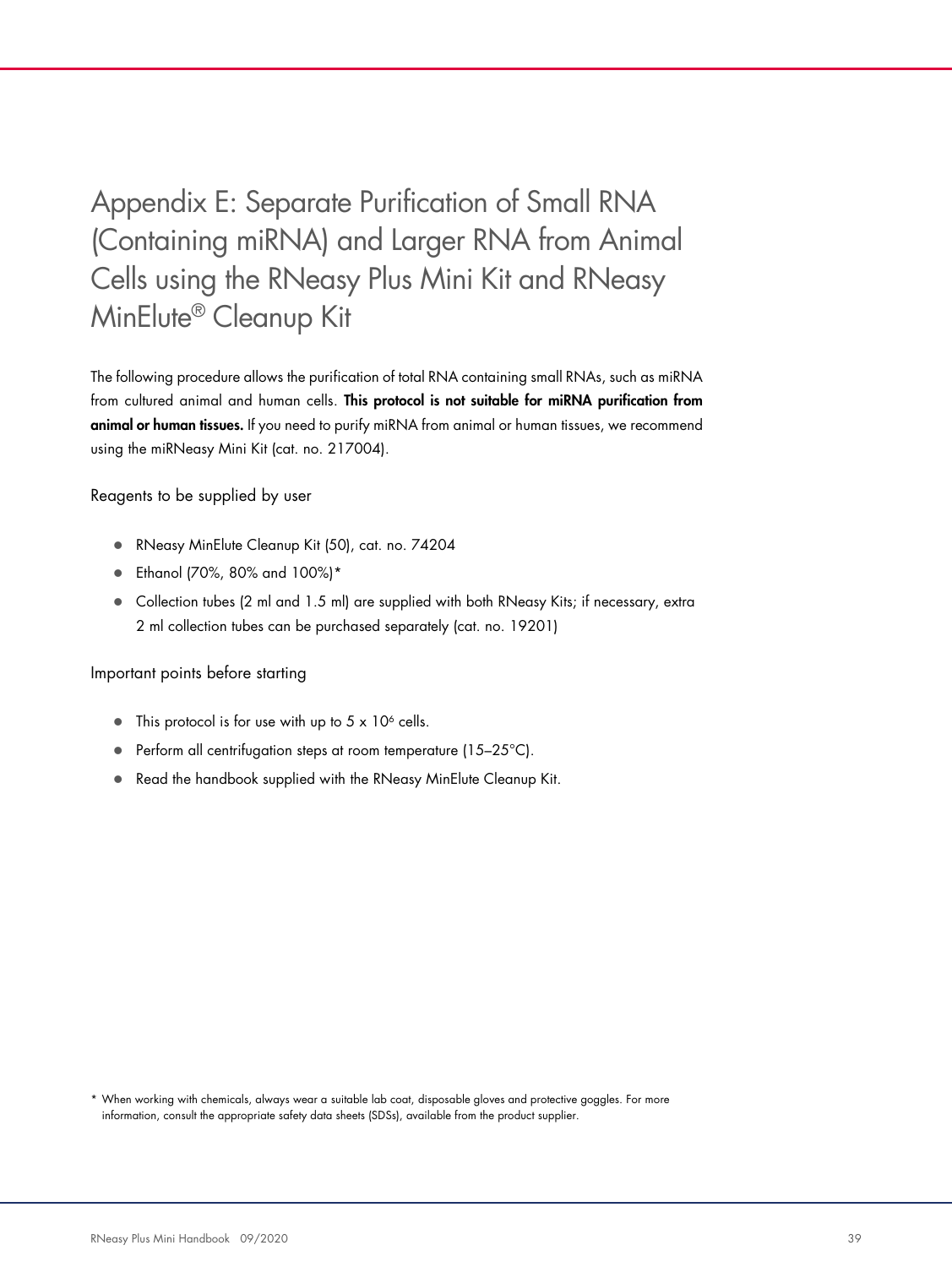# Appendix E: Separate Purification of Small RNA (Containing miRNA) and Larger RNA from Animal Cells using the RNeasy Plus Mini Kit and RNeasy MinElute® Cleanup Kit

The following procedure allows the purification of total RNA containing small RNAs, such as miRNA from cultured animal and human cells. This protocol is not suitable for miRNA purification from animal or human tissues. If you need to purify miRNA from animal or human tissues, we recommend using the miRNeasy Mini Kit (cat. no. 217004).

Reagents to be supplied by user

- RNeasy MinElute Cleanup Kit (50), cat. no. 74204
- Ethanol (70%, 80% and 100%)\*
- Collection tubes (2 ml and 1.5 ml) are supplied with both RNeasy Kits; if necessary, extra 2 ml collection tubes can be purchased separately (cat. no. 19201)

Important points before starting

- This protocol is for use with up to  $5 \times 10^6$  cells.
- **•** Perform all centrifugation steps at room temperature  $(15-25^{\circ}C)$ .
- Read the handbook supplied with the RNeasy MinElute Cleanup Kit.

\* When working with chemicals, always wear a suitable lab coat, disposable gloves and protective goggles. For more information, consult the appropriate safety data sheets (SDSs), available from the product supplier.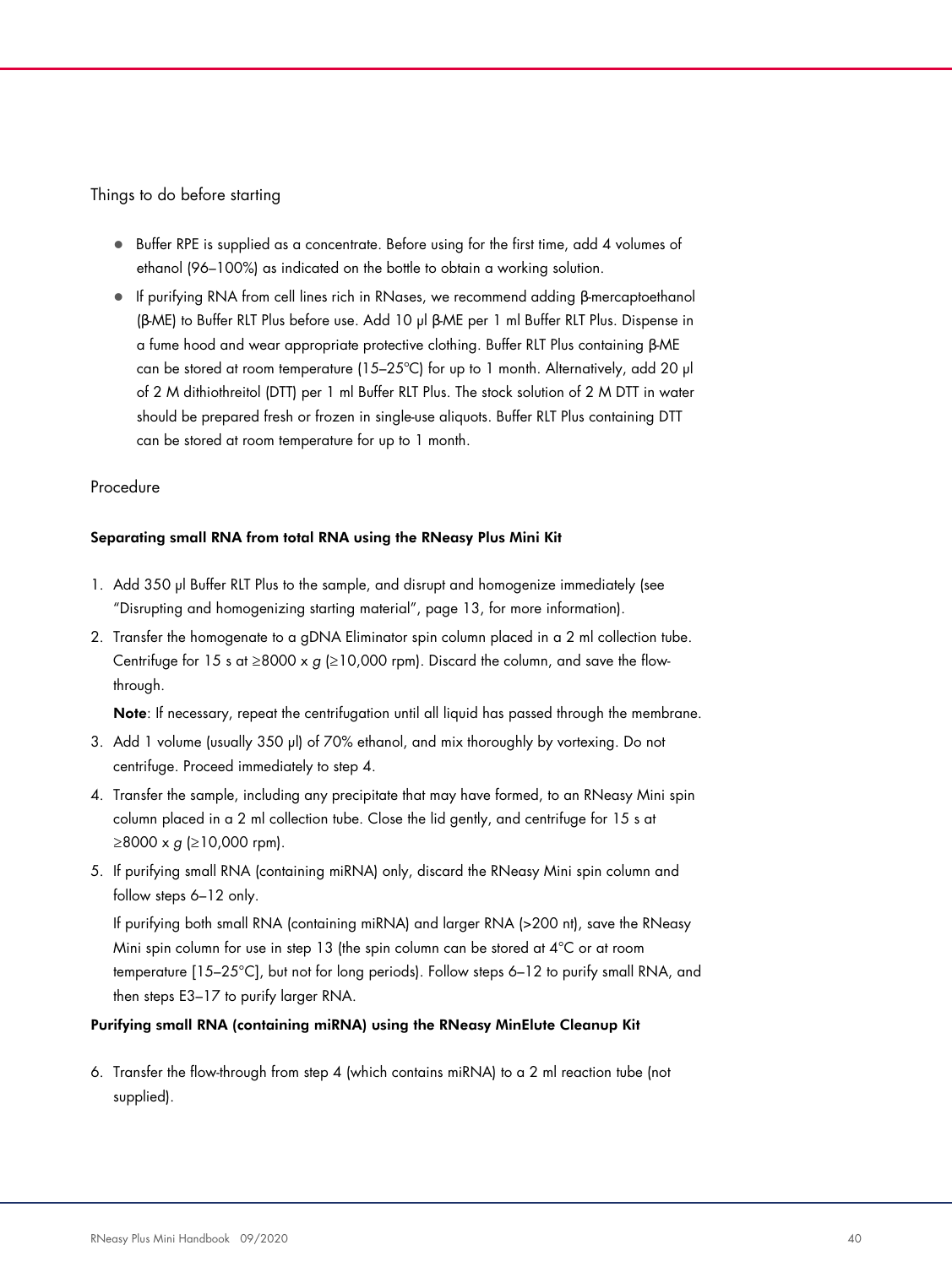#### Things to do before starting

- Buffer RPE is supplied as a concentrate. Before using for the first time, add 4 volumes of ethanol (96–100%) as indicated on the bottle to obtain a working solution.
- If purifying RNA from cell lines rich in RNases, we recommend adding β-mercaptoethanol (β-ME) to Buffer RLT Plus before use. Add 10 µl β-ME per 1 ml Buffer RLT Plus. Dispense in a fume hood and wear appropriate protective clothing. Buffer RLT Plus containing β-ME can be stored at room temperature (15-25°C) for up to 1 month. Alternatively, add 20 µl of 2 M dithiothreitol (DTT) per 1 ml Buffer RLT Plus. The stock solution of 2 M DTT in water should be prepared fresh or frozen in single-use aliquots. Buffer RLT Plus containing DTT can be stored at room temperature for up to 1 month.

#### Procedure

#### Separating small RNA from total RNA using the RNeasy Plus Mini Kit

- 1. Add 350 µl Buffer RLT Plus to the sample, and disrupt and homogenize immediately (see "Disrupting and homogenizing starting material", page 13, for more information).
- 2. Transfer the homogenate to a gDNA Eliminator spin column placed in a 2 ml collection tube. Centrifuge for 15 s at ≥8000 x  $g$  (≥10,000 rpm). Discard the column, and save the flowthrough.

Note: If necessary, repeat the centrifugation until all liquid has passed through the membrane.

- 3. Add 1 volume (usually 350 µl) of 70% ethanol, and mix thoroughly by vortexing. Do not centrifuge. Proceed immediately to step 4.
- 4. Transfer the sample, including any precipitate that may have formed, to an RNeasy Mini spin column placed in a 2 ml collection tube. Close the lid gently, and centrifuge for 15 s at  $≥8000 \times g$  ( $≥10,000$  rpm).
- 5. If purifying small RNA (containing miRNA) only, discard the RNeasy Mini spin column and follow steps 6–12 only.

If purifying both small RNA (containing miRNA) and larger RNA (>200 nt), save the RNeasy Mini spin column for use in step 13 (the spin column can be stored at 4°C or at room temperature [15–25°C], but not for long periods). Follow steps 6–12 to purify small RNA, and then steps E3–17 to purify larger RNA.

#### Purifying small RNA (containing miRNA) using the RNeasy MinElute Cleanup Kit

6. Transfer the flow-through from step 4 (which contains miRNA) to a 2 ml reaction tube (not supplied).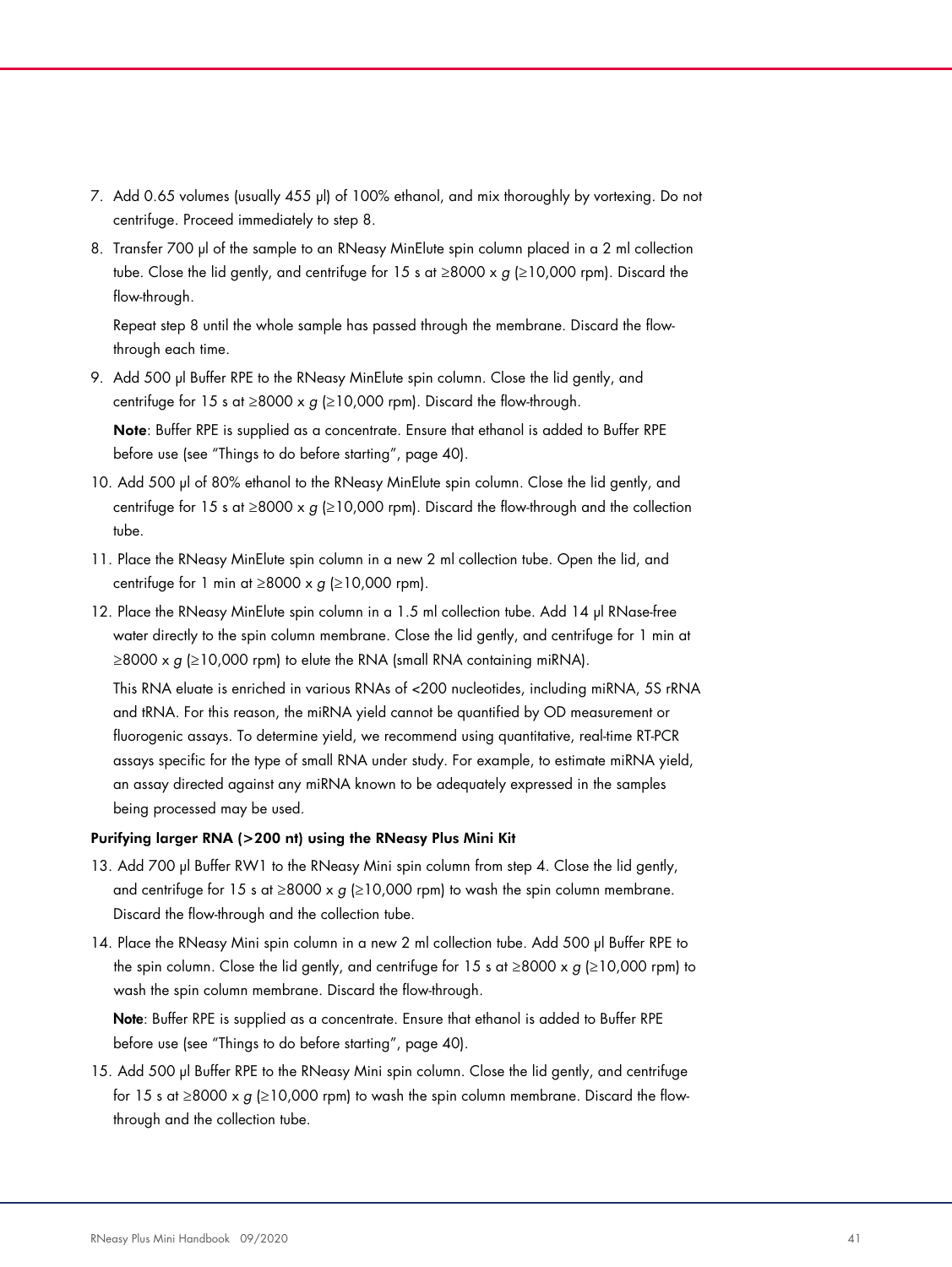- 7. Add 0.65 volumes (usually 455 µl) of 100% ethanol, and mix thoroughly by vortexing. Do not centrifuge. Proceed immediately to step 8.
- 8. Transfer 700 µl of the sample to an RNeasy MinElute spin column placed in a 2 ml collection tube. Close the lid gently, and centrifuge for 15 s at ≥8000 x  $g$  (≥10,000 rpm). Discard the flow-through.

Repeat step 8 until the whole sample has passed through the membrane. Discard the flowthrough each time.

9. Add 500 µl Buffer RPE to the RNeasy MinElute spin column. Close the lid gently, and centrifuge for 15 s at  $\geq$ 8000 x g ( $\geq$ 10,000 rpm). Discard the flow-through.

Note: Buffer RPE is supplied as a concentrate. Ensure that ethanol is added to Buffer RPE before use (see "Things to do before starting", page 40).

- 10. Add 500 µl of 80% ethanol to the RNeasy MinElute spin column. Close the lid gently, and centrifuge for 15 s at ≥8000 x  $g$  (≥10,000 rpm). Discard the flow-through and the collection tube.
- 11. Place the RNeasy MinElute spin column in a new 2 ml collection tube. Open the lid, and centrifuge for 1 min at  $\geq$ 8000 x g ( $\geq$ 10,000 rpm).
- 12. Place the RNeasy MinElute spin column in a 1.5 ml collection tube. Add 14 µl RNase-free water directly to the spin column membrane. Close the lid gently, and centrifuge for 1 min at  $\geq$ 8000 x g ( $\geq$ 10,000 rpm) to elute the RNA (small RNA containing miRNA).

This RNA eluate is enriched in various RNAs of <200 nucleotides, including miRNA, 5S rRNA and tRNA. For this reason, the miRNA yield cannot be quantified by OD measurement or fluorogenic assays. To determine yield, we recommend using quantitative, real-time RT-PCR assays specific for the type of small RNA under study. For example, to estimate miRNA yield, an assay directed against any miRNA known to be adequately expressed in the samples being processed may be used.

#### Purifying larger RNA (>200 nt) using the RNeasy Plus Mini Kit

- 13. Add 700 µl Buffer RW1 to the RNeasy Mini spin column from step 4. Close the lid gently, and centrifuge for 15 s at ≥8000 x  $g$  (≥10,000 rpm) to wash the spin column membrane. Discard the flow-through and the collection tube.
- 14. Place the RNeasy Mini spin column in a new 2 ml collection tube. Add 500 µl Buffer RPE to the spin column. Close the lid gently, and centrifuge for 15 s at  $\geq$ 8000 x g ( $\geq$ 10,000 rpm) to wash the spin column membrane. Discard the flow-through.

Note: Buffer RPE is supplied as a concentrate. Ensure that ethanol is added to Buffer RPE before use (see "Things to do before starting", page 40).

15. Add 500 µl Buffer RPE to the RNeasy Mini spin column. Close the lid gently, and centrifuge for 15 s at ≥8000 x  $g$  (≥10,000 rpm) to wash the spin column membrane. Discard the flowthrough and the collection tube.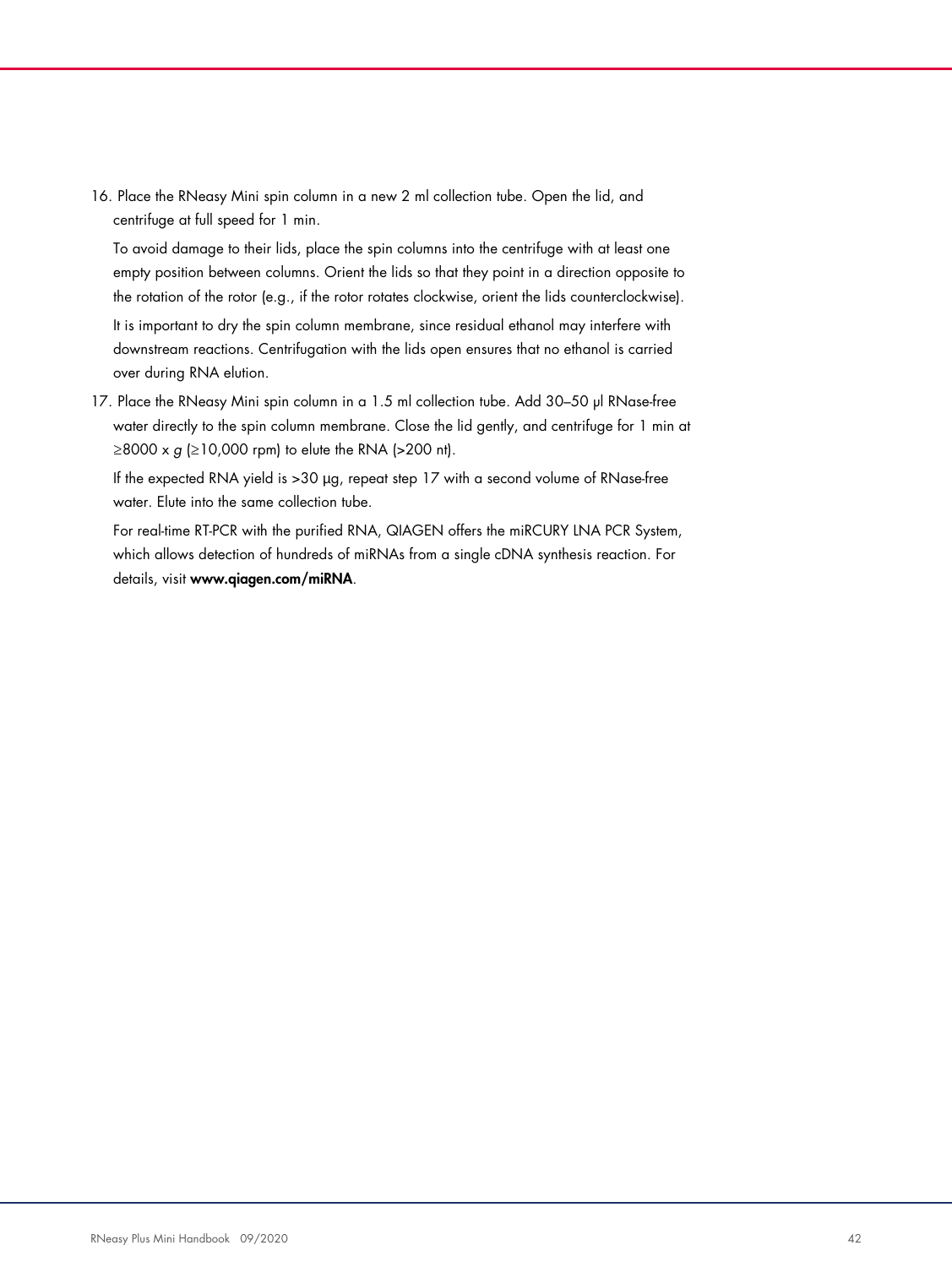16. Place the RNeasy Mini spin column in a new 2 ml collection tube. Open the lid, and centrifuge at full speed for 1 min.

To avoid damage to their lids, place the spin columns into the centrifuge with at least one empty position between columns. Orient the lids so that they point in a direction opposite to the rotation of the rotor (e.g., if the rotor rotates clockwise, orient the lids counterclockwise).

It is important to dry the spin column membrane, since residual ethanol may interfere with downstream reactions. Centrifugation with the lids open ensures that no ethanol is carried over during RNA elution.

17. Place the RNeasy Mini spin column in a 1.5 ml collection tube. Add 30–50 µl RNase-free water directly to the spin column membrane. Close the lid gently, and centrifuge for 1 min at  $\geq$ 8000 x g ( $\geq$ 10,000 rpm) to elute the RNA ( $>$ 200 nt).

If the expected RNA yield is >30 µg, repeat step 17 with a second volume of RNase-free water. Elute into the same collection tube.

For real-time RT-PCR with the purified RNA, QIAGEN offers the miRCURY LNA PCR System, which allows detection of hundreds of miRNAs from a single cDNA synthesis reaction. For details, visit www.qiagen.com/miRNA.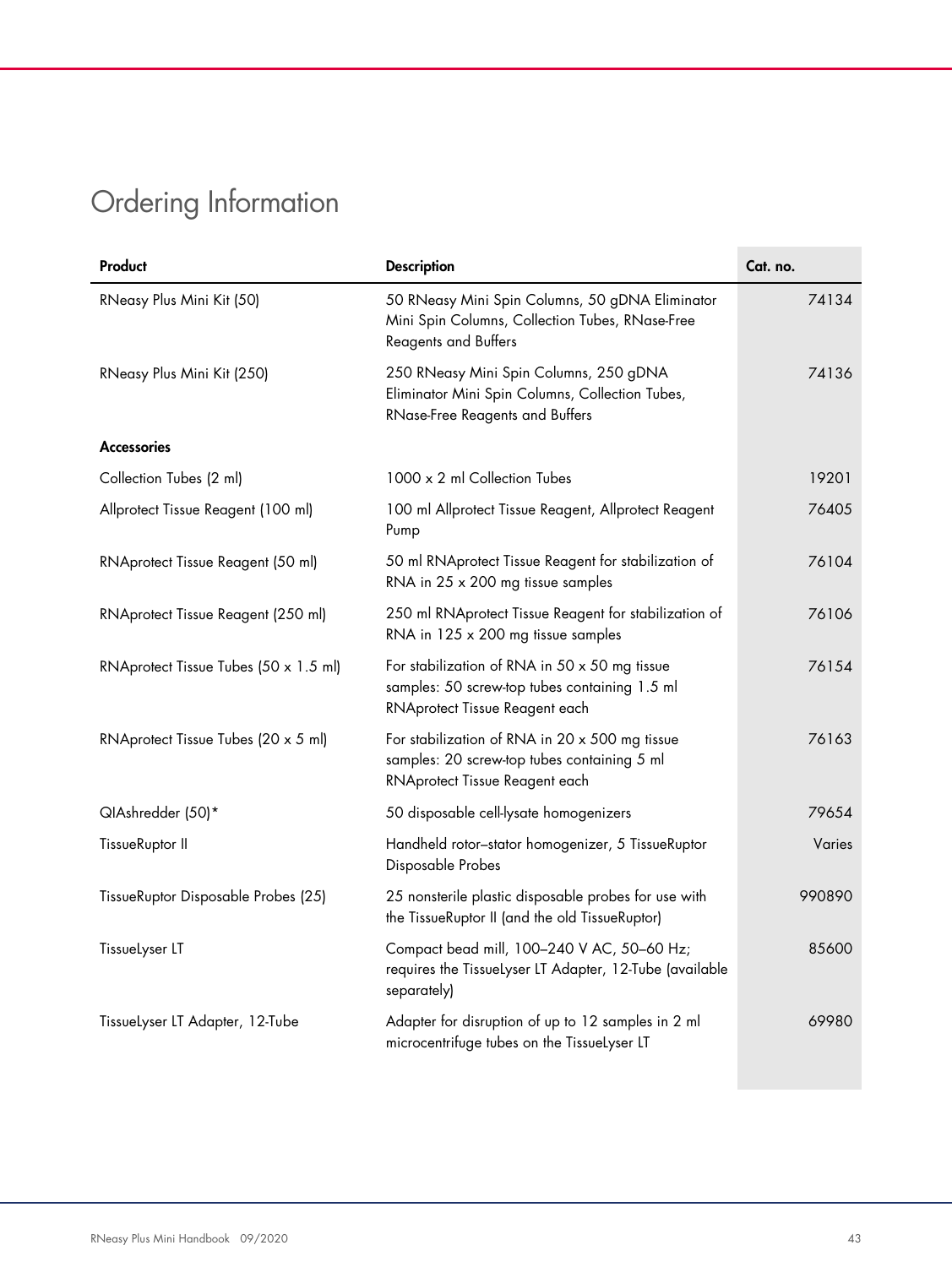# Ordering Information

| Product                               | <b>Description</b>                                                                                                                      | Cat. no.      |
|---------------------------------------|-----------------------------------------------------------------------------------------------------------------------------------------|---------------|
| RNeasy Plus Mini Kit (50)             | 50 RNeasy Mini Spin Columns, 50 gDNA Eliminator<br>Mini Spin Columns, Collection Tubes, RNase-Free<br><b>Reagents and Buffers</b>       | 74134         |
| RNeasy Plus Mini Kit (250)            | 250 RNeasy Mini Spin Columns, 250 gDNA<br>Eliminator Mini Spin Columns, Collection Tubes,<br>RNase-Free Reagents and Buffers            | 74136         |
| <b>Accessories</b>                    |                                                                                                                                         |               |
| Collection Tubes (2 ml)               | 1000 x 2 ml Collection Tubes                                                                                                            | 19201         |
| Allprotect Tissue Reagent (100 ml)    | 100 ml Allprotect Tissue Reagent, Allprotect Reagent<br>Pump                                                                            | 76405         |
| RNAprotect Tissue Reagent (50 ml)     | 50 ml RNAprotect Tissue Reagent for stabilization of<br>RNA in 25 x 200 mg tissue samples                                               | 76104         |
| RNAprotect Tissue Reagent (250 ml)    | 250 ml RNAprotect Tissue Reagent for stabilization of<br>RNA in 125 x 200 mg tissue samples                                             | 76106         |
| RNAprotect Tissue Tubes (50 x 1.5 ml) | For stabilization of RNA in $50 \times 50$ mg tissue<br>samples: 50 screw-top tubes containing 1.5 ml<br>RNAprotect Tissue Reagent each | 76154         |
| RNAprotect Tissue Tubes (20 x 5 ml)   | For stabilization of RNA in 20 x 500 mg tissue<br>samples: 20 screw-top tubes containing 5 ml<br>RNAprotect Tissue Reagent each         | 76163         |
| QIAshredder (50)*                     | 50 disposable cell-lysate homogenizers                                                                                                  | 79654         |
| TissueRuptor II                       | Handheld rotor-stator homogenizer, 5 TissueRuptor<br>Disposable Probes                                                                  | <b>Varies</b> |
| TissueRuptor Disposable Probes (25)   | 25 nonsterile plastic disposable probes for use with<br>the TissueRuptor II (and the old TissueRuptor)                                  | 990890        |
| Tissuelyser LT                        | Compact bead mill, 100-240 V AC, 50-60 Hz;<br>requires the TissueLyser LT Adapter, 12-Tube (available<br>separately)                    | 85600         |
| Tissuelyser LT Adapter, 12-Tube       | Adapter for disruption of up to 12 samples in 2 ml<br>microcentrifuge tubes on the TissueLyser LT                                       | 69980         |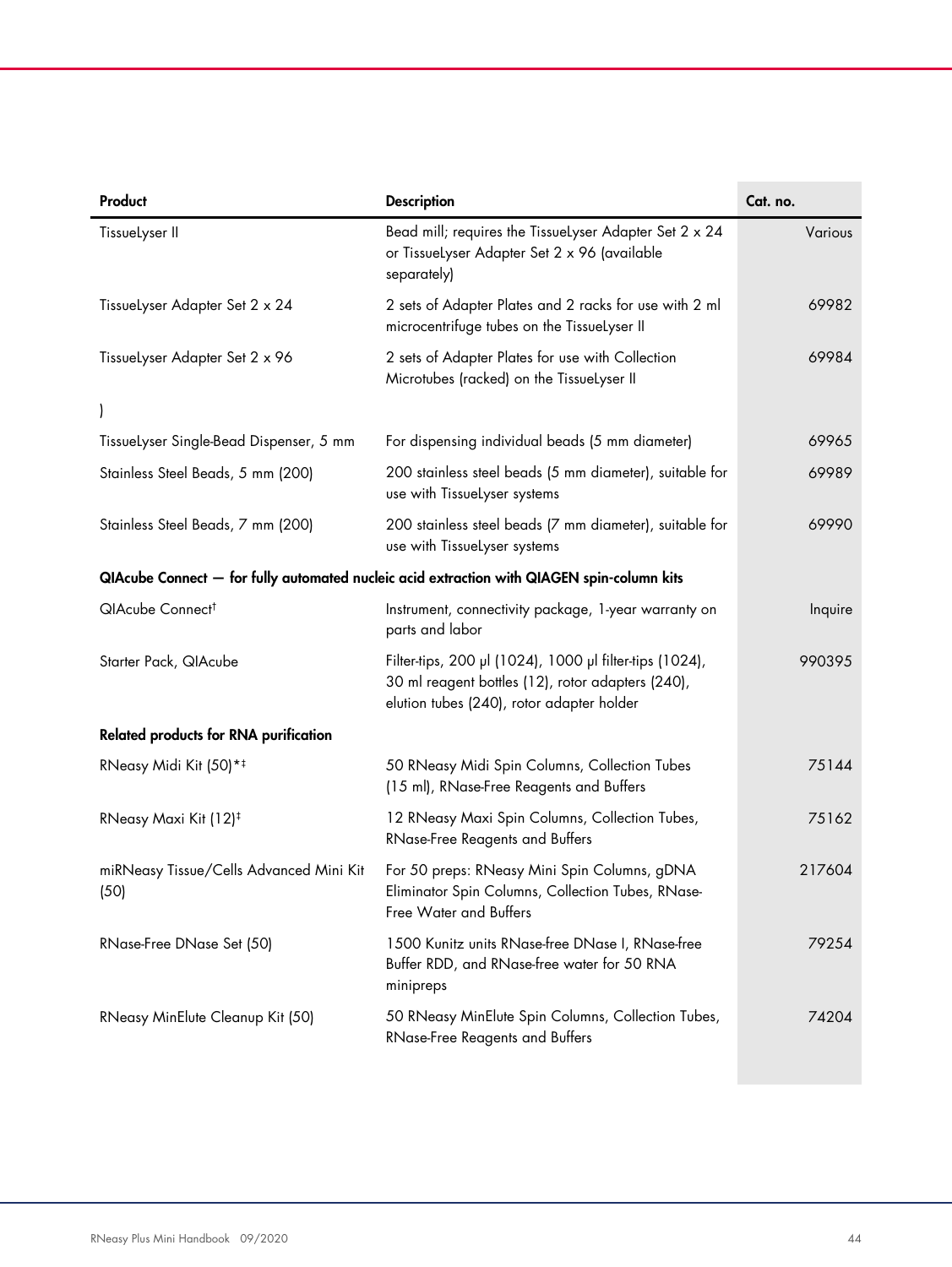| Product                                         | <b>Description</b>                                                                                                                                        | Cat. no. |
|-------------------------------------------------|-----------------------------------------------------------------------------------------------------------------------------------------------------------|----------|
| TissueLyser II                                  | Bead mill; requires the TissueLyser Adapter Set 2 x 24<br>or Tissuelyser Adapter Set 2 x 96 (available<br>separately)                                     | Various  |
| Tissuelyser Adapter Set 2 x 24                  | 2 sets of Adapter Plates and 2 racks for use with 2 ml<br>microcentrifuge tubes on the TissueLyser II                                                     | 69982    |
| Tissuelyser Adapter Set 2 x 96                  | 2 sets of Adapter Plates for use with Collection<br>Microtubes (racked) on the TissueLyser II                                                             | 69984    |
|                                                 |                                                                                                                                                           |          |
| Tissuelyser Single-Bead Dispenser, 5 mm         | For dispensing individual beads (5 mm diameter)                                                                                                           | 69965    |
| Stainless Steel Beads, 5 mm (200)               | 200 stainless steel beads (5 mm diameter), suitable for<br>use with TissueLyser systems                                                                   | 69989    |
| Stainless Steel Beads, 7 mm (200)               | 200 stainless steel beads (7 mm diameter), suitable for<br>use with TissueLyser systems                                                                   | 69990    |
|                                                 | QIAcube Connect — for fully automated nucleic acid extraction with QIAGEN spin-column kits                                                                |          |
| QIAcube Connect <sup>t</sup>                    | Instrument, connectivity package, 1-year warranty on<br>parts and labor                                                                                   | Inquire  |
| Starter Pack, QIAcube                           | Filter-tips, 200 µl (1024), 1000 µl filter-tips (1024),<br>30 ml reagent bottles (12), rotor adapters (240),<br>elution tubes (240), rotor adapter holder | 990395   |
| <b>Related products for RNA purification</b>    |                                                                                                                                                           |          |
| RNeasy Midi Kit (50)* <sup>‡</sup>              | 50 RNeasy Midi Spin Columns, Collection Tubes<br>(15 ml), RNase-Free Reagents and Buffers                                                                 | 75144    |
| RNeasy Maxi Kit (12) <sup>‡</sup>               | 12 RNeasy Maxi Spin Columns, Collection Tubes,<br><b>RNase-Free Reagents and Buffers</b>                                                                  | 75162    |
| miRNeasy Tissue/Cells Advanced Mini Kit<br>(50) | For 50 preps: RNeasy Mini Spin Columns, gDNA<br>Eliminator Spin Columns, Collection Tubes, RNase-<br>Free Water and Buffers                               | 217604   |
| RNase-Free DNase Set (50)                       | 1500 Kunitz units RNase-free DNase I, RNase-free<br>Buffer RDD, and RNase-free water for 50 RNA<br>minipreps                                              | 79254    |
| RNeasy MinElute Cleanup Kit (50)                | 50 RNeasy MinElute Spin Columns, Collection Tubes,<br><b>RNase-Free Reagents and Buffers</b>                                                              | 74204    |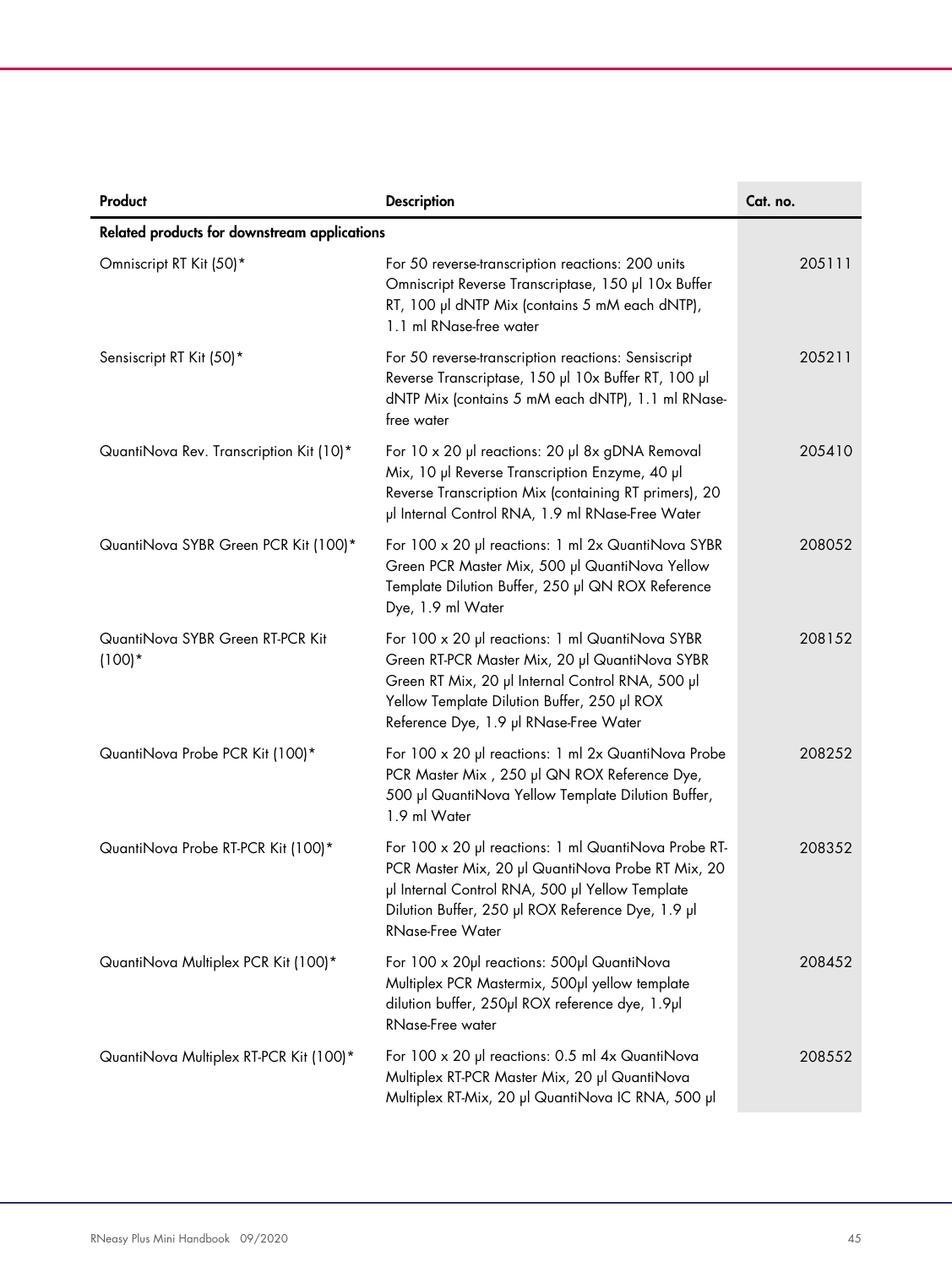| Product                                      | <b>Description</b>                                                                                                                                                                                                                             | Cat. no. |
|----------------------------------------------|------------------------------------------------------------------------------------------------------------------------------------------------------------------------------------------------------------------------------------------------|----------|
| Related products for downstream applications |                                                                                                                                                                                                                                                |          |
| Omniscript RT Kit (50)*                      | For 50 reverse-transcription reactions: 200 units<br>Omniscript Reverse Transcriptase, 150 µl 10x Buffer<br>RT, 100 µl dNTP Mix (contains 5 mM each dNTP),<br>1.1 ml RNase-free water                                                          | 205111   |
| Sensiscript RT Kit (50)*                     | For 50 reverse-transcription reactions: Sensiscript<br>Reverse Transcriptase, 150 µl 10x Buffer RT, 100 µl<br>dNTP Mix (contains 5 mM each dNTP), 1.1 ml RNase-<br>free water                                                                  | 205211   |
| QuantiNova Rev. Transcription Kit (10)*      | For 10 x 20 µl reactions: 20 µl 8x gDNA Removal<br>Mix, 10 µl Reverse Transcription Enzyme, 40 µl<br>Reverse Transcription Mix (containing RT primers), 20<br>µl Internal Control RNA, 1.9 ml RNase-Free Water                                 | 205410   |
| QuantiNova SYBR Green PCR Kit (100)*         | For 100 x 20 µl reactions: 1 ml 2x QuantiNova SYBR<br>Green PCR Master Mix, 500 µl QuantiNova Yellow<br>Template Dilution Buffer, 250 µl QN ROX Reference<br>Dye, 1.9 ml Water                                                                 | 208052   |
| QuantiNova SYBR Green RT-PCR Kit<br>$(100)*$ | For 100 x 20 µl reactions: 1 ml QuantiNova SYBR<br>Green RT-PCR Master Mix, 20 µl QuantiNova SYBR<br>Green RT Mix, 20 µl Internal Control RNA, 500 µl<br>Yellow Template Dilution Buffer, 250 µl ROX<br>Reference Dye, 1.9 µl RNase-Free Water | 208152   |
| QuantiNova Probe PCR Kit (100)*              | For 100 x 20 µ reactions: 1 ml 2x QuantiNova Probe<br>PCR Master Mix, 250 µl QN ROX Reference Dye,<br>500 µl QuantiNova Yellow Template Dilution Buffer,<br>1.9 ml Water                                                                       | 208252   |
| QuantiNova Probe RT-PCR Kit (100)*           | For 100 x 20 µl reactions: 1 ml QuantiNova Probe RT-<br>PCR Master Mix, 20 µl QuantiNova Probe RT Mix, 20<br>µl Internal Control RNA, 500 µl Yellow Template<br>Dilution Buffer, 250 µl ROX Reference Dye, 1.9 µl<br><b>RNase-Free Water</b>   | 208352   |
| QuantiNova Multiplex PCR Kit (100)*          | For 100 x 20µl reactions: 500µl QuantiNova<br>Multiplex PCR Mastermix, 500µl yellow template<br>dilution buffer, 250µl ROX reference dye, 1.9µl<br>RNase-Free water                                                                            | 208452   |
| QuantiNova Multiplex RT-PCR Kit (100)*       | For 100 x 20 µl reactions: 0.5 ml 4x QuantiNova<br>Multiplex RT-PCR Master Mix, 20 µl QuantiNova<br>Multiplex RT-Mix, 20 µl QuantiNova IC RNA, 500 µl                                                                                          | 208552   |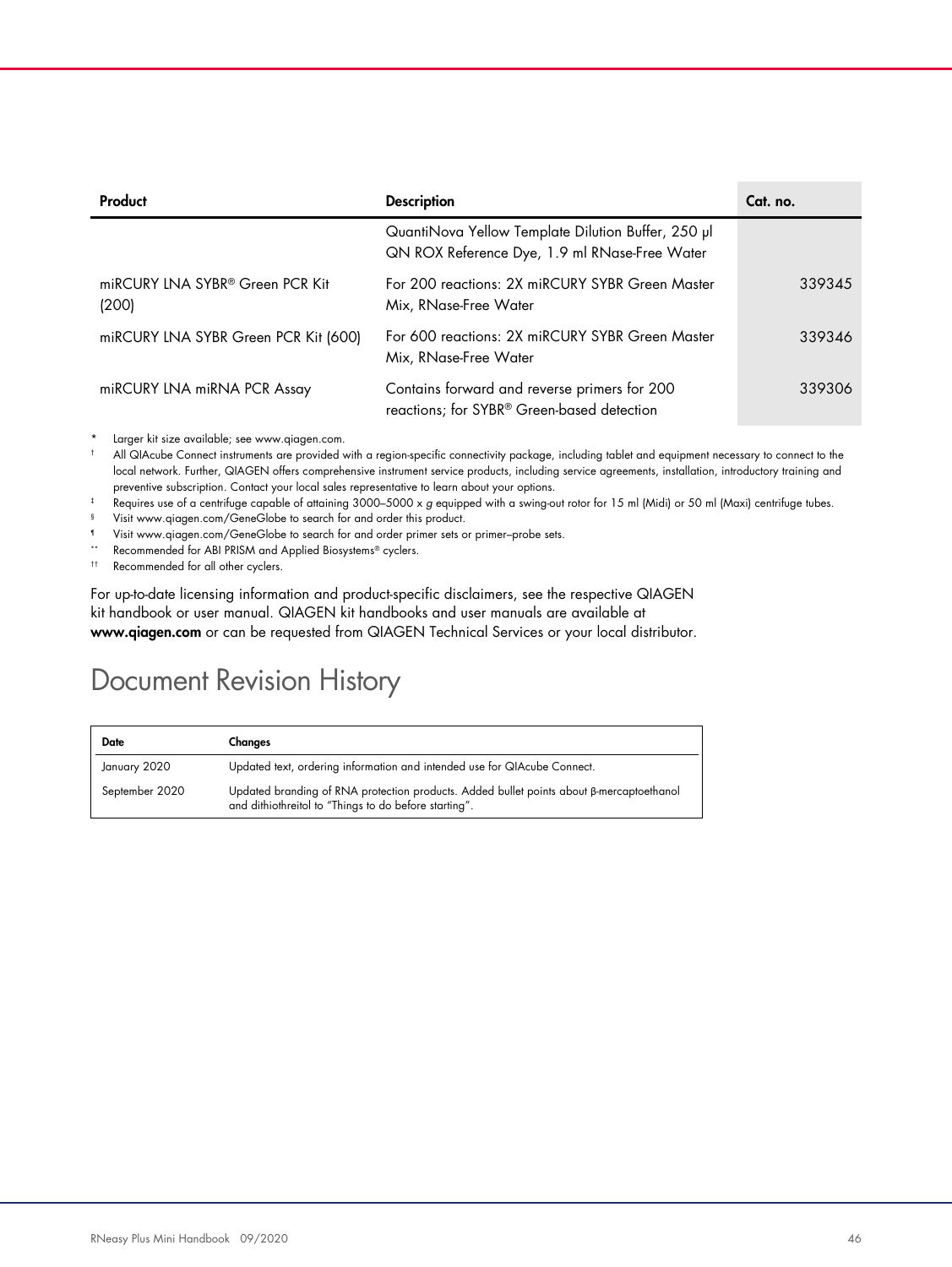| Product                                              | <b>Description</b>                                                                                  | Cat. no. |
|------------------------------------------------------|-----------------------------------------------------------------------------------------------------|----------|
|                                                      | QuantiNova Yellow Template Dilution Buffer, 250 µl<br>QN ROX Reference Dye, 1.9 ml RNase-Free Water |          |
| miRCURY LNA SYBR <sup>®</sup> Green PCR Kit<br>(200) | For 200 reactions: 2X miRCURY SYBR Green Master<br>Mix, RNase-Free Water                            | 339345   |
| miRCURY LNA SYBR Green PCR Kit (600)                 | For 600 reactions: 2X miRCURY SYBR Green Master<br>Mix, RNase-Free Water                            | 339346   |
| miRCURY LNA miRNA PCR Assay                          | Contains forward and reverse primers for 200<br>reactions; for SYBR® Green-based detection          | 339306   |

Larger kit size available; see www.qiagen.com.

† All QIAcube Connect instruments are provided with a region-specific connectivity package, including tablet and equipment necessary to connect to the local network. Further, QIAGEN offers comprehensive instrument service products, including service agreements, installation, introductory training and preventive subscription. Contact your local sales representative to learn about your options.

- ‡ Requires use of a centrifuge capable of attaining 3000–5000 x g equipped with a swing-out rotor for 15 ml (Midi) or 50 ml (Maxi) centrifuge tubes.
- § Visit www.qiagen.com/GeneGlobe to search for and order this product.
- ¶ <sup>1</sup> Visit www.qiagen.com/GeneGlobe to search for and order primer sets or primer–probe sets.<br><sup>2</sup>
- \*\* Recommended for ABI PRISM and Applied Biosystems® cyclers.
- †† Recommended for all other cyclers.

For up-to-date licensing information and product-specific disclaimers, see the respective QIAGEN kit handbook or user manual. QIAGEN kit handbooks and user manuals are available at www.qiagen.com or can be requested from QIAGEN Technical Services or your local distributor.

# Document Revision History

| <b>Date</b>    | Changes                                                                                                                                           |
|----------------|---------------------------------------------------------------------------------------------------------------------------------------------------|
| January 2020   | Updated text, ordering information and intended use for QIAcube Connect.                                                                          |
| September 2020 | Updated branding of RNA protection products. Added bullet points about ß-mercaptoethanol<br>and dithiothreitol to "Things to do before starting". |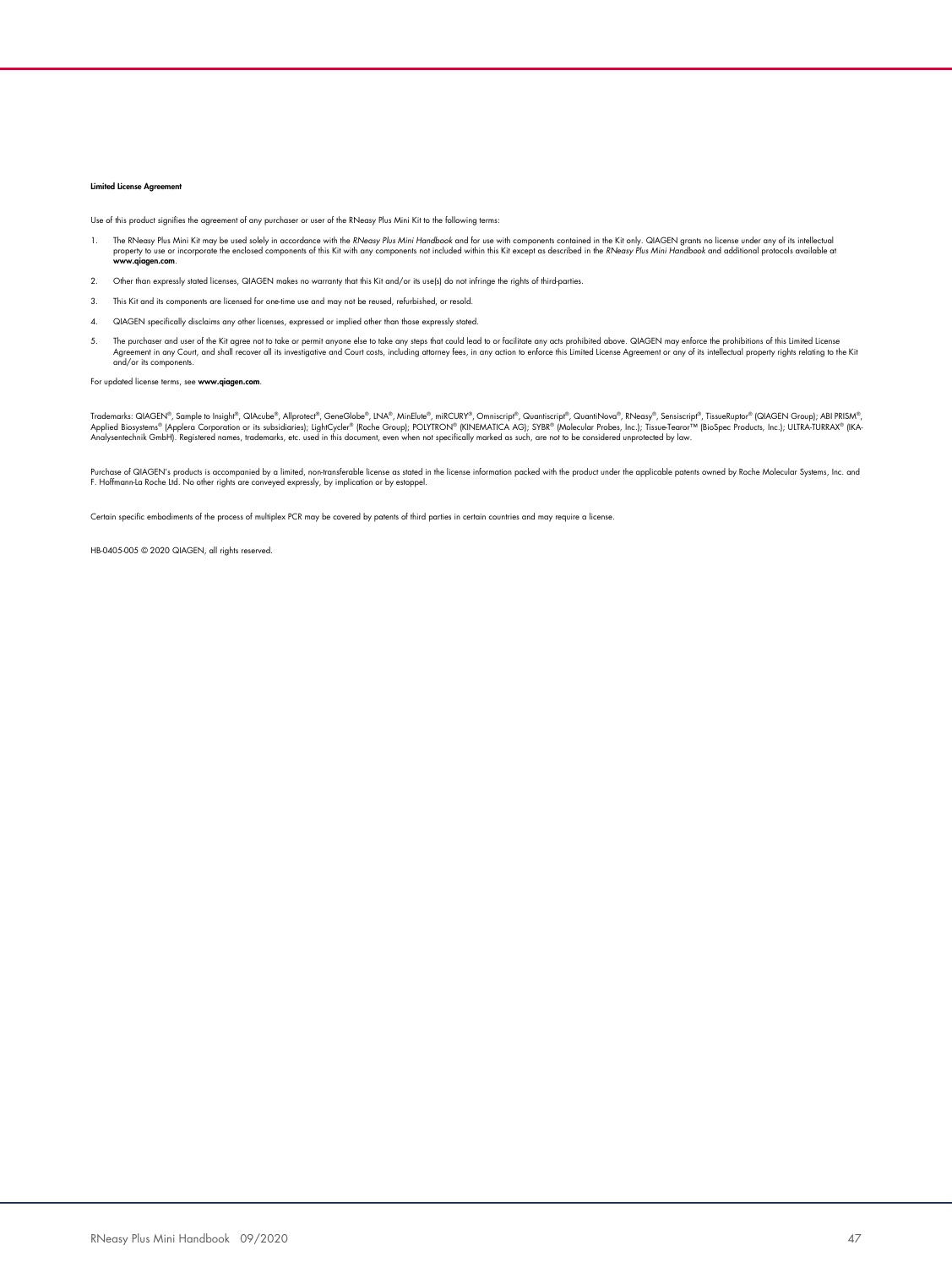#### Limited License Agree

Use of this product signifies the agreement of any purchaser or user of the RNeasy Plus Mini Kit to the following terms:

- 1. The RNeasy Plus Mini Kit may be used solely in accordance with the RNeasy Plus Mini Handbook and for use with components contained in the Kit only. QIAGEN grants no license under any of its intellectual protocols availa
- 2. Other than expressly stated licenses, QIAGEN makes no warranty that this Kit and/or its use(s) do not infringe the rights of third-parties.
- 3. This Kit and its components are licensed for one-time use and may not be reused, refurbished, or resold.
- 4. QIAGEN specifically disclaims any other licenses, expressed or implied other than those expressly stated.
- 5. The purchaser and user of the Kit agree not to take or permit anyone else to take any steps that could lead to or facilitate any acts prohibited above. QIAGEN may enforce the prohibitions of this Limited License Areemen and/or its components.

#### For updated license terms, see www.qiagen.com.

Trademarks: QIAGEN®, Sample to Insight®, QIAcube®, Allproted®, GeneGlobe®, INA®, MinElute®, miRCURY®, Omniscript®, Quantiscript®, QuantiNova®, RNeasy®, Sensiscript®, TissueRuptor® (QIAGEN Group); ABI PRISM®,<br>Applied Biosys

Purchase of QIAGEN's products is accompanied by a limited, non-transterable license sastated in the license intormation packed with the product under the applicable patents owned by Roche Molecular Systems, Inc. and<br>F. Hof

Certain specific embodiments of the process of multiplex PCR may be covered by patents of third parties in certain countries and may require a license.

HB-0405-005 © 2020 QIAGEN, all rights reserved.